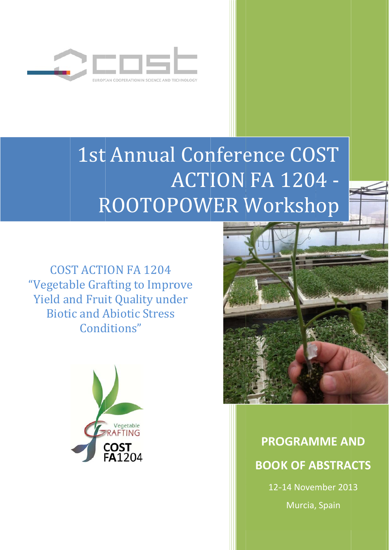

# 1st Annual Conference COST ROOTOP ACTION FA 1204 nual Con<br>
ACTI<br>
TOPOW<br>
A 1204<br>
co Improve<br>
lity under<br>
c: Stress<br>
" POWER Workshop

"Vegetable Grafting to Improve Yield and Fruit Quality under COST ACTION FA 1204 **Biotic and Abiotic Stress** Conditions"





## **PROGRAMME AND BOOK OF ABSTRACTS**

12-14 November 2013 Murcia, Spain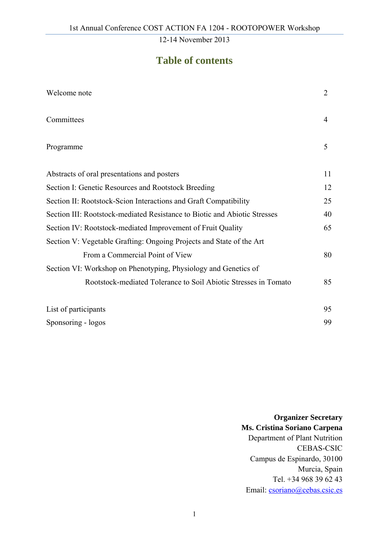### **Table of contents**

| Welcome note                                                              | $\overline{2}$ |
|---------------------------------------------------------------------------|----------------|
| Committees                                                                | 4              |
| Programme                                                                 | 5              |
| Abstracts of oral presentations and posters                               | 11             |
| Section I: Genetic Resources and Rootstock Breeding                       | 12             |
| Section II: Rootstock-Scion Interactions and Graft Compatibility          | 25             |
| Section III: Rootstock-mediated Resistance to Biotic and Abiotic Stresses | 40             |
| Section IV: Rootstock-mediated Improvement of Fruit Quality               | 65             |
| Section V: Vegetable Grafting: Ongoing Projects and State of the Art      |                |
| From a Commercial Point of View                                           | 80             |
| Section VI: Workshop on Phenotyping, Physiology and Genetics of           |                |
| Rootstock-mediated Tolerance to Soil Abiotic Stresses in Tomato           | 85             |
| List of participants                                                      | 95             |
| Sponsoring - logos                                                        | 99             |

**Organizer Secretary Ms. Cristina Soriano Carpena**  Department of Plant Nutrition CEBAS-CSIC Campus de Espinardo, 30100 Murcia, Spain Tel. +34 968 39 62 43 Email: csoriano@cebas.csic.es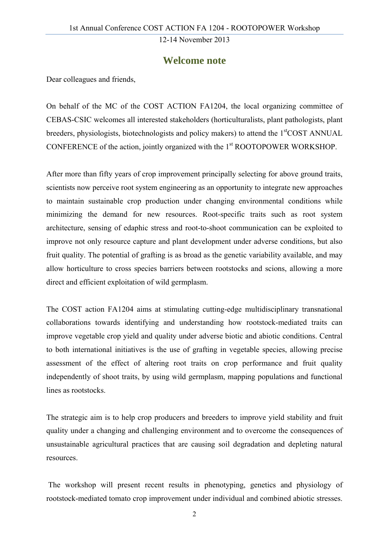### **Welcome note**

Dear colleagues and friends,

On behalf of the MC of the COST ACTION FA1204, the local organizing committee of CEBAS-CSIC welcomes all interested stakeholders (horticulturalists, plant pathologists, plant breeders, physiologists, biotechnologists and policy makers) to attend the 1<sup>st</sup>COST ANNUAL CONFERENCE of the action, jointly organized with the 1<sup>st</sup> ROOTOPOWER WORKSHOP.

After more than fifty years of crop improvement principally selecting for above ground traits, scientists now perceive root system engineering as an opportunity to integrate new approaches to maintain sustainable crop production under changing environmental conditions while minimizing the demand for new resources. Root-specific traits such as root system architecture, sensing of edaphic stress and root-to-shoot communication can be exploited to improve not only resource capture and plant development under adverse conditions, but also fruit quality. The potential of grafting is as broad as the genetic variability available, and may allow horticulture to cross species barriers between rootstocks and scions, allowing a more direct and efficient exploitation of wild germplasm.

The COST action FA1204 aims at stimulating cutting-edge multidisciplinary transnational collaborations towards identifying and understanding how rootstock-mediated traits can improve vegetable crop yield and quality under adverse biotic and abiotic conditions. Central to both international initiatives is the use of grafting in vegetable species, allowing precise assessment of the effect of altering root traits on crop performance and fruit quality independently of shoot traits, by using wild germplasm, mapping populations and functional lines as rootstocks.

The strategic aim is to help crop producers and breeders to improve yield stability and fruit quality under a changing and challenging environment and to overcome the consequences of unsustainable agricultural practices that are causing soil degradation and depleting natural resources.

 The workshop will present recent results in phenotyping, genetics and physiology of rootstock-mediated tomato crop improvement under individual and combined abiotic stresses.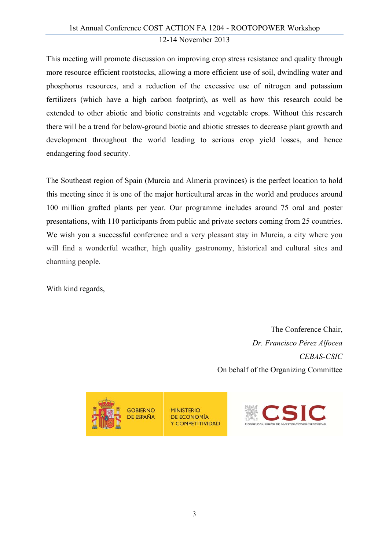This meeting will promote discussion on improving crop stress resistance and quality through more resource efficient rootstocks, allowing a more efficient use of soil, dwindling water and phosphorus resources, and a reduction of the excessive use of nitrogen and potassium fertilizers (which have a high carbon footprint), as well as how this research could be extended to other abiotic and biotic constraints and vegetable crops. Without this research there will be a trend for below-ground biotic and abiotic stresses to decrease plant growth and development throughout the world leading to serious crop yield losses, and hence endangering food security.

The Southeast region of Spain (Murcia and Almeria provinces) is the perfect location to hold this meeting since it is one of the major horticultural areas in the world and produces around 100 million grafted plants per year. Our programme includes around 75 oral and poster presentations, with 110 participants from public and private sectors coming from 25 countries. We wish you a successful conference and a very pleasant stay in Murcia, a city where you will find a wonderful weather, high quality gastronomy, historical and cultural sites and charming people.

With kind regards,

The Conference Chair, *Dr. Francisco Pérez Alfocea CEBAS-CSIC*  On behalf of the Organizing Committee



**MINISTERIO DE ECONOMÍA** Y COMPETITIVIDAD

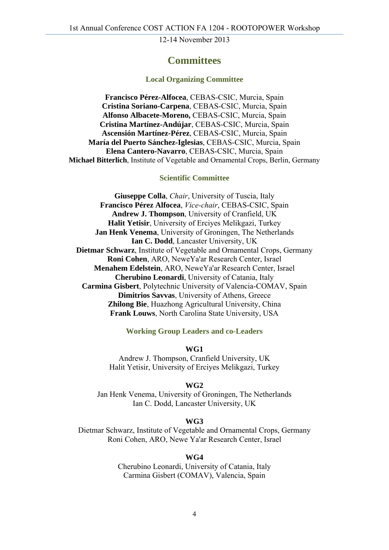#### **Committees**

#### **Local Organizing Committee**

**Francisco Pérez-Alfocea**, CEBAS-CSIC, Murcia, Spain **Cristina Soriano-Carpena**, CEBAS-CSIC, Murcia, Spain **Alfonso Albacete-Moreno,** CEBAS-CSIC, Murcia, Spain **Cristina Martínez-Andújar**, CEBAS-CSIC, Murcia, Spain **Ascensión Martínez-Pérez**, CEBAS-CSIC, Murcia, Spain **María del Puerto Sánchez-Iglesias**, CEBAS-CSIC, Murcia, Spain **Elena Cantero-Navarro**, CEBAS-CSIC, Murcia, Spain **Michael Bitterlich**, Institute of Vegetable and Ornamental Crops, Berlin, Germany

#### **Scientific Committee**

**Giuseppe Colla**, *Chair*, University of Tuscia, Italy **Francisco Pérez Alfocea**, *Vice-chair*, CEBAS-CSIC, Spain **Andrew J. Thompson**, University of Cranfield, UK **Halit Yetisir**, University of Erciyes Melikgazi, Turkey **Jan Henk Venema**, University of Groningen, The Netherlands **Ian C. Dodd**, Lancaster University, UK **Dietmar Schwarz**, Institute of Vegetable and Ornamental Crops, Germany **Roni Cohen**, ARO, NeweYa'ar Research Center, Israel **Menahem Edelstein**, ARO, NeweYa'ar Research Center, Israel **Cherubino Leonardi**, University of Catania, Italy **Carmina Gisbert**, Polytechnic University of Valencia-COMAV, Spain **Dimitrios Savvas**, University of Athens, Greece **Zhilong Bie**, Huazhong Agricultural University, China **Frank Louws**, North Carolina State University, USA

#### **Working Group Leaders and co-Leaders**

**WG1** 

Andrew J. Thompson, Cranfield University, UK Halit Yetisir, University of Erciyes Melikgazi, Turkey

#### **WG2**

Jan Henk Venema, University of Groningen, The Netherlands Ian C. Dodd, Lancaster University, UK

#### **WG3**

Dietmar Schwarz, Institute of Vegetable and Ornamental Crops, Germany Roni Cohen, ARO, Newe Ya'ar Research Center, Israel

#### **WG4**

Cherubino Leonardi, University of Catania, Italy Carmina Gisbert (COMAV), Valencia, Spain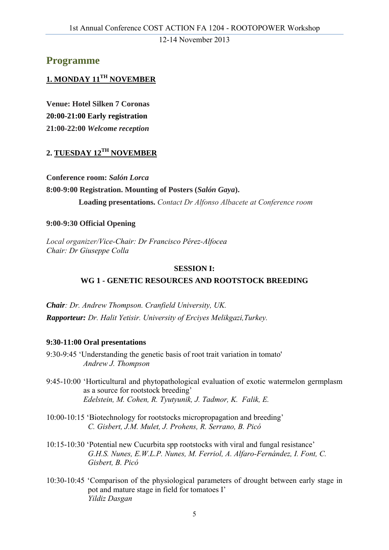### **Programme**

#### **1. MONDAY 11TH NOVEMBER**

**Venue: Hotel Silken 7 Coronas 20:00-21:00 Early registration 21:00-22:00** *Welcome reception* 

#### **2. TUESDAY 12TH NOVEMBER**

**Conference room:** *Salón Lorca* **8:00-9:00 Registration. Mounting of Posters (***Salón Gaya***). Loading presentations.** *Contact Dr Alfonso Albacete at Conference room* 

#### **9:00-9:30 Official Opening**

*Local organizer/Vice-Chair: Dr Francisco Pérez-Alfocea Chair: Dr Giuseppe Colla* 

#### **SESSION I: WG 1 - GENETIC RESOURCES AND ROOTSTOCK BREEDING**

*Chair: Dr. Andrew Thompson. Cranfield University, UK. Rapporteur: Dr. Halit Yetisir. University of Erciyes Melikgazi,Turkey.* 

#### **9:30-11:00 Oral presentations**

9:30-9:45 'Understanding the genetic basis of root trait variation in tomato' *Andrew J. Thompson* 

- 9:45-10:00 'Horticultural and phytopathological evaluation of exotic watermelon germplasm as a source for rootstock breeding' *Edelstein, M. Cohen, R. Tyutyunik, J. Tadmor, K. Falik, E.*
- 10:00-10:15 'Biotechnology for rootstocks micropropagation and breeding' *C. Gisbert, J.M. Mulet, J. Prohens, R. Serrano, B. Picó*
- 10:15-10:30 'Potential new Cucurbita spp rootstocks with viral and fungal resistance' *G.H.S. Nunes, E.W.L.P. Nunes, M. Ferriol, A. Alfaro-Fernández, I. Font, C. Gisbert, B. Picó*
- 10:30-10:45 'Comparison of the physiological parameters of drought between early stage in pot and mature stage in field for tomatoes I' *Yildiz Dasgan*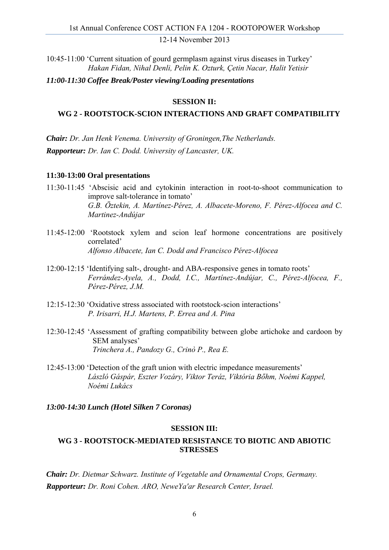10:45-11:00 'Current situation of gourd germplasm against virus diseases in Turkey' *Hakan Fidan, Nihal Denli, Pelin K. Ozturk, Çetin Nacar, Halit Yetisir* 

*11:00-11:30 Coffee Break/Poster viewing/Loading presentations*

#### **SESSION II:**

#### **WG 2 - ROOTSTOCK-SCION INTERACTIONS AND GRAFT COMPATIBILITY**

*Chair: Dr. Jan Henk Venema. University of Groningen,The Netherlands. Rapporteur: Dr. Ian C. Dodd. University of Lancaster, UK.* 

#### **11:30-13:00 Oral presentations**

- 11:30-11:45 'Abscisic acid and cytokinin interaction in root-to-shoot communication to improve salt-tolerance in tomato' *G.B. Öztekin, A. Martínez-Pérez, A. Albacete-Moreno, F. Pérez-Alfocea and C. Martinez-Andújar*
- 11:45-12:00 'Rootstock xylem and scion leaf hormone concentrations are positively correlated' *Alfonso Albacete, Ian C. Dodd and Francisco Pérez-Alfocea*
- 12:00-12:15 'Identifying salt-, drought- and ABA-responsive genes in tomato roots' *Ferrández-Ayela, A., Dodd, I.C., Martínez-Andújar, C., Pérez-Alfocea, F., Pérez-Pérez, J.M.*
- 12:15-12:30 'Oxidative stress associated with rootstock-scion interactions' *P. Irisarri, H.J. Martens, P. Errea and A. Pina*
- 12:30-12:45 'Assessment of grafting compatibility between globe artichoke and cardoon by SEM analyses' *Trinchera A., Pandozy G., Crinò P., Rea E.*
- 12:45-13:00 'Detection of the graft union with electric impedance measurements' *László Gáspár, Eszter Vozáry, Viktor Teráz, Viktória Bőhm, Noémi Kappel, Noémi Lukács*

#### *13:00-14:30 Lunch (Hotel Silken 7 Coronas)*

#### **SESSION III:**

#### **WG 3 - ROOTSTOCK-MEDIATED RESISTANCE TO BIOTIC AND ABIOTIC STRESSES**

*Chair: Dr. Dietmar Schwarz. Institute of Vegetable and Ornamental Crops, Germany. Rapporteur: Dr. Roni Cohen. ARO, NeweYa'ar Research Center, Israel.*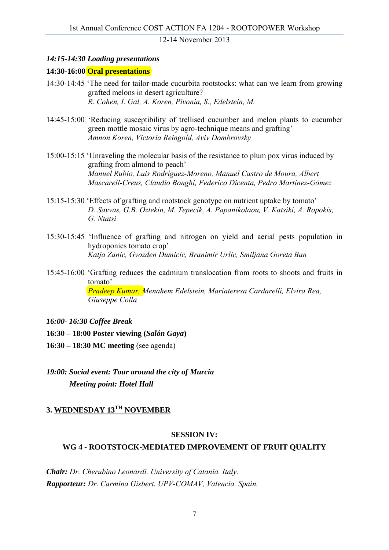#### *14:15-14:30 Loading presentations*

#### **14:30-16:00 Oral presentations**

- 14:30-14:45 'The need for tailor-made cucurbita rootstocks: what can we learn from growing grafted melons in desert agriculture?' *R. Cohen, I. Gal, A. Koren, Pivonia, S., Edelstein, M.*
- 14:45-15:00 'Reducing susceptibility of trellised cucumber and melon plants to cucumber green mottle mosaic virus by agro-technique means and grafting' *Amnon Koren, Victoria Reingold, Aviv Dombrovsky*
- 15:00-15:15 'Unraveling the molecular basis of the resistance to plum pox virus induced by grafting from almond to peach' *Manuel Rubio, Luis Rodríguez-Moreno, Manuel Castro de Moura, Albert Mascarell-Creus, Claudio Bonghi, Federico Dicenta, Pedro Martínez-Gómez*
- 15:15-15:30 'Effects of grafting and rootstock genotype on nutrient uptake by tomato' *D. Savvas, G.B. Oztekin, M. Tepecik, A. Papanikolaou, V. Katsiki, A. Ropokis, G. Ntatsi*
- 15:30-15:45 'Influence of grafting and nitrogen on yield and aerial pests population in hydroponics tomato crop' *Katja Zanic, Gvozden Dumicic, Branimir Urlic, Smiljana Goreta Ban*
- 15:45-16:00 'Grafting reduces the cadmium translocation from roots to shoots and fruits in tomato' *Pradeep Kumar, Menahem Edelstein, Mariateresa Cardarelli, Elvira Rea, Giuseppe Colla*
- *16:00- 16:30 Coffee Break*

**16:30 – 18:00 Poster viewing (***Salón Gaya***)** 

- **16:30 18:30 MC meeting** (see agenda)
- *19:00: Social event: Tour around the city of Murcia Meeting point: Hotel Hall*

#### **3. WEDNESDAY 13TH NOVEMBER**

#### **SESSION IV:**

#### **WG 4 - ROOTSTOCK-MEDIATED IMPROVEMENT OF FRUIT QUALITY**

*Chair: Dr. Cherubino Leonardi. University of Catania. Italy. Rapporteur: Dr. Carmina Gisbert. UPV-COMAV, Valencia. Spain.*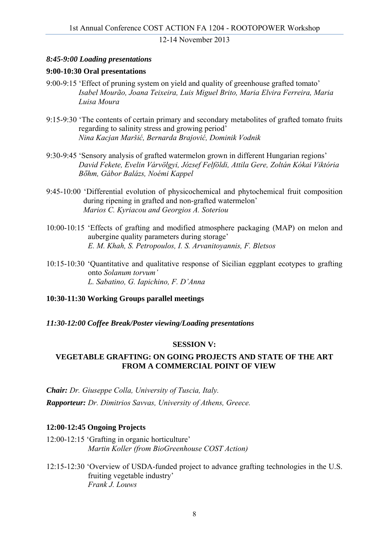#### *8:45-9:00 Loading presentations*

#### **9:00-10:30 Oral presentations**

- 9:00-9:15 'Effect of pruning system on yield and quality of greenhouse grafted tomato' *Isabel Mourão, Joana Teixeira, Luis Miguel Brito, Maria Elvira Ferreira, Maria Luisa Moura*
- 9:15-9:30 'The contents of certain primary and secondary metabolites of grafted tomato fruits regarding to salinity stress and growing period' *Nina Kacjan Maršić, Bernarda Brajović, Dominik Vodnik*
- 9:30-9:45 'Sensory analysis of grafted watermelon grown in different Hungarian regions' *David Fekete, Evelin Várvölgyi, József Felföldi, Attila Gere, Zoltán Kókai Viktória Bőhm, Gábor Balázs, Noémi Kappel*
- 9:45-10:00 'Differential evolution of physicochemical and phytochemical fruit composition during ripening in grafted and non-grafted watermelon' *Marios C. Kyriacou and Georgios A. Soteriou*
- 10:00-10:15 'Effects of grafting and modified atmosphere packaging (MAP) on melon and aubergine quality parameters during storage' *E. M. Khah, S. Petropoulos, I. S. Arvanitoyannis, F. Bletsos*
- 10:15-10:30 'Quantitative and qualitative response of Sicilian eggplant ecotypes to grafting onto *Solanum torvum' L. Sabatino, G. Iapichino, F. D'Anna*

#### **10:30-11:30 Working Groups parallel meetings**

*11:30-12:00 Coffee Break/Poster viewing/Loading presentations* 

#### **SESSION V:**

#### **VEGETABLE GRAFTING: ON GOING PROJECTS AND STATE OF THE ART FROM A COMMERCIAL POINT OF VIEW**

*Chair: Dr. Giuseppe Colla, University of Tuscia, Italy.*

*Rapporteur: Dr. Dimitrios Savvas, University of Athens, Greece.* 

#### **12:00-12:45 Ongoing Projects**

12:00-12:15 'Grafting in organic horticulture' *Martin Koller (from BioGreenhouse COST Action)* 

12:15-12:30 'Overview of USDA-funded project to advance grafting technologies in the U.S. fruiting vegetable industry' *Frank J. Louws*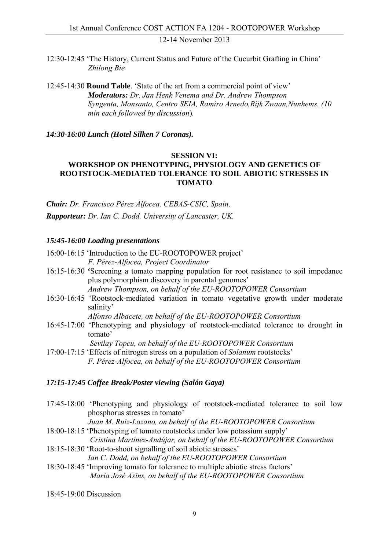12:30-12:45 'The History, Current Status and Future of the Cucurbit Grafting in China' *Zhilong Bie*

12:45-14:30 **Round Table**. 'State of the art from a commercial point of view' *Moderators: Dr. Jan Henk Venema and Dr. Andrew Thompson Syngenta, Monsanto, Centro SEIA, Ramiro Arnedo,Rijk Zwaan,Nunhems. (10 min each followed by discussion*)*.*

*14:30-16:00 Lunch (Hotel Silken 7 Coronas).* 

#### **SESSION VI:**

#### **WORKSHOP ON PHENOTYPING, PHYSIOLOGY AND GENETICS OF ROOTSTOCK-MEDIATED TOLERANCE TO SOIL ABIOTIC STRESSES IN TOMATO**

*Chair: Dr. Francisco Pérez Alfocea. CEBAS-CSIC, Spain*. *Rapporteur: Dr. Ian C. Dodd. University of Lancaster, UK.* 

#### *15:45-16:00 Loading presentations*

16:00-16:15 'Introduction to the EU-ROOTOPOWER project' *F. Pérez-Alfocea, Project Coordinator* 

- 16:15-16:30 **'**Screening a tomato mapping population for root resistance to soil impedance plus polymorphism discovery in parental genomes' *Andrew Thompson, on behalf of the EU-ROOTOPOWER Consortium*
- 16:30-16:45 'Rootstock-mediated variation in tomato vegetative growth under moderate salinity'

*Alfonso Albacete, on behalf of the EU-ROOTOPOWER Consortium* 

16:45-17:00 'Phenotyping and physiology of rootstock-mediated tolerance to drought in tomato'

*Sevilay Topcu, on behalf of the EU-ROOTOPOWER Consortium*

17:00-17:15 'Effects of nitrogen stress on a population of *Solanum* rootstocks' *F. Pérez-Alfocea, on behalf of the EU-ROOTOPOWER Consortium* 

#### *17:15-17:45 Coffee Break/Poster viewing (Salón Gaya)*

17:45-18:00 'Phenotyping and physiology of rootstock-mediated tolerance to soil low phosphorus stresses in tomato'

*Juan M. Ruiz-Lozano, on behalf of the EU-ROOTOPOWER Consortium* 

18:00-18:15 'Phenotyping of tomato rootstocks under low potassium supply'

 *Cristina Martínez-Andújar, on behalf of the EU-ROOTOPOWER Consortium*  18:15-18:30 'Root-to-shoot signalling of soil abiotic stresses'

*Ian C. Dodd, on behalf of the EU-ROOTOPOWER Consortium* 

- 18:30-18:45 'Improving tomato for tolerance to multiple abiotic stress factors' *María José Asins, on behalf of the EU-ROOTOPOWER Consortium*
- 18:45-19:00 Discussion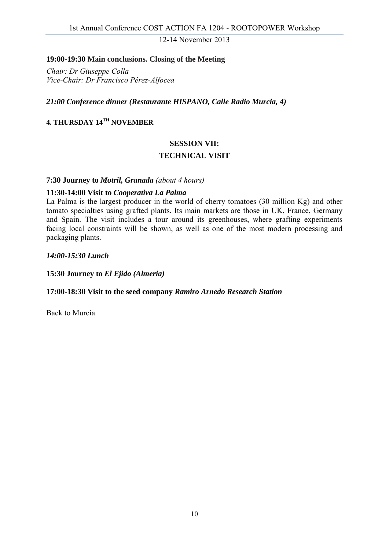#### **19:00-19:30 Main conclusions. Closing of the Meeting**

*Chair: Dr Giuseppe Colla Vice-Chair: Dr Francisco Pérez-Alfocea* 

*21:00 Conference dinner (Restaurante HISPANO, Calle Radio Murcia, 4)*

#### **4. THURSDAY 14TH NOVEMBER**

#### **SESSION VII:**

#### **TECHNICAL VISIT**

#### **7:30 Journey to** *Motril, Granada (about 4 hours)*

#### **11:30-14:00 Visit to** *Cooperativa La Palma*

La Palma is the largest producer in the world of cherry tomatoes (30 million Kg) and other tomato specialties using grafted plants. Its main markets are those in UK, France, Germany and Spain. The visit includes a tour around its greenhouses, where grafting experiments facing local constraints will be shown, as well as one of the most modern processing and packaging plants.

*14:00-15:30 Lunch* 

**15:30 Journey to** *El Ejido (Almeria)* 

#### **17:00-18:30 Visit to the seed company** *Ramiro Arnedo Research Station*

Back to Murcia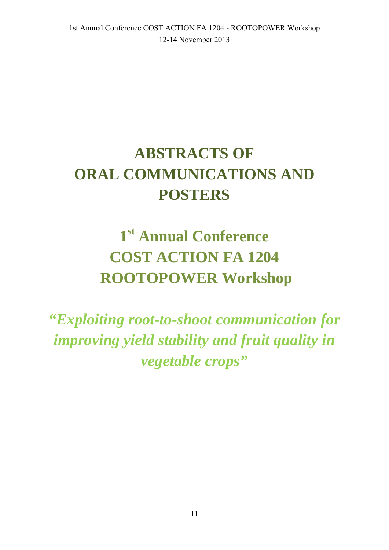## **ABSTRACTS OF ORAL COMMUNICATIONS AND POSTERS**

## **1st Annual Conference COST ACTION FA 1204 ROOTOPOWER Workshop**

*"Exploiting root-to-shoot communication for improving yield stability and fruit quality in vegetable crops"*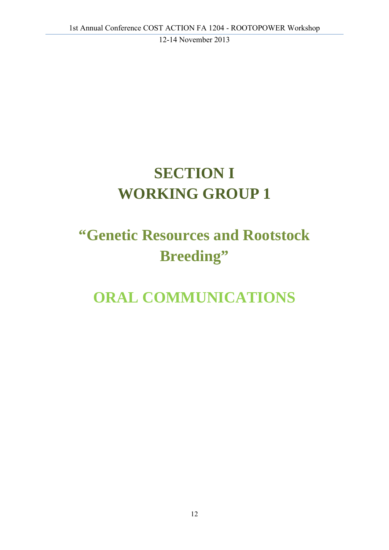## **SECTION I WORKING GROUP 1**

## **"Genetic Resources and Rootstock Breeding"**

## **ORAL COMMUNICATIONS**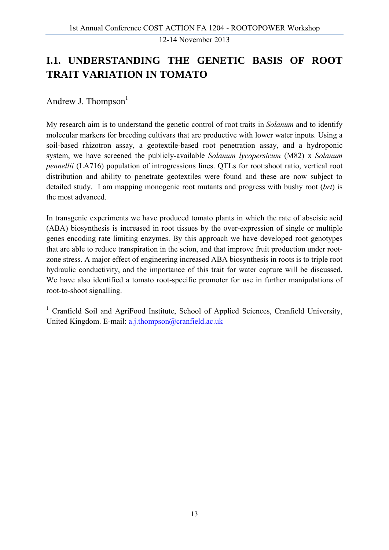## **I.1. UNDERSTANDING THE GENETIC BASIS OF ROOT TRAIT VARIATION IN TOMATO**

Andrew J. Thompson $<sup>1</sup>$ </sup>

My research aim is to understand the genetic control of root traits in *Solanum* and to identify molecular markers for breeding cultivars that are productive with lower water inputs. Using a soil-based rhizotron assay, a geotextile-based root penetration assay, and a hydroponic system, we have screened the publicly-available *Solanum lycopersicum* (M82) x *Solanum pennellii* (LA716) population of introgressions lines. QTLs for root:shoot ratio, vertical root distribution and ability to penetrate geotextiles were found and these are now subject to detailed study. I am mapping monogenic root mutants and progress with bushy root (*brt*) is the most advanced.

In transgenic experiments we have produced tomato plants in which the rate of abscisic acid (ABA) biosynthesis is increased in root tissues by the over-expression of single or multiple genes encoding rate limiting enzymes. By this approach we have developed root genotypes that are able to reduce transpiration in the scion, and that improve fruit production under rootzone stress. A major effect of engineering increased ABA biosynthesis in roots is to triple root hydraulic conductivity, and the importance of this trait for water capture will be discussed. We have also identified a tomato root-specific promoter for use in further manipulations of root-to-shoot signalling.

<sup>1</sup> Cranfield Soil and AgriFood Institute, School of Applied Sciences, Cranfield University, United Kingdom. E-mail: a.j.thompson@cranfield.ac.uk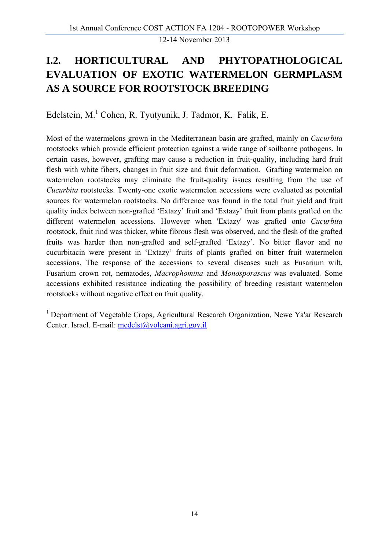## **I.2. HORTICULTURAL AND PHYTOPATHOLOGICAL EVALUATION OF EXOTIC WATERMELON GERMPLASM AS A SOURCE FOR ROOTSTOCK BREEDING**

Edelstein, M.<sup>1</sup> Cohen, R. Tyutyunik, J. Tadmor, K. Falik, E.

Most of the watermelons grown in the Mediterranean basin are grafted, mainly on *Cucurbita* rootstocks which provide efficient protection against a wide range of soilborne pathogens. In certain cases, however, grafting may cause a reduction in fruit-quality, including hard fruit flesh with white fibers, changes in fruit size and fruit deformation. Grafting watermelon on watermelon rootstocks may eliminate the fruit-quality issues resulting from the use of *Cucurbita* rootstocks. Twenty-one exotic watermelon accessions were evaluated as potential sources for watermelon rootstocks. No difference was found in the total fruit yield and fruit quality index between non-grafted 'Extazy' fruit and 'Extazy' fruit from plants grafted on the different watermelon accessions. However when 'Extazy' was grafted onto *Cucurbita* rootstock, fruit rind was thicker, white fibrous flesh was observed, and the flesh of the grafted fruits was harder than non-grafted and self-grafted 'Extazy'. No bitter flavor and no cucurbitacin were present in 'Extazy' fruits of plants grafted on bitter fruit watermelon accessions. The response of the accessions to several diseases such as Fusarium wilt, Fusarium crown rot, nematodes, *Macrophomina* and *Monosporascus* was evaluated*.* Some accessions exhibited resistance indicating the possibility of breeding resistant watermelon rootstocks without negative effect on fruit quality.

<sup>1</sup> Department of Vegetable Crops, Agricultural Research Organization, Newe Ya'ar Research Center. Israel. E-mail: medelst@volcani.agri.gov.il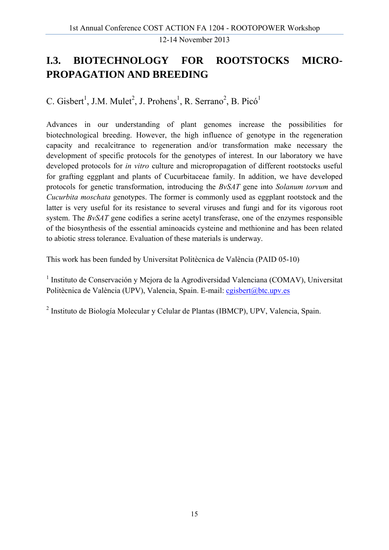## **I.3. BIOTECHNOLOGY FOR ROOTSTOCKS MICRO-PROPAGATION AND BREEDING**

C. Gisbert<sup>1</sup>, J.M. Mulet<sup>2</sup>, J. Prohens<sup>1</sup>, R. Serrano<sup>2</sup>, B. Picó<sup>1</sup>

Advances in our understanding of plant genomes increase the possibilities for biotechnological breeding. However, the high influence of genotype in the regeneration capacity and recalcitrance to regeneration and/or transformation make necessary the development of specific protocols for the genotypes of interest. In our laboratory we have developed protocols for *in vitro* culture and micropropagation of different rootstocks useful for grafting eggplant and plants of Cucurbitaceae family. In addition, we have developed protocols for genetic transformation, introducing the *BvSAT* gene into *Solanum torvum* and *Cucurbita moschata* genotypes. The former is commonly used as eggplant rootstock and the latter is very useful for its resistance to several viruses and fungi and for its vigorous root system. The *BvSAT* gene codifies a serine acetyl transferase, one of the enzymes responsible of the biosynthesis of the essential aminoacids cysteine and methionine and has been related to abiotic stress tolerance. Evaluation of these materials is underway.

This work has been funded by Universitat Politècnica de València (PAID 05-10)

<sup>1</sup> Instituto de Conservación y Mejora de la Agrodiversidad Valenciana (COMAV), Universitat Politècnica de València (UPV), Valencia, Spain. E-mail: cgisbert@btc.upv.es

2 Instituto de Biología Molecular y Celular de Plantas (IBMCP), UPV, Valencia, Spain.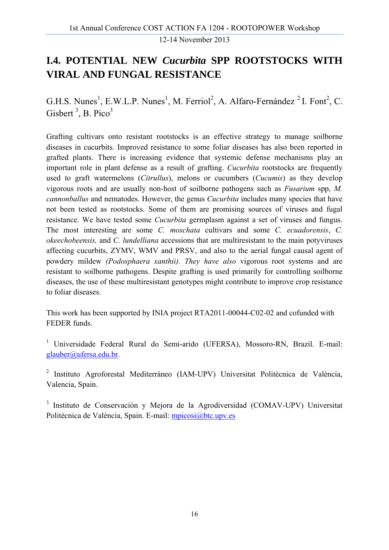### **I.4. POTENTIAL NEW** *Cucurbita* **SPP ROOTSTOCKS WITH VIRAL AND FUNGAL RESISTANCE**

G.H.S. Nunes<sup>1</sup>, E.W.L.P. Nunes<sup>1</sup>, M. Ferriol<sup>2</sup>, A. Alfaro-Fernández<sup>2</sup> I. Font<sup>2</sup>, C. Gisbert<sup>3</sup>, B. Pico<sup>3</sup>

Grafting cultivars onto resistant rootstocks is an effective strategy to manage soilborne diseases in cucurbits. Improved resistance to some foliar diseases has also been reported in grafted plants. There is increasing evidence that systemic defense mechanisms play an important role in plant defense as a result of grafting. *Cucurbita* rootstocks are frequently used to graft watermelons (*Citrullus*), melons or cucumbers (*Cucumis*) as they develop vigorous roots and are usually non-host of soilborne pathogens such as *Fusarium* spp, *M. cannonballus* and nematodes. However, the genus *Cucurbita* includes many species that have not been tested as rootstocks. Some of them are promising sources of viruses and fugal resistance. We have tested some *Cucurbita* germplasm against a set of viruses and fungus. The most interesting are some *C. moschata* cultivars and some *C. ecuadorensis*, *C. okeechobeensis,* and *C. lundelliana* accessions that are multiresistant to the main potyviruses affecting cucurbits, ZYMV, WMV and PRSV, and also to the aerial fungal causal agent of powdery mildew *(Podosphaera xanthii). They have also* vigorous root systems and are resistant to soilborne pathogens. Despite grafting is used primarily for controlling soilborne diseases, the use of these multiresistant genotypes might contribute to improve crop resistance to foliar diseases.

This work has been supported by INIA project RTA2011-00044-C02-02 and cofunded with FEDER funds.

<sup>1</sup> Universidade Federal Rural do Semi-arido (UFERSA), Mossoro-RN, Brazil. E-mail: glauber@ufersa.edu.br.

<sup>2</sup> Instituto Agroforestal Mediterráneo (IAM-UPV) Universitat Politècnica de València, Valencia, Spain.

<sup>3</sup> Instituto de Conservación y Mejora de la Agrodiversidad (COMAV-UPV) Universitat Politècnica de València, Spain. E-mail: mpicosi@btc.upv.es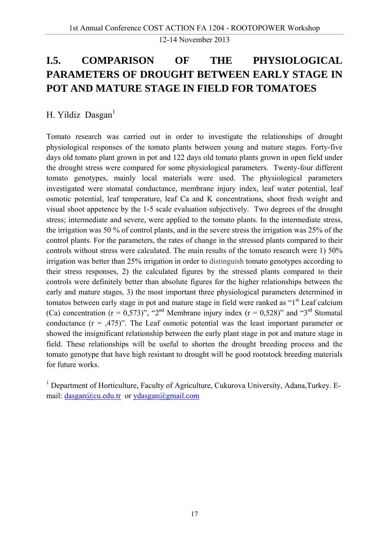## **I.5. COMPARISON OF THE PHYSIOLOGICAL PARAMETERS OF DROUGHT BETWEEN EARLY STAGE IN POT AND MATURE STAGE IN FIELD FOR TOMATOES**

H. Yildiz Dasgan<sup>1</sup>

Tomato research was carried out in order to investigate the relationships of drought physiological responses of the tomato plants between young and mature stages. Forty-five days old tomato plant grown in pot and 122 days old tomato plants grown in open field under the drought stress were compared for some physiological parameters. Twenty-four different tomato genotypes, mainly local materials were used. The physiological parameters investigated were stomatal conductance, membrane injury index, leaf water potential, leaf osmotic potential, leaf temperature, leaf Ca and K concentrations, shoot fresh weight and visual shoot appetence by the 1-5 scale evaluation subjectively. Two degrees of the drought stress; intermediate and severe, were applied to the tomato plants. In the intermediate stress, the irrigation was 50 % of control plants, and in the severe stress the irrigation was 25% of the control plants. For the parameters, the rates of change in the stressed plants compared to their controls without stress were calculated. The main results of the tomato research were 1) 50% irrigation was better than 25% irrigation in order to distinguish tomato genotypes according to their stress responses, 2) the calculated figures by the stressed plants compared to their controls were definitely better than absolute figures for the higher relationships between the early and mature stages, 3) the most important three physiological parameters determined in tomatos between early stage in pot and mature stage in field were ranked as "1<sup>st</sup> Leaf calcium (Ca) concentration ( $r = 0.573$ )", "2<sup>nd</sup> Membrane injury index ( $r = 0.528$ )" and "3<sup>rd</sup> Stomatal conductance  $(r = 0.475)$ ". The Leaf osmotic potential was the least important parameter or showed the insignificant relationship between the early plant stage in pot and mature stage in field. These relationships will be useful to shorten the drought breeding process and the tomato genotype that have high resistant to drought will be good rootstock breeding materials for future works.

<sup>1</sup> Department of Horticulture, Faculty of Agriculture, Cukurova University, Adana, Turkey. Email: dasgan@cu.edu.tr or ydasgan@gmail.com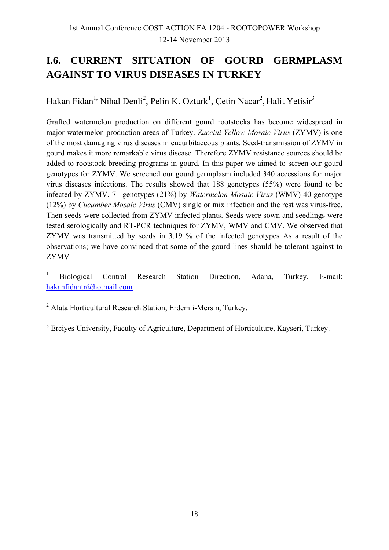## **I.6. CURRENT SITUATION OF GOURD GERMPLASM AGAINST TO VIRUS DISEASES IN TURKEY**

Hakan Fidan<sup>1,</sup> Nihal Denli<sup>2</sup>, Pelin K. Ozturk<sup>1</sup>, Çetin Nacar<sup>2</sup>, Halit Yetisir<sup>3</sup>

Grafted watermelon production on different gourd rootstocks has become widespread in major watermelon production areas of Turkey. *Zuccini Yellow Mosaic Virus* (ZYMV) is one of the most damaging virus diseases in cucurbitaceous plants. Seed-transmission of ZYMV in gourd makes it more remarkable virus disease. Therefore ZYMV resistance sources should be added to rootstock breeding programs in gourd. In this paper we aimed to screen our gourd genotypes for ZYMV. We screened our gourd germplasm included 340 accessions for major virus diseases infections. The results showed that 188 genotypes (55%) were found to be infected by ZYMV, 71 genotypes (21%) by *Watermelon Mosaic Virus* (WMV) 40 genotype (12%) by *Cucumber Mosaic Virus* (CMV) single or mix infection and the rest was virus-free. Then seeds were collected from ZYMV infected plants. Seeds were sown and seedlings were tested serologically and RT-PCR techniques for ZYMV, WMV and CMV. We observed that ZYMV was transmitted by seeds in 3.19 % of the infected genotypes As a result of the observations; we have convinced that some of the gourd lines should be tolerant against to ZYMV

1 Biological Control Research Station Direction, Adana, Turkey. E-mail: hakanfidantr@hotmail.com

2 Alata Horticultural Research Station, Erdemli-Mersin, Turkey.

<sup>3</sup> Erciyes University, Faculty of Agriculture, Department of Horticulture, Kayseri, Turkey.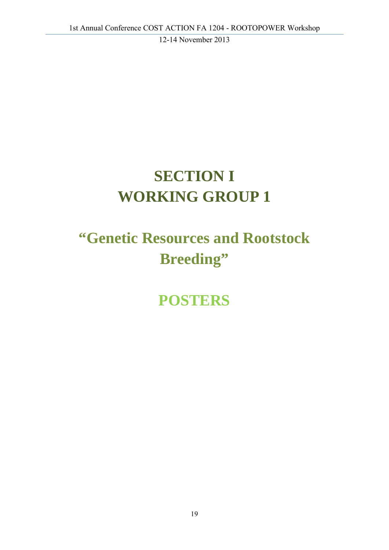## **SECTION I WORKING GROUP 1**

## **"Genetic Resources and Rootstock Breeding"**

**POSTERS**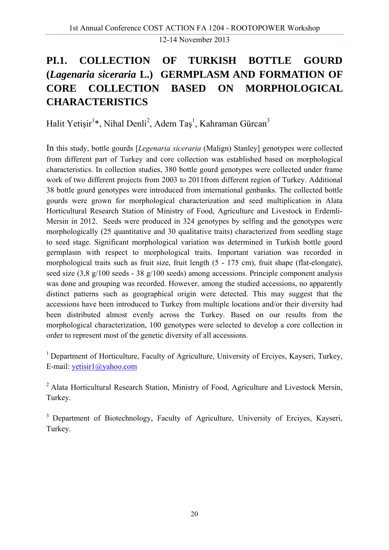## **PI.1. COLLECTION OF TURKISH BOTTLE GOURD (***Lagenaria siceraria* **L.) GERMPLASM AND FORMATION OF CORE COLLECTION BASED ON MORPHOLOGICAL CHARACTERISTICS**

Halit Yetişir<sup>1</sup>\*, Nihal Denli<sup>2</sup>, Adem Taş<sup>1</sup>, Kahraman Gürcan<sup>3</sup>

In this study, bottle gourds [*Legenaria siceraria* (Malign) Stanley] genotypes were collected from different part of Turkey and core collection was established based on morphological characteristics. In collection studies, 380 bottle gourd genotypes were collected under frame work of two different projects from 2003 to 2011from different region of Turkey. Additional 38 bottle gourd genotypes were introduced from international genbanks. The collected bottle gourds were grown for morphological characterization and seed multiplication in Alata Horticultural Research Station of Ministry of Food, Agriculture and Livestock in Erdemli-Mersin in 2012. Seeds were produced in 324 genotypes by selfing and the genotypes were morphologically (25 quantitative and 30 qualitative traits) characterized from seedling stage to seed stage. Significant morphological variation was determined in Turkish bottle gourd germplasm with respect to morphological traits. Important variation was recorded in morphological traits such as fruit size, fruit length (5 - 175 cm), fruit shape (flat-elongate), seed size (3,8 g/100 seeds - 38 g/100 seeds) among accessions. Principle component analysis was done and grouping was recorded. However, among the studied accessions, no apparently distinct patterns such as geographical origin were detected. This may suggest that the accessions have been introduced to Turkey from multiple locations and/or their diversity had been distributed almost evenly across the Turkey. Based on our results from the morphological characterization, 100 genotypes were selected to develop a core collection in order to represent most of the genetic diversity of all accessions.

<sup>1</sup> Department of Horticulture, Faculty of Agriculture, University of Ercives, Kayseri, Turkey, E-mail: yetisir1@yahoo.com

<sup>2</sup> Alata Horticultural Research Station, Ministry of Food, Agriculture and Livestock Mersin, Turkey.

<sup>3</sup> Department of Biotechnology, Faculty of Agriculture, University of Ercives, Kayseri, Turkey.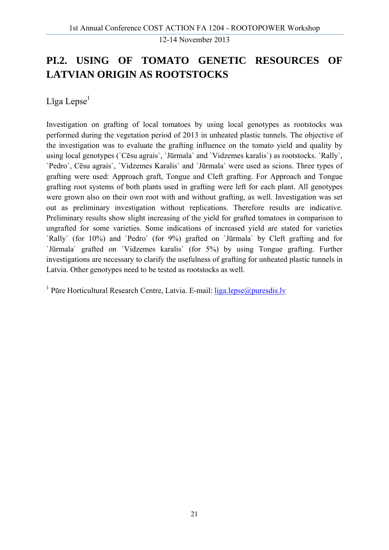### **PI.2. USING OF TOMATO GENETIC RESOURCES OF LATVIAN ORIGIN AS ROOTSTOCKS**

Līga Lepse<sup>1</sup>

Investigation on grafting of local tomatoes by using local genotypes as rootstocks was performed during the vegetation period of 2013 in unheated plastic tunnels. The objective of the investigation was to evaluate the grafting influence on the tomato yield and quality by using local genotypes (`Cēsu agrais`, `Jūrmala` and `Vidzemes karalis`) as rootstocks. `Rally`, `Pedro`, Cēsu agrais`, `Vidzemes Karalis` and `Jūrmala` were used as scions. Three types of grafting were used: Approach graft, Tongue and Cleft grafting. For Approach and Tongue grafting root systems of both plants used in grafting were left for each plant. All genotypes were grown also on their own root with and without grafting, as well. Investigation was set out as preliminary investigation without replications. Therefore results are indicative. Preliminary results show slight increasing of the yield for grafted tomatoes in comparison to ungrafted for some varieties. Some indications of increased yield are stated for varieties `Rally` (for 10%) and `Pedro` (for 9%) grafted on `Jūrmala` by Cleft grafting and for `Jūrmala` grafted on `Vidzemes karalis` (for 5%) by using Tongue grafting. Further investigations are necessary to clarify the usefulness of grafting for unheated plastic tunnels in Latvia. Other genotypes need to be tested as rootstocks as well.

<sup>1</sup> Pūre Horticultural Research Centre, Latvia. E-mail: liga.lepse@puresdis.lv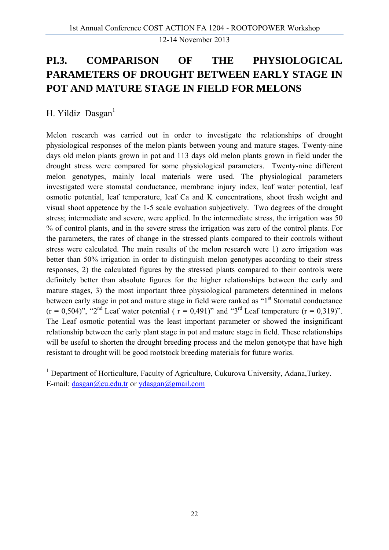## **PI.3. COMPARISON OF THE PHYSIOLOGICAL PARAMETERS OF DROUGHT BETWEEN EARLY STAGE IN POT AND MATURE STAGE IN FIELD FOR MELONS**

H. Yildiz Dasgan $<sup>1</sup>$ </sup>

Melon research was carried out in order to investigate the relationships of drought physiological responses of the melon plants between young and mature stages. Twenty-nine days old melon plants grown in pot and 113 days old melon plants grown in field under the drought stress were compared for some physiological parameters. Twenty-nine different melon genotypes, mainly local materials were used. The physiological parameters investigated were stomatal conductance, membrane injury index, leaf water potential, leaf osmotic potential, leaf temperature, leaf Ca and K concentrations, shoot fresh weight and visual shoot appetence by the 1-5 scale evaluation subjectively. Two degrees of the drought stress; intermediate and severe, were applied. In the intermediate stress, the irrigation was 50 % of control plants, and in the severe stress the irrigation was zero of the control plants. For the parameters, the rates of change in the stressed plants compared to their controls without stress were calculated. The main results of the melon research were 1) zero irrigation was better than 50% irrigation in order to distinguish melon genotypes according to their stress responses, 2) the calculated figures by the stressed plants compared to their controls were definitely better than absolute figures for the higher relationships between the early and mature stages, 3) the most important three physiological parameters determined in melons between early stage in pot and mature stage in field were ranked as "1<sup>st</sup> Stomatal conductance  $(r = 0.504)$ ", "2<sup>nd</sup> Leaf water potential ( $r = 0.491$ )" and "3<sup>rd</sup> Leaf temperature ( $r = 0.319$ )". The Leaf osmotic potential was the least important parameter or showed the insignificant relationship between the early plant stage in pot and mature stage in field. These relationships will be useful to shorten the drought breeding process and the melon genotype that have high resistant to drought will be good rootstock breeding materials for future works.

<sup>1</sup> Department of Horticulture, Faculty of Agriculture, Cukurova University, Adana, Turkey. E-mail: dasgan@cu.edu.tr or ydasgan@gmail.com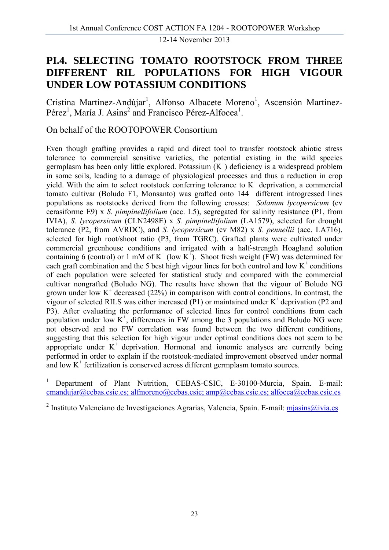### **PI.4. SELECTING TOMATO ROOTSTOCK FROM THREE DIFFERENT RIL POPULATIONS FOR HIGH VIGOUR UNDER LOW POTASSIUM CONDITIONS**

Cristina Martínez-Andújar<sup>1</sup>, Alfonso Albacete Moreno<sup>1</sup>, Ascensión Martínez-Pérez<sup>1</sup>, María J. Asins<sup>2</sup> and Francisco Pérez-Alfocea<sup>1</sup>.

On behalf of the ROOTOPOWER Consortium

Even though grafting provides a rapid and direct tool to transfer rootstock abiotic stress tolerance to commercial sensitive varieties, the potential existing in the wild species germplasm has been only little explored. Potassium  $(K^+)$  deficiency is a widespread problem in some soils, leading to a damage of physiological processes and thus a reduction in crop yield. With the aim to select rootstock conferring tolerance to  $K^+$  deprivation, a commercial tomato cultivar (Boludo F1, Monsanto) was grafted onto 144 different introgressed lines populations as rootstocks derived from the following crosses: *Solanum lycopersicum* (cv cerasiforme E9) x *S. pimpinellifolium* (acc. L5), segregated for salinity resistance (P1, from IVIA), *S. lycopersicum* (CLN2498E) x *S. pimpinellifolium* (LA1579), selected for drought tolerance (P2, from AVRDC), and *S. lycopersicum* (cv M82) x *S. pennellii* (acc. LA716), selected for high root/shoot ratio (P3, from TGRC). Grafted plants were cultivated under commercial greenhouse conditions and irrigated with a half-strength Hoagland solution containing 6 (control) or 1 mM of  $K^+$  (low  $K^+$ ). Shoot fresh weight (FW) was determined for each graft combination and the 5 best high vigour lines for both control and low  $K^+$  conditions of each population were selected for statistical study and compared with the commercial cultivar nongrafted (Boludo NG). The results have shown that the vigour of Boludo NG grown under low  $K^+$  decreased (22%) in comparison with control conditions. In contrast, the vigour of selected RILS was either increased (P1) or maintained under  $K^+$  deprivation (P2 and P3). After evaluating the performance of selected lines for control conditions from each population under low  $K^+$ , differences in FW among the 3 populations and Boludo NG were not observed and no FW correlation was found between the two different conditions, suggesting that this selection for high vigour under optimal conditions does not seem to be appropriate under  $K^+$  deprivation. Hormonal and ionomic analyses are currently being performed in order to explain if the rootstook-mediated improvement observed under normal and low  $K^+$  fertilization is conserved across different germplasm tomato sources.

1 Department of Plant Nutrition, CEBAS-CSIC, E-30100-Murcia, Spain. E-mail: cmandujar@cebas.csic.es; alfmoreno@cebas.csic; amp@cebas.csic.es; alfocea@cebas.csic.es

<sup>2</sup> Instituto Valenciano de Investigaciones Agrarias, Valencia, Spain. E-mail: mjasins@ivia.es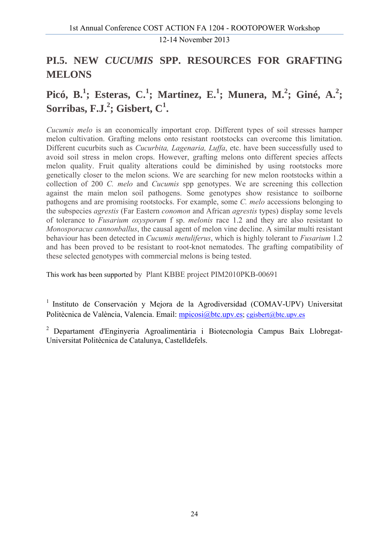### **PI.5. NEW** *CUCUMIS* **SPP. RESOURCES FOR GRAFTING MELONS**

## **Picó, B.<sup>1</sup>; Esteras, C.<sup>1</sup>; Martinez, E.<sup>1</sup>; Munera, M.<sup>2</sup>; Giné, A.<sup>2</sup>;**  $\textbf{Sorribas}, \textbf{F.J.}^2; \textbf{Gisbert}, \textbf{C}^1.$

*Cucumis melo* is an economically important crop. Different types of soil stresses hamper melon cultivation. Grafting melons onto resistant rootstocks can overcome this limitation. Different cucurbits such as *Cucurbita, Lagenaria, Luffa*, etc. have been successfully used to avoid soil stress in melon crops. However, grafting melons onto different species affects melon quality. Fruit quality alterations could be diminished by using rootstocks more genetically closer to the melon scions. We are searching for new melon rootstocks within a collection of 200 *C. melo* and *Cucumis* spp genotypes. We are screening this collection against the main melon soil pathogens. Some genotypes show resistance to soilborne pathogens and are promising rootstocks. For example, some *C. melo* accessions belonging to the subspecies *agrestis* (Far Eastern *conomon* and African *agrestis* types) display some levels of tolerance to *Fusarium oxysporum* f sp. *melonis* race 1.2 and they are also resistant to *Monosporacus cannonballus*, the causal agent of melon vine decline. A similar multi resistant behaviour has been detected in *Cucumis metuliferus*, which is highly tolerant to *Fusarium* 1.2 and has been proved to be resistant to root-knot nematodes. The grafting compatibility of these selected genotypes with commercial melons is being tested.

This work has been supported by Plant KBBE project PIM2010PKB-00691

<sup>1</sup> Instituto de Conservación y Mejora de la Agrodiversidad (COMAV-UPV) Universitat Politècnica de València, Valencia. Email: mpicosi@btc.upv.es; cgisbert@btc.upv.es

2 Departament d'Enginyeria Agroalimentària i Biotecnologia Campus Baix Llobregat-Universitat Politècnica de Catalunya, Castelldefels.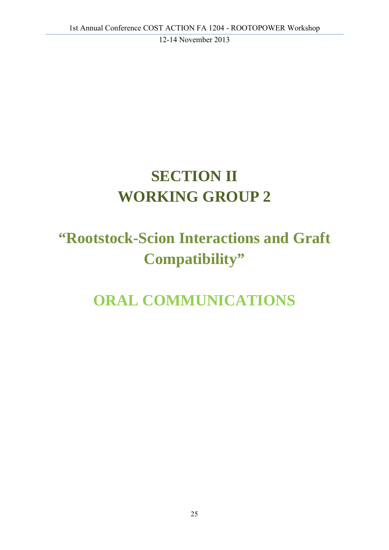## **SECTION II WORKING GROUP 2**

## **"Rootstock-Scion Interactions and Graft Compatibility"**

## **ORAL COMMUNICATIONS**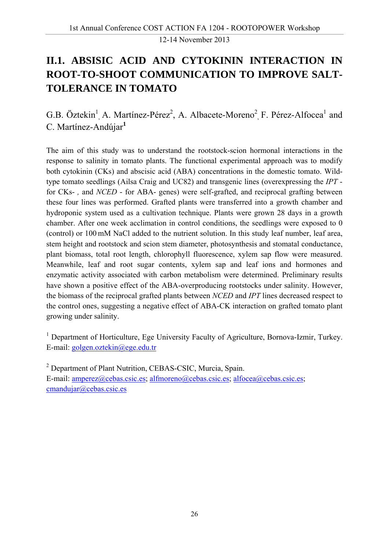## **II.1. ABSISIC ACID AND CYTOKININ INTERACTION IN ROOT-TO-SHOOT COMMUNICATION TO IMPROVE SALT-TOLERANCE IN TOMATO**

### G.B. Öztekin<sup>1</sup>, A. Martínez-Pérez<sup>2</sup>, A. Albacete-Moreno<sup>2</sup>, F. Pérez-Alfocea<sup>1</sup> and C. Martínez-Andújar**<sup>1</sup>**

The aim of this study was to understand the rootstock-scion hormonal interactions in the response to salinity in tomato plants. The functional experimental approach was to modify both cytokinin (CKs) and abscisic acid (ABA) concentrations in the domestic tomato. Wildtype tomato seedlings (Ailsa Craig and UC82) and transgenic lines (overexpressing the *IPT*  for CKs- *,* and *NCED* - for ABA- genes) were self-grafted, and reciprocal grafting between these four lines was performed. Grafted plants were transferred into a growth chamber and hydroponic system used as a cultivation technique. Plants were grown 28 days in a growth chamber. After one week acclimation in control conditions, the seedlings were exposed to 0 (control) or 100 mM NaCl added to the nutrient solution. In this study leaf number, leaf area, stem height and rootstock and scion stem diameter, photosynthesis and stomatal conductance, plant biomass, total root length, chlorophyll fluorescence, xylem sap flow were measured. Meanwhile, leaf and root sugar contents, xylem sap and leaf ions and hormones and enzymatic activity associated with carbon metabolism were determined. Preliminary results have shown a positive effect of the ABA-overproducing rootstocks under salinity. However, the biomass of the reciprocal grafted plants between *NCED* and *IPT* lines decreased respect to the control ones, suggesting a negative effect of ABA-CK interaction on grafted tomato plant growing under salinity.

<sup>1</sup> Department of Horticulture, Ege University Faculty of Agriculture, Bornova-Izmir, Turkey. E-mail: golgen.oztekin@ege.edu.tr

<sup>2</sup> Department of Plant Nutrition, CEBAS-CSIC, Murcia, Spain. E-mail: amperez@cebas.csic.es; alfmoreno@cebas.csic.es; alfocea@cebas.csic.es; cmandujar@cebas.csic.es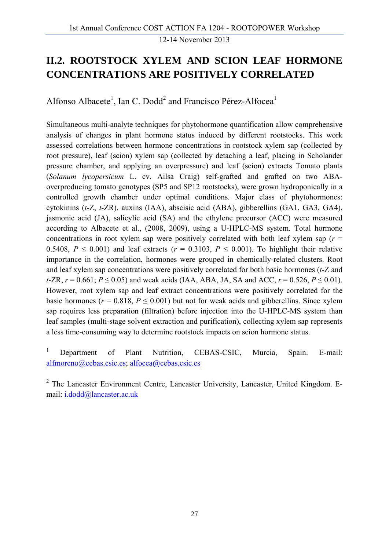### **II.2. ROOTSTOCK XYLEM AND SCION LEAF HORMONE CONCENTRATIONS ARE POSITIVELY CORRELATED**

Alfonso Albacete<sup>1</sup>, Ian C. Dodd<sup>2</sup> and Francisco Pérez-Alfocea<sup>1</sup>

Simultaneous multi-analyte techniques for phytohormone quantification allow comprehensive analysis of changes in plant hormone status induced by different rootstocks. This work assessed correlations between hormone concentrations in rootstock xylem sap (collected by root pressure), leaf (scion) xylem sap (collected by detaching a leaf, placing in Scholander pressure chamber, and applying an overpressure) and leaf (scion) extracts Tomato plants (*Solanum lycopersicum* L. cv. Ailsa Craig) self-grafted and grafted on two ABAoverproducing tomato genotypes (SP5 and SP12 rootstocks), were grown hydroponically in a controlled growth chamber under optimal conditions. Major class of phytohormones: cytokinins (*t*-Z, *t*-ZR), auxins (IAA), abscisic acid (ABA), gibberellins (GA1, GA3, GA4), jasmonic acid (JA), salicylic acid (SA) and the ethylene precursor (ACC) were measured according to Albacete et al., (2008, 2009), using a U-HPLC-MS system. Total hormone concentrations in root xylem sap were positively correlated with both leaf xylem sap ( $r =$ 0.5408,  $P \le 0.001$ ) and leaf extracts ( $r = 0.3103$ ,  $P \le 0.001$ ). To highlight their relative importance in the correlation, hormones were grouped in chemically-related clusters. Root and leaf xylem sap concentrations were positively correlated for both basic hormones (*t*-Z and *t*-ZR,  $r = 0.661$ ;  $P \le 0.05$ ) and weak acids (IAA, ABA, JA, SA and ACC,  $r = 0.526$ ,  $P \le 0.01$ ). However, root xylem sap and leaf extract concentrations were positively correlated for the basic hormones ( $r = 0.818$ ,  $P \le 0.001$ ) but not for weak acids and gibberellins. Since xylem sap requires less preparation (filtration) before injection into the U-HPLC-MS system than leaf samples (multi-stage solvent extraction and purification), collecting xylem sap represents a less time-consuming way to determine rootstock impacts on scion hormone status.

1 Department of Plant Nutrition, CEBAS-CSIC, Murcia, Spain. E-mail: alfmoreno@cebas.csic.es; alfocea@cebas.csic.es

<sup>2</sup> The Lancaster Environment Centre, Lancaster University, Lancaster, United Kingdom. Email: i.dodd@lancaster.ac.uk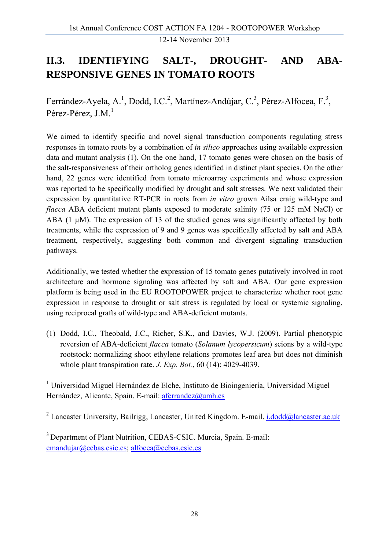## **II.3. IDENTIFYING SALT-, DROUGHT- AND ABA-RESPONSIVE GENES IN TOMATO ROOTS**

Ferrández-Ayela, A.<sup>1</sup>, Dodd, I.C.<sup>2</sup>, Martínez-Andújar, C.<sup>3</sup>, Pérez-Alfocea, F.<sup>3</sup>, Pérez-Pérez, J.M. $<sup>1</sup>$ </sup>

We aimed to identify specific and novel signal transduction components regulating stress responses in tomato roots by a combination of *in silico* approaches using available expression data and mutant analysis (1). On the one hand, 17 tomato genes were chosen on the basis of the salt-responsiveness of their ortholog genes identified in distinct plant species. On the other hand, 22 genes were identified from tomato microarray experiments and whose expression was reported to be specifically modified by drought and salt stresses. We next validated their expression by quantitative RT-PCR in roots from *in vitro* grown Ailsa craig wild-type and *flacca* ABA deficient mutant plants exposed to moderate salinity (75 or 125 mM NaCl) or ABA (1  $\mu$ M). The expression of 13 of the studied genes was significantly affected by both treatments, while the expression of 9 and 9 genes was specifically affected by salt and ABA treatment, respectively, suggesting both common and divergent signaling transduction pathways.

Additionally, we tested whether the expression of 15 tomato genes putatively involved in root architecture and hormone signaling was affected by salt and ABA. Our gene expression platform is being used in the EU ROOTOPOWER project to characterize whether root gene expression in response to drought or salt stress is regulated by local or systemic signaling, using reciprocal grafts of wild-type and ABA-deficient mutants.

(1) Dodd, I.C., Theobald, J.C., Richer, S.K., and Davies, W.J. (2009). Partial phenotypic reversion of ABA-deficient *flacca* tomato (*Solanum lycopersicum*) scions by a wild-type rootstock: normalizing shoot ethylene relations promotes leaf area but does not diminish whole plant transpiration rate. *J. Exp. Bot.*, 60 (14): 4029-4039.

<sup>1</sup> Universidad Miguel Hernández de Elche, Instituto de Bioingeniería, Universidad Miguel Hernández, Alicante, Spain. E-mail: aferrandez@umh.es

<sup>2</sup> Lancaster University, Bailrigg, Lancaster, United Kingdom. E-mail. *i.dodd@lancaster.ac.uk* 

3 Department of Plant Nutrition, CEBAS-CSIC. Murcia, Spain. E-mail: cmandujar@cebas.csic.es; alfocea@cebas.csic.es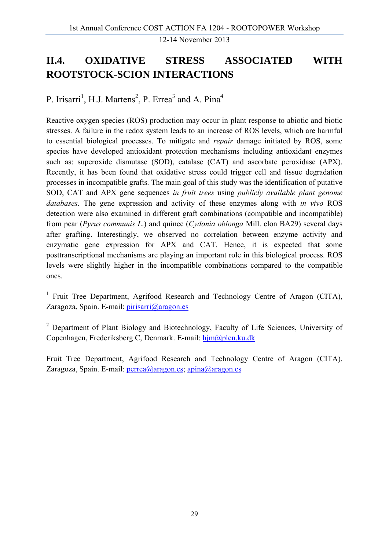## **II.4. OXIDATIVE STRESS ASSOCIATED WITH ROOTSTOCK-SCION INTERACTIONS**

P. Irisarri<sup>1</sup>, H.J. Martens<sup>2</sup>, P. Errea<sup>3</sup> and A. Pina<sup>4</sup>

Reactive oxygen species (ROS) production may occur in plant response to abiotic and biotic stresses. A failure in the redox system leads to an increase of ROS levels, which are harmful to essential biological processes. To mitigate and *repair* damage initiated by ROS, some species have developed antioxidant protection mechanisms including antioxidant enzymes such as: superoxide dismutase (SOD), catalase (CAT) and ascorbate peroxidase (APX). Recently, it has been found that oxidative stress could trigger cell and tissue degradation processes in incompatible grafts. The main goal of this study was the identification of putative SOD, CAT and APX gene sequences *in fruit trees* using *publicly available plant genome databases*. The gene expression and activity of these enzymes along with *in vivo* ROS detection were also examined in different graft combinations (compatible and incompatible) from pear (*Pyrus communis L*.) and quince (*Cydonia oblonga* Mill. clon BA29) several days after grafting. Interestingly, we observed no correlation between enzyme activity and enzymatic gene expression for APX and CAT. Hence, it is expected that some posttranscriptional mechanisms are playing an important role in this biological process. ROS levels were slightly higher in the incompatible combinations compared to the compatible ones.

<sup>1</sup> Fruit Tree Department, Agrifood Research and Technology Centre of Aragon (CITA), Zaragoza, Spain. E-mail: *pirisarri@aragon.es* 

<sup>2</sup> Department of Plant Biology and Biotechnology, Faculty of Life Sciences, University of Copenhagen, Frederiksberg C, Denmark. E-mail: hjm@plen.ku.dk

Fruit Tree Department, Agrifood Research and Technology Centre of Aragon (CITA), Zaragoza, Spain. E-mail: perrea@aragon.es; apina@aragon.es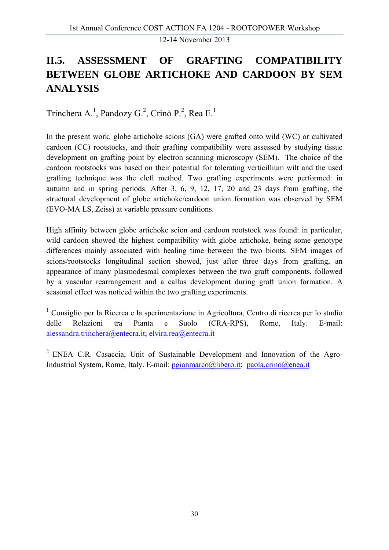## **II.5. ASSESSMENT OF GRAFTING COMPATIBILITY BETWEEN GLOBE ARTICHOKE AND CARDOON BY SEM ANALYSIS**

Trinchera A.<sup>1</sup>, Pandozy G.<sup>2</sup>, Crinò P.<sup>2</sup>, Rea E.<sup>1</sup>

In the present work, globe artichoke scions (GA) were grafted onto wild (WC) or cultivated cardoon (CC) rootstocks, and their grafting compatibility were assessed by studying tissue development on grafting point by electron scanning microscopy (SEM). The choice of the cardoon rootstocks was based on their potential for tolerating verticillium wilt and the used grafting technique was the cleft method. Two grafting experiments were performed: in autumn and in spring periods. After 3, 6, 9, 12, 17, 20 and 23 days from grafting, the structural development of globe artichoke/cardoon union formation was observed by SEM (EVO-MA LS, Zeiss) at variable pressure conditions.

High affinity between globe artichoke scion and cardoon rootstock was found: in particular, wild cardoon showed the highest compatibility with globe artichoke, being some genotype differences mainly associated with healing time between the two bionts. SEM images of scions/rootstocks longitudinal section showed, just after three days from grafting, an appearance of many plasmodesmal complexes between the two graft components, followed by a vascular rearrangement and a callus development during graft union formation. A seasonal effect was noticed within the two grafting experiments.

1 Consiglio per la Ricerca e la sperimentazione in Agricoltura, Centro di ricerca per lo studio delle Relazioni tra Pianta e Suolo (CRA-RPS), Rome, Italy. E-mail: alessandra.trinchera@entecra.it; elvira.rea@entecra.it

2 ENEA C.R. Casaccia, Unit of Sustainable Development and Innovation of the Agro-Industrial System, Rome, Italy. E-mail: pgianmarco@libero.it; paola.crino@enea.it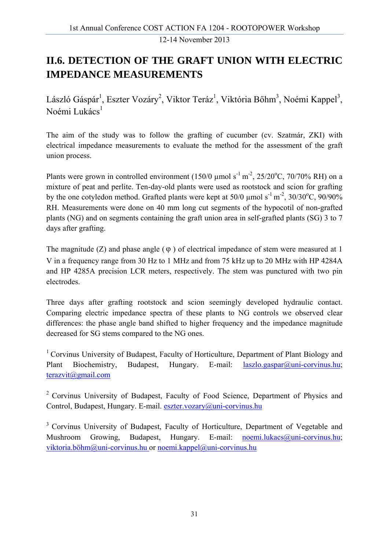## **II.6. DETECTION OF THE GRAFT UNION WITH ELECTRIC IMPEDANCE MEASUREMENTS**

László Gáspár<sup>1</sup>, Eszter Vozáry<sup>2</sup>, Viktor Teráz<sup>1</sup>, Viktória Bőhm<sup>3</sup>, Noémi Kappel<sup>3</sup>, Noémi Lukács<sup>1</sup>

The aim of the study was to follow the grafting of cucumber (cv. Szatmár, ZKI) with electrical impedance measurements to evaluate the method for the assessment of the graft union process.

Plants were grown in controlled environment  $(150/0 \mu \text{mol s}^{-1} \text{m}^{-2}, 25/20^{\circ} \text{C}, 70/70\% \text{RH})$  on a mixture of peat and perlite. Ten-day-old plants were used as rootstock and scion for grafting by the one cotyledon method. Grafted plants were kept at  $50/0$  µmol s<sup>-1</sup> m<sup>-2</sup>,  $30/30^{\circ}$ C,  $90/90\%$ RH. Measurements were done on 40 mm long cut segments of the hypocotil of non-grafted plants (NG) and on segments containing the graft union area in self-grafted plants (SG) 3 to 7 days after grafting.

The magnitude (Z) and phase angle  $(\varphi)$  of electrical impedance of stem were measured at 1 V in a frequency range from 30 Hz to 1 MHz and from 75 kHz up to 20 MHz with HP 4284A and HP 4285A precision LCR meters, respectively. The stem was punctured with two pin electrodes.

Three days after grafting rootstock and scion seemingly developed hydraulic contact. Comparing electric impedance spectra of these plants to NG controls we observed clear differences: the phase angle band shifted to higher frequency and the impedance magnitude decreased for SG stems compared to the NG ones.

<sup>1</sup> Corvinus University of Budapest, Faculty of Horticulture, Department of Plant Biology and Plant Biochemistry, Budapest, Hungary. E-mail: laszlo.gaspar@uni-corvinus.hu; terazvit@gmail.com

<sup>2</sup> Corvinus University of Budapest, Faculty of Food Science, Department of Physics and Control, Budapest, Hungary. E-mail. eszter.vozary@uni-corvinus.hu

<sup>3</sup> Corvinus University of Budapest, Faculty of Horticulture, Department of Vegetable and Mushroom Growing, Budapest, Hungary. E-mail: noemi.lukacs@uni-corvinus.hu; viktoria.böhm@uni-corvinus.hu or noemi.kappel@uni-corvinus.hu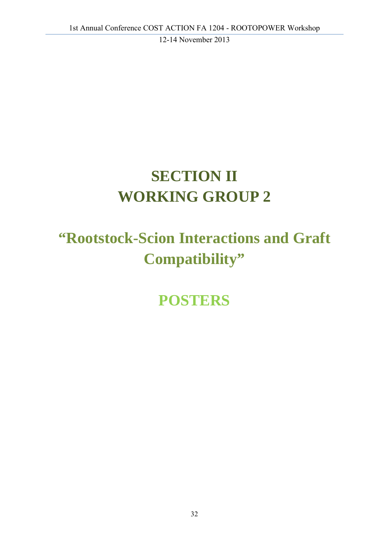## **SECTION II WORKING GROUP 2**

## **"Rootstock-Scion Interactions and Graft Compatibility"**

**POSTERS**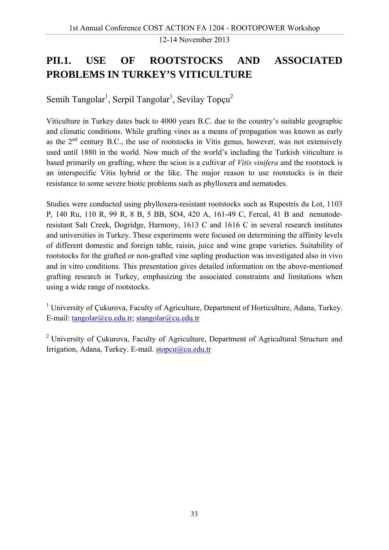## **PII.1. USE OF ROOTSTOCKS AND ASSOCIATED PROBLEMS IN TURKEY'S VITICULTURE**

Semih Tangolar<sup>1</sup>, Serpil Tangolar<sup>1</sup>, Sevilay Topçu<sup>2</sup>

Viticulture in Turkey dates back to 4000 years B.C. due to the country's suitable geographic and climatic conditions. While grafting vines as a means of propagation was known as early as the  $2<sup>nd</sup>$  century B.C., the use of rootstocks in Vitis genus, however, was not extensively used until 1880 in the world. Now much of the world's including the Turkish viticulture is based primarily on grafting, where the scion is a cultivar of *Vitis vinifera* and the rootstock is an interspecific Vitis hybrid or the like. The major reason to use rootstocks is in their resistance to some severe biotic problems such as phylloxera and nematodes.

Studies were conducted using phylloxera-resistant rootstocks such as Rupestris du Lot, 1103 P, 140 Ru, 110 R, 99 R, 8 B, 5 BB, SO4, 420 A, 161-49 C, Fercal, 41 B and nematoderesistant Salt Creek, Dogridge, Harmony, 1613 C and 1616 C in several research institutes and universities in Turkey. These experiments were focused on determining the affinity levels of different domestic and foreign table, raisin, juice and wine grape varieties. Suitability of rootstocks for the grafted or non-grafted vine sapling production was investigated also in vivo and in vitro conditions. This presentation gives detailed information on the above-mentioned grafting research in Turkey, emphasizing the associated constraints and limitations when using a wide range of rootstocks.

<sup>1</sup> University of Çukurova, Faculty of Agriculture, Department of Horticulture, Adana, Turkey. E-mail: tangolar@cu.edu.tr; stangolar@cu.edu.tr

<sup>2</sup> University of Çukurova, Faculty of Agriculture, Department of Agricultural Structure and Irrigation, Adana, Turkey. E-mail. stopcu@cu.edu.tr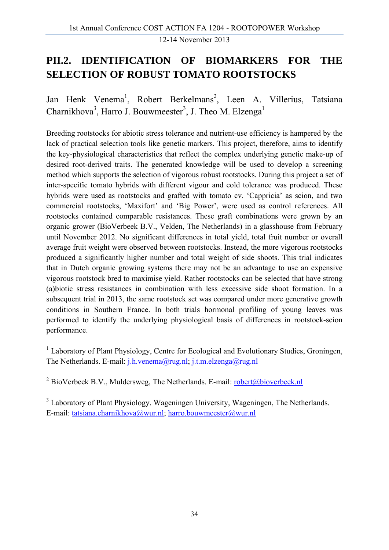### **PII.2. IDENTIFICATION OF BIOMARKERS FOR THE SELECTION OF ROBUST TOMATO ROOTSTOCKS**

Jan Henk Venema<sup>1</sup>, Robert Berkelmans<sup>2</sup>, Leen A. Villerius, Tatsiana Charnikhova<sup>3</sup>, Harro J. Bouwmeester<sup>3</sup>, J. Theo M. Elzenga<sup>1</sup>

Breeding rootstocks for abiotic stress tolerance and nutrient-use efficiency is hampered by the lack of practical selection tools like genetic markers. This project, therefore, aims to identify the key-physiological characteristics that reflect the complex underlying genetic make-up of desired root-derived traits. The generated knowledge will be used to develop a screening method which supports the selection of vigorous robust rootstocks. During this project a set of inter-specific tomato hybrids with different vigour and cold tolerance was produced. These hybrids were used as rootstocks and grafted with tomato cv. 'Cappricia' as scion, and two commercial rootstocks, 'Maxifort' and 'Big Power', were used as control references. All rootstocks contained comparable resistances. These graft combinations were grown by an organic grower (BioVerbeek B.V., Velden, The Netherlands) in a glasshouse from February until November 2012. No significant differences in total yield, total fruit number or overall average fruit weight were observed between rootstocks. Instead, the more vigorous rootstocks produced a significantly higher number and total weight of side shoots. This trial indicates that in Dutch organic growing systems there may not be an advantage to use an expensive vigorous rootstock bred to maximise yield. Rather rootstocks can be selected that have strong (a)biotic stress resistances in combination with less excessive side shoot formation. In a subsequent trial in 2013, the same rootstock set was compared under more generative growth conditions in Southern France. In both trials hormonal profiling of young leaves was performed to identify the underlying physiological basis of differences in rootstock-scion performance.

<sup>1</sup> Laboratory of Plant Physiology, Centre for Ecological and Evolutionary Studies, Groningen, The Netherlands. E-mail: j.h.venema@rug.nl; j.t.m.elzenga@rug.nl

<sup>2</sup> BioVerbeek B.V., Muldersweg, The Netherlands. E-mail:  $\frac{1}{2}$  robert $\frac{1}{2}$  bioverbeek.nl

<sup>3</sup> Laboratory of Plant Physiology, Wageningen University, Wageningen, The Netherlands. E-mail: tatsiana.charnikhova@wur.nl; harro.bouwmeester@wur.nl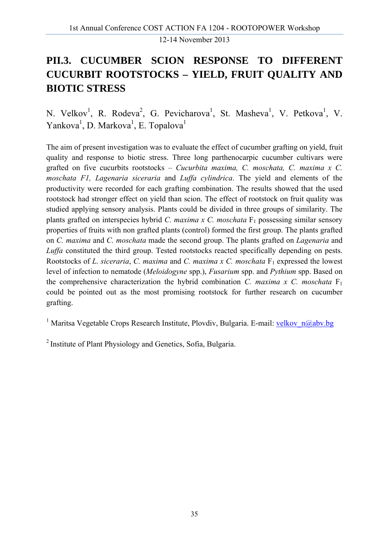## **PII.3. CUCUMBER SCION RESPONSE TO DIFFERENT CUCURBIT ROOTSTOCKS – YIELD, FRUIT QUALITY AND BIOTIC STRESS**

N. Velkov<sup>1</sup>, R. Rodeva<sup>2</sup>, G. Pevicharova<sup>1</sup>, St. Masheva<sup>1</sup>, V. Petkova<sup>1</sup>, V. Yankova<sup>1</sup>, D. Markova<sup>1</sup>, E. Topalova<sup>1</sup>

The aim of present investigation was to evaluate the effect of cucumber grafting on yield, fruit quality and response to biotic stress. Three long parthenocarpic cucumber cultivars were grafted on five cucurbits rootstocks – *Cucurbita maxima, C. moschata, C. maxima x C. moschata F1, Lagenaria siceraria* and *Luffa cylindrica*. The yield and elements of the productivity were recorded for each grafting combination. The results showed that the used rootstock had stronger effect on yield than scion. The effect of rootstock on fruit quality was studied applying sensory analysis. Plants could be divided in three groups of similarity. The plants grafted on interspecies hybrid *C. maxima x C. moschata* F<sub>1</sub> possessing similar sensory properties of fruits with non grafted plants (control) formed the first group. The plants grafted on *C. maxima* and *C. moschata* made the second group. The plants grafted on *Lagenaria* and *Luffa* constituted the third group. Tested rootstocks reacted specifically depending on pests. Rootstocks of *L. siceraria, C. maxima* and *C. maxima x C. moschata* F<sub>1</sub> expressed the lowest level of infection to nematode (*Meloidogyne* spp.), *Fusarium* spp. and *Pythium* spp. Based on the comprehensive characterization the hybrid combination *C. maxima x C. moschata*  $F_1$ could be pointed out as the most promising rootstock for further research on cucumber grafting.

<sup>1</sup> Maritsa Vegetable Crops Research Institute, Plovdiv, Bulgaria. E-mail: velkov n@abv.bg

2 Institute of Plant Physiology and Genetics, Sofia, Bulgaria.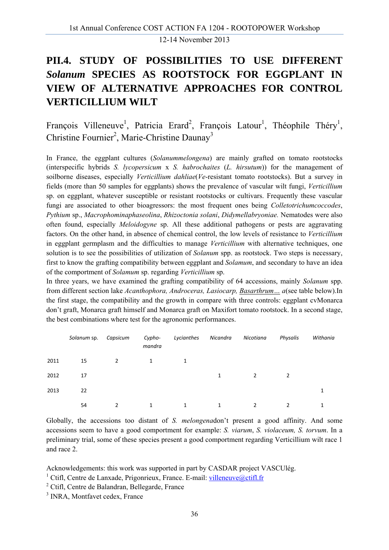# **PII.4. STUDY OF POSSIBILITIES TO USE DIFFERENT**  *Solanum* **SPECIES AS ROOTSTOCK FOR EGGPLANT IN VIEW OF ALTERNATIVE APPROACHES FOR CONTROL VERTICILLIUM WILT**

François Villeneuve<sup>1</sup>, Patricia Erard<sup>2</sup>, François Latour<sup>1</sup>, Théophile Théry<sup>1</sup>, Christine Fournier<sup>2</sup>, Marie-Christine Daunay<sup>3</sup>

In France, the eggplant cultures (*Solanummelongena*) are mainly grafted on tomato rootstocks (interspecific hybrids *S. lycopersicum* x *S. habrochaites* (*L. hirsutum*)) for the management of soilborne diseases, especially *Verticillium dahliae*(*Ve*-resistant tomato rootstocks). But a survey in fields (more than 50 samples for eggplants) shows the prevalence of vascular wilt fungi, *Verticillium* sp. on eggplant, whatever susceptible or resistant rootstocks or cultivars. Frequently these vascular fungi are associated to other bioagressors: the most frequent ones being *Colletotrichumcoccodes*, *Pythium* sp., *Macrophominaphaseolina*, *Rhizoctonia solani*, *Didymellabryoniae.* Nematodes were also often found, especially *Meloidogyne* sp. All these additional pathogens or pests are aggravating factors. On the other hand, in absence of chemical control, the low levels of resistance to *Verticillium* in eggplant germplasm and the difficulties to manage *Verticillium* with alternative techniques, one solution is to see the possibilities of utilization of *Solanum* spp. as rootstock. Two steps is necessary, first to know the grafting compatibility between eggplant and *Solamum*, and secondary to have an idea of the comportment of *Solamum* sp. regarding *Verticillium* sp.

In three years, we have examined the grafting compatibility of 64 accessions, mainly *Solanum* spp. from different section lake *Acanthophora, Androceras, Lasiocarp, Basarthrum… a*(see table below).In the first stage, the compatibility and the growth in compare with three controls: eggplant cvMonarca don't graft, Monarca graft himself and Monarca graft on Maxifort tomato rootstock. In a second stage, the best combinations where test for the agronomic performances.

|      | Solanum sp. | Capsicum | Cypho-<br>mandra | Lycianthes | Nicandra | Nicotiana | Physalis | Withania |
|------|-------------|----------|------------------|------------|----------|-----------|----------|----------|
| 2011 | 15          | 2        | $\mathbf{1}$     | 1          |          |           |          |          |
| 2012 | 17          |          |                  |            | 1        | 2         | 2        |          |
| 2013 | 22          |          |                  |            |          |           |          | 1        |
|      | 54          |          | 1                | 1          | 1        | 2         |          | 1        |

Globally, the accessions too distant of *S. melongena*don't present a good affinity. And some accessions seem to have a good comportment for example: *S. viarum*, *S. violaceum, S. torvum*. In a preliminary trial, some of these species present a good comportment regarding Verticillium wilt race 1 and race 2.

Acknowledgements: this work was supported in part by CASDAR project VASCUlég.

<sup>1</sup> Ctifl, Centre de Lanxade, Prigonrieux, France. E-mail: villeneuve@ctifl.fr

<sup>2</sup> Ctifl, Centre de Balandran, Bellegarde, France

<sup>3</sup> INRA, Montfavet cedex, France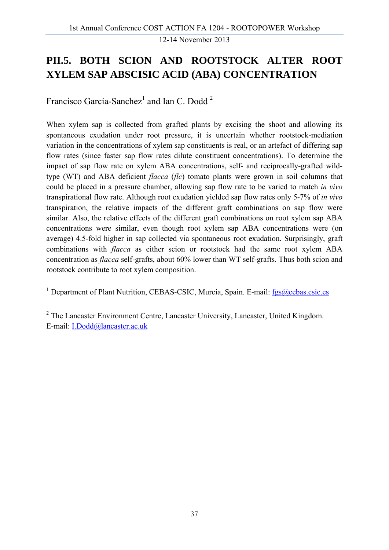### **PII.5. BOTH SCION AND ROOTSTOCK ALTER ROOT XYLEM SAP ABSCISIC ACID (ABA) CONCENTRATION**

Francisco García-Sanchez<sup>1</sup> and Ian C. Dodd<sup>2</sup>

When xylem sap is collected from grafted plants by excising the shoot and allowing its spontaneous exudation under root pressure, it is uncertain whether rootstock-mediation variation in the concentrations of xylem sap constituents is real, or an artefact of differing sap flow rates (since faster sap flow rates dilute constituent concentrations). To determine the impact of sap flow rate on xylem ABA concentrations, self- and reciprocally-grafted wildtype (WT) and ABA deficient *flacca* (*flc*) tomato plants were grown in soil columns that could be placed in a pressure chamber, allowing sap flow rate to be varied to match *in vivo* transpirational flow rate. Although root exudation yielded sap flow rates only 5-7% of *in vivo* transpiration, the relative impacts of the different graft combinations on sap flow were similar. Also, the relative effects of the different graft combinations on root xylem sap ABA concentrations were similar, even though root xylem sap ABA concentrations were (on average) 4.5-fold higher in sap collected via spontaneous root exudation. Surprisingly, graft combinations with *flacca* as either scion or rootstock had the same root xylem ABA concentration as *flacca* self-grafts, about 60% lower than WT self-grafts. Thus both scion and rootstock contribute to root xylem composition.

<sup>1</sup> Department of Plant Nutrition, CEBAS-CSIC, Murcia, Spain. E-mail: fgs@cebas.csic.es

<sup>2</sup> The Lancaster Environment Centre, Lancaster University, Lancaster, United Kingdom. E-mail: I.Dodd@lancaster.ac.uk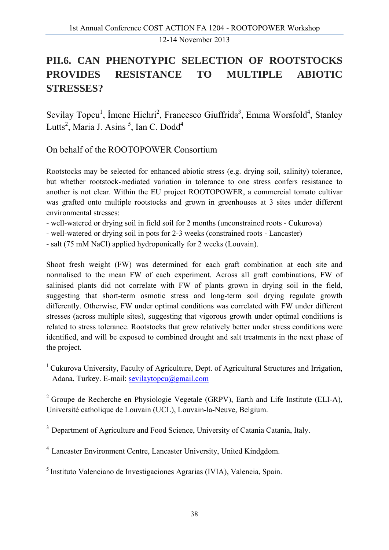# **PII.6. CAN PHENOTYPIC SELECTION OF ROOTSTOCKS PROVIDES RESISTANCE TO MULTIPLE ABIOTIC STRESSES?**

Sevilay Topcu<sup>1</sup>, İmene Hichri<sup>2</sup>, Francesco Giuffrida<sup>3</sup>, Emma Worsfold<sup>4</sup>, Stanley Lutts<sup>2</sup>, Maria J. Asins<sup>5</sup>, Ian C. Dodd<sup>4</sup>

On behalf of the ROOTOPOWER Consortium

Rootstocks may be selected for enhanced abiotic stress (e.g. drying soil, salinity) tolerance, but whether rootstock-mediated variation in tolerance to one stress confers resistance to another is not clear. Within the EU project ROOTOPOWER, a commercial tomato cultivar was grafted onto multiple rootstocks and grown in greenhouses at 3 sites under different environmental stresses:

- well-watered or drying soil in field soil for 2 months (unconstrained roots Cukurova)
- well-watered or drying soil in pots for 2-3 weeks (constrained roots Lancaster)
- salt (75 mM NaCl) applied hydroponically for 2 weeks (Louvain).

Shoot fresh weight (FW) was determined for each graft combination at each site and normalised to the mean FW of each experiment. Across all graft combinations, FW of salinised plants did not correlate with FW of plants grown in drying soil in the field, suggesting that short-term osmotic stress and long-term soil drying regulate growth differently. Otherwise, FW under optimal conditions was correlated with FW under different stresses (across multiple sites), suggesting that vigorous growth under optimal conditions is related to stress tolerance. Rootstocks that grew relatively better under stress conditions were identified, and will be exposed to combined drought and salt treatments in the next phase of the project.

<sup>1</sup> Cukurova University, Faculty of Agriculture, Dept. of Agricultural Structures and Irrigation, Adana, Turkey. E-mail: sevilaytopcu@gmail.com

<sup>2</sup> Groupe de Recherche en Physiologie Vegetale (GRPV), Earth and Life Institute (ELI-A), Université catholique de Louvain (UCL), Louvain-la-Neuve, Belgium.

<sup>3</sup> Department of Agriculture and Food Science, University of Catania Catania, Italy.

4 Lancaster Environment Centre, Lancaster University, United Kindgdom.

5 Instituto Valenciano de Investigaciones Agrarias (IVIA), Valencia, Spain.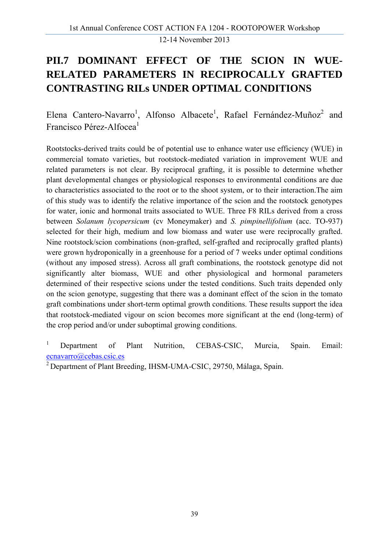#### **PII.7 DOMINANT EFFECT OF THE SCION IN WUE-RELATED PARAMETERS IN RECIPROCALLY GRAFTED CONTRASTING RILs UNDER OPTIMAL CONDITIONS**

Elena Cantero-Navarro<sup>1</sup>, Alfonso Albacete<sup>1</sup>, Rafael Fernández-Muñoz<sup>2</sup> and Francisco Pérez-Alfocea<sup>1</sup>

Rootstocks-derived traits could be of potential use to enhance water use efficiency (WUE) in commercial tomato varieties, but rootstock-mediated variation in improvement WUE and related parameters is not clear. By reciprocal grafting, it is possible to determine whether plant developmental changes or physiological responses to environmental conditions are due to characteristics associated to the root or to the shoot system, or to their interaction.The aim of this study was to identify the relative importance of the scion and the rootstock genotypes for water, ionic and hormonal traits associated to WUE. Three F8 RILs derived from a cross between *Solanum lycopersicum* (cv Moneymaker) and *S. pimpinellifolium* (acc. TO-937) selected for their high, medium and low biomass and water use were reciprocally grafted. Nine rootstock/scion combinations (non-grafted, self-grafted and reciprocally grafted plants) were grown hydroponically in a greenhouse for a period of 7 weeks under optimal conditions (without any imposed stress). Across all graft combinations, the rootstock genotype did not significantly alter biomass, WUE and other physiological and hormonal parameters determined of their respective scions under the tested conditions. Such traits depended only on the scion genotype, suggesting that there was a dominant effect of the scion in the tomato graft combinations under short-term optimal growth conditions. These results support the idea that rootstock-mediated vigour on scion becomes more significant at the end (long-term) of the crop period and/or under suboptimal growing conditions.

1 Department of Plant Nutrition, CEBAS-CSIC, Murcia, Spain. Email: ecnavarro@cebas.csic.es

<sup>&</sup>lt;sup>2</sup> Department of Plant Breeding, IHSM-UMA-CSIC, 29750, Málaga, Spain.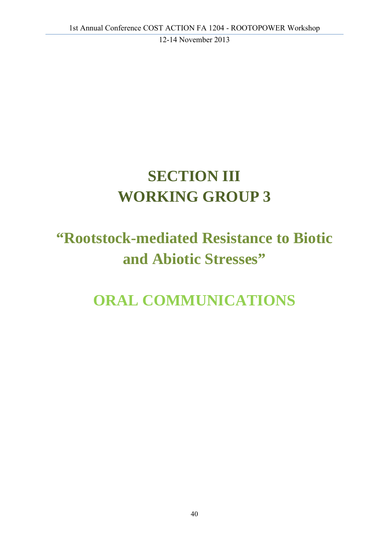# **SECTION III WORKING GROUP 3**

# **"Rootstock-mediated Resistance to Biotic and Abiotic Stresses"**

# **ORAL COMMUNICATIONS**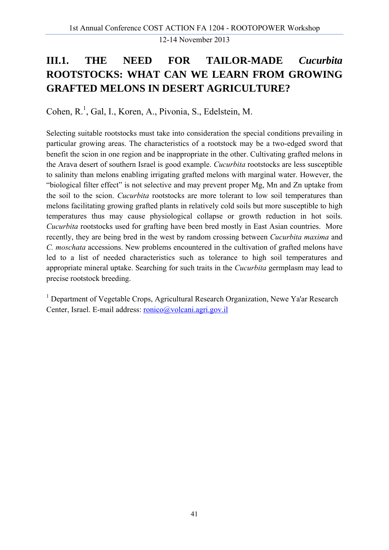# **III.1. THE NEED FOR TAILOR-MADE** *Cucurbita* **ROOTSTOCKS: WHAT CAN WE LEARN FROM GROWING GRAFTED MELONS IN DESERT AGRICULTURE?**

Cohen, R.<sup>1</sup>, Gal, I., Koren, A., Pivonia, S., Edelstein, M.

Selecting suitable rootstocks must take into consideration the special conditions prevailing in particular growing areas. The characteristics of a rootstock may be a two-edged sword that benefit the scion in one region and be inappropriate in the other. Cultivating grafted melons in the Arava desert of southern Israel is good example. *Cucurbita* rootstocks are less susceptible to salinity than melons enabling irrigating grafted melons with marginal water. However, the "biological filter effect" is not selective and may prevent proper Mg, Mn and Zn uptake from the soil to the scion. *Cucurbita* rootstocks are more tolerant to low soil temperatures than melons facilitating growing grafted plants in relatively cold soils but more susceptible to high temperatures thus may cause physiological collapse or growth reduction in hot soils. *Cucurbita* rootstocks used for grafting have been bred mostly in East Asian countries. More recently, they are being bred in the west by random crossing between *Cucurbita maxima* and *C. moschata* accessions. New problems encountered in the cultivation of grafted melons have led to a list of needed characteristics such as tolerance to high soil temperatures and appropriate mineral uptake. Searching for such traits in the *Cucurbita* germplasm may lead to precise rootstock breeding.

<sup>1</sup> Department of Vegetable Crops, Agricultural Research Organization, Newe Ya'ar Research Center, Israel. E-mail address: ronico@volcani.agri.gov.il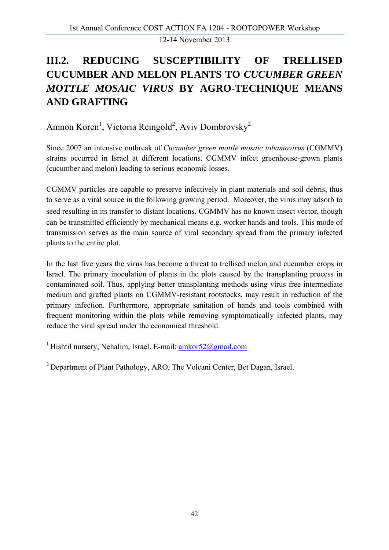# **III.2. REDUCING SUSCEPTIBILITY OF TRELLISED CUCUMBER AND MELON PLANTS TO** *CUCUMBER GREEN MOTTLE MOSAIC VIRUS* **BY AGRO-TECHNIQUE MEANS AND GRAFTING**

Amnon Koren<sup>1</sup>, Victoria Reingold<sup>2</sup>, Aviv Dombrovsky<sup>2</sup>

Since 2007 an intensive outbreak of *Cucumber green mottle mosaic tobamovirus* (CGMMV) strains occurred in Israel at different locations. CGMMV infect greenhouse-grown plants (cucumber and melon) leading to serious economic losses.

CGMMV particles are capable to preserve infectively in plant materials and soil debris, thus to serve as a viral source in the following growing period. Moreover, the virus may adsorb to seed resulting in its transfer to distant locations. CGMMV has no known insect vector, though can be transmitted efficiently by mechanical means e.g. worker hands and tools. This mode of transmission serves as the main source of viral secondary spread from the primary infected plants to the entire plot.

In the last five years the virus has become a threat to trellised melon and cucumber crops in Israel. The primary inoculation of plants in the plots caused by the transplanting process in contaminated soil. Thus, applying better transplanting methods using virus free intermediate medium and grafted plants on CGMMV-resistant rootstocks, may result in reduction of the primary infection. Furthermore, appropriate sanitation of hands and tools combined with frequent monitoring within the plots while removing symptomatically infected plants, may reduce the viral spread under the economical threshold.

<sup>1</sup> Hishtil nursery, Nehalim, Israel. E-mail:  $amkor52@gmail.com$ 

2 Department of Plant Pathology, ARO, The Volcani Center, Bet Dagan, Israel.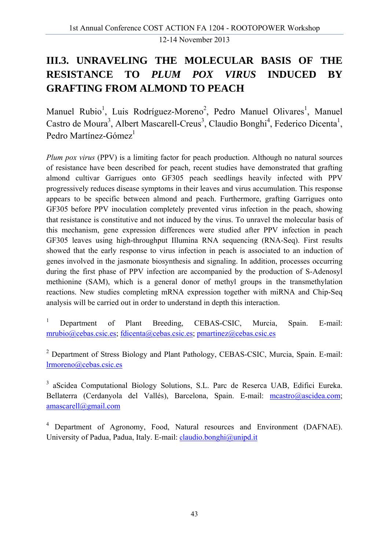# **III.3. UNRAVELING THE MOLECULAR BASIS OF THE RESISTANCE TO** *PLUM POX VIRUS* **INDUCED BY GRAFTING FROM ALMOND TO PEACH**

Manuel Rubio<sup>1</sup>, Luis Rodríguez-Moreno<sup>2</sup>, Pedro Manuel Olivares<sup>1</sup>, Manuel Castro de Moura<sup>3</sup>, Albert Mascarell-Creus<sup>3</sup>, Claudio Bonghi<sup>4</sup>, Federico Dicenta<sup>1</sup>, Pedro Martínez-Gómez $<sup>1</sup>$ </sup>

*Plum pox virus* (PPV) is a limiting factor for peach production. Although no natural sources of resistance have been described for peach, recent studies have demonstrated that grafting almond cultivar Garrigues onto GF305 peach seedlings heavily infected with PPV progressively reduces disease symptoms in their leaves and virus accumulation. This response appears to be specific between almond and peach. Furthermore, grafting Garrigues onto GF305 before PPV inoculation completely prevented virus infection in the peach, showing that resistance is constitutive and not induced by the virus. To unravel the molecular basis of this mechanism, gene expression differences were studied after PPV infection in peach GF305 leaves using high-throughput Illumina RNA sequencing (RNA-Seq). First results showed that the early response to virus infection in peach is associated to an induction of genes involved in the jasmonate biosynthesis and signaling. In addition, processes occurring during the first phase of PPV infection are accompanied by the production of S-Adenosyl methionine (SAM), which is a general donor of methyl groups in the transmethylation reactions. New studies completing mRNA expression together with miRNA and Chip-Seq analysis will be carried out in order to understand in depth this interaction.

1 Department of Plant Breeding, CEBAS-CSIC, Murcia, Spain. E-mail: mrubio@cebas.csic.es; fdicenta@cebas.csic.es; pmartinez@cebas.csic.es

<sup>2</sup> Department of Stress Biology and Plant Pathology, CEBAS-CSIC, Murcia, Spain. E-mail: lrmoreno@cebas.csic.es

<sup>3</sup> aScidea Computational Biology Solutions, S.L. Parc de Reserca UAB, Edifici Eureka. Bellaterra (Cerdanyola del Vallés), Barcelona, Spain. E-mail: mcastro@ascidea.com; amascarell@gmail.com

<sup>4</sup> Department of Agronomy, Food, Natural resources and Environment (DAFNAE). University of Padua, Padua, Italy. E-mail: claudio.bonghi@unipd.it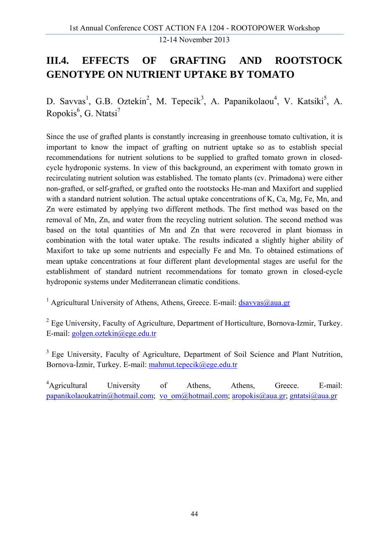# **III.4. EFFECTS OF GRAFTING AND ROOTSTOCK GENOTYPE ON NUTRIENT UPTAKE BY TOMATO**

D. Savvas<sup>1</sup>, G.B. Oztekin<sup>2</sup>, M. Tepecik<sup>3</sup>, A. Papanikolaou<sup>4</sup>, V. Katsiki<sup>5</sup>, A. Ropokis<sup>6</sup>, G. Ntatsi<sup>7</sup>

Since the use of grafted plants is constantly increasing in greenhouse tomato cultivation, it is important to know the impact of grafting on nutrient uptake so as to establish special recommendations for nutrient solutions to be supplied to grafted tomato grown in closedcycle hydroponic systems. In view of this background, an experiment with tomato grown in recirculating nutrient solution was established. The tomato plants (cv. Primadona) were either non-grafted, or self-grafted, or grafted onto the rootstocks He-man and Maxifort and supplied with a standard nutrient solution. The actual uptake concentrations of K, Ca, Mg, Fe, Mn, and Zn were estimated by applying two different methods. The first method was based on the removal of Mn, Zn, and water from the recycling nutrient solution. The second method was based on the total quantities of Mn and Zn that were recovered in plant biomass in combination with the total water uptake. The results indicated a slightly higher ability of Maxifort to take up some nutrients and especially Fe and Mn. To obtained estimations of mean uptake concentrations at four different plant developmental stages are useful for the establishment of standard nutrient recommendations for tomato grown in closed-cycle hydroponic systems under Mediterranean climatic conditions.

<sup>1</sup> Agricultural University of Athens, Athens, Greece. E-mail: *dsavvas@aua.gr* 

 $2$  Ege University, Faculty of Agriculture, Department of Horticulture, Bornova-Izmir, Turkey. E-mail: golgen.oztekin@ege.edu.tr

<sup>3</sup> Ege University, Faculty of Agriculture, Department of Soil Science and Plant Nutrition, Bornova-İzmir, Turkey. E-mail: mahmut.tepecik@ege.edu.tr

<sup>4</sup>Agricultural University of Athens, Athens, Greece. E-mail: papanikolaoukatrin@hotmail.com; vo\_om@hotmail.com; aropokis@aua.gr; gntatsi@aua.gr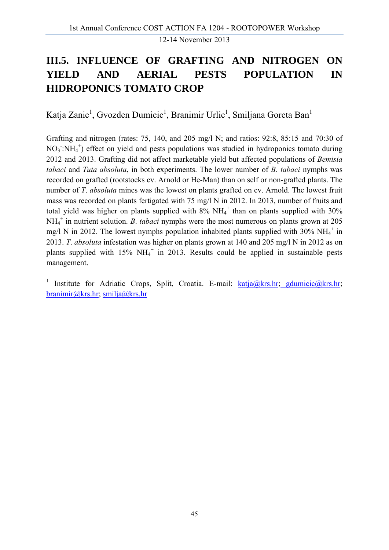### **III.5. INFLUENCE OF GRAFTING AND NITROGEN ON YIELD AND AERIAL PESTS POPULATION IN HIDROPONICS TOMATO CROP**

Katja Zanic<sup>1</sup>, Gvozden Dumicic<sup>1</sup>, Branimir Urlic<sup>1</sup>, Smiljana Goreta Ban<sup>1</sup>

Grafting and nitrogen (rates: 75, 140, and 205 mg/l N; and ratios: 92:8, 85:15 and 70:30 of  $NO<sub>3</sub>$ : $NH<sub>4</sub>$ <sup>+</sup>) effect on yield and pests populations was studied in hydroponics tomato during 2012 and 2013. Grafting did not affect marketable yield but affected populations of *Bemisia tabaci* and *Tuta absoluta*, in both experiments. The lower number of *B. tabaci* nymphs was recorded on grafted (rootstocks cv. Arnold or He-Man) than on self or non-grafted plants. The number of *T*. *absoluta* mines was the lowest on plants grafted on cv. Arnold. The lowest fruit mass was recorded on plants fertigated with 75 mg/l N in 2012. In 2013, number of fruits and total yield was higher on plants supplied with  $8\%$  NH<sub>4</sub><sup>+</sup> than on plants supplied with 30% NH4 + in nutrient solution. *B*. *tabaci* nymphs were the most numerous on plants grown at 205 mg/l N in 2012. The lowest nymphs population inhabited plants supplied with 30%  $NH_4^+$  in 2013. *T*. *absoluta* infestation was higher on plants grown at 140 and 205 mg/l N in 2012 as on plants supplied with  $15\%$  NH<sub>4</sub><sup>+</sup> in 2013. Results could be applied in sustainable pests management.

<sup>1</sup> Institute for Adriatic Crops, Split, Croatia. E-mail:  $kati a@krs/hr$ ; gdumicic $@krs/hr$ ; branimir@krs.hr; smilja@krs.hr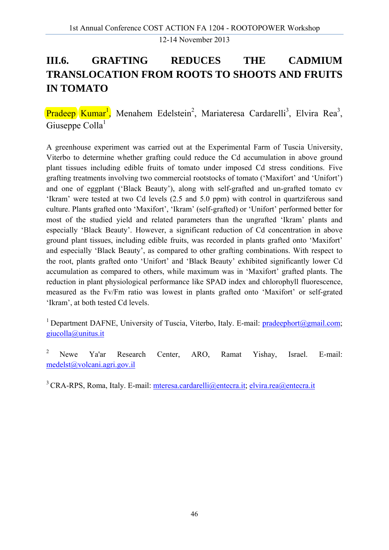# **III.6. GRAFTING REDUCES THE CADMIUM TRANSLOCATION FROM ROOTS TO SHOOTS AND FRUITS IN TOMATO**

Pradeep Kumar<sup>1</sup>, Menahem Edelstein<sup>2</sup>, Mariateresa Cardarelli<sup>3</sup>, Elvira Rea<sup>3</sup>, Giuseppe Colla<sup>1</sup>

A greenhouse experiment was carried out at the Experimental Farm of Tuscia University, Viterbo to determine whether grafting could reduce the Cd accumulation in above ground plant tissues including edible fruits of tomato under imposed Cd stress conditions. Five grafting treatments involving two commercial rootstocks of tomato ('Maxifort' and 'Unifort') and one of eggplant ('Black Beauty'), along with self-grafted and un-grafted tomato cv 'Ikram' were tested at two Cd levels (2.5 and 5.0 ppm) with control in quartziferous sand culture. Plants grafted onto 'Maxifort', 'Ikram' (self-grafted) or 'Unifort' performed better for most of the studied yield and related parameters than the ungrafted 'Ikram' plants and especially 'Black Beauty'. However, a significant reduction of Cd concentration in above ground plant tissues, including edible fruits, was recorded in plants grafted onto 'Maxifort' and especially 'Black Beauty', as compared to other grafting combinations. With respect to the root, plants grafted onto 'Unifort' and 'Black Beauty' exhibited significantly lower Cd accumulation as compared to others, while maximum was in 'Maxifort' grafted plants. The reduction in plant physiological performance like SPAD index and chlorophyll fluorescence, measured as the Fv/Fm ratio was lowest in plants grafted onto 'Maxifort' or self-grated 'Ikram', at both tested Cd levels.

<sup>1</sup> Department DAFNE, University of Tuscia, Viterbo, Italy. E-mail: pradeephort@gmail.com; giucolla@unitus.it

<sup>2</sup> Newe Ya'ar Research Center, ARO, Ramat Yishay, Israel. E-mail: medelst@volcani.agri.gov.il

<sup>3</sup> CRA-RPS, Roma, Italy. E-mail: mteresa.cardarelli@entecra.it; elvira.rea@entecra.it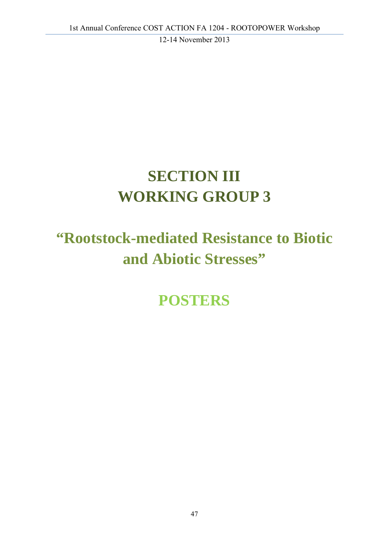# **SECTION III WORKING GROUP 3**

# **"Rootstock-mediated Resistance to Biotic and Abiotic Stresses"**

**POSTERS**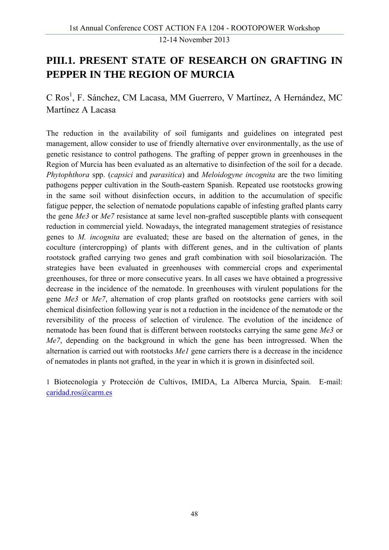#### **PIII.1. PRESENT STATE OF RESEARCH ON GRAFTING IN PEPPER IN THE REGION OF MURCIA**

C Ros<sup>1</sup>, F. Sánchez, CM Lacasa, MM Guerrero, V Martínez, A Hernández, MC Martínez A Lacasa

The reduction in the availability of soil fumigants and guidelines on integrated pest management, allow consider to use of friendly alternative over environmentally, as the use of genetic resistance to control pathogens. The grafting of pepper grown in greenhouses in the Region of Murcia has been evaluated as an alternative to disinfection of the soil for a decade. *Phytophthora* spp. (*capsici* and *parasitica*) and *Meloidogyne incognita* are the two limiting pathogens pepper cultivation in the South-eastern Spanish. Repeated use rootstocks growing in the same soil without disinfection occurs, in addition to the accumulation of specific fatigue pepper, the selection of nematode populations capable of infesting grafted plants carry the gene *Me3* or *Me7* resistance at same level non-grafted susceptible plants with consequent reduction in commercial yield. Nowadays, the integrated management strategies of resistance genes to *M. incognita* are evaluated; these are based on the alternation of genes, in the coculture (intercropping) of plants with different genes, and in the cultivation of plants rootstock grafted carrying two genes and graft combination with soil biosolarización. The strategies have been evaluated in greenhouses with commercial crops and experimental greenhouses, for three or more consecutive years. In all cases we have obtained a progressive decrease in the incidence of the nematode. In greenhouses with virulent populations for the gene *Me3* or *Me7*, alternation of crop plants grafted on rootstocks gene carriers with soil chemical disinfection following year is not a reduction in the incidence of the nematode or the reversibility of the process of selection of virulence. The evolution of the incidence of nematode has been found that is different between rootstocks carrying the same gene *Me3* or *Me7*, depending on the background in which the gene has been introgressed. When the alternation is carried out with rootstocks *Me1* gene carriers there is a decrease in the incidence of nematodes in plants not grafted, in the year in which it is grown in disinfected soil.

1 Biotecnología y Protección de Cultivos, IMIDA, La Alberca Murcia, Spain. E-mail: caridad.ros@carm.es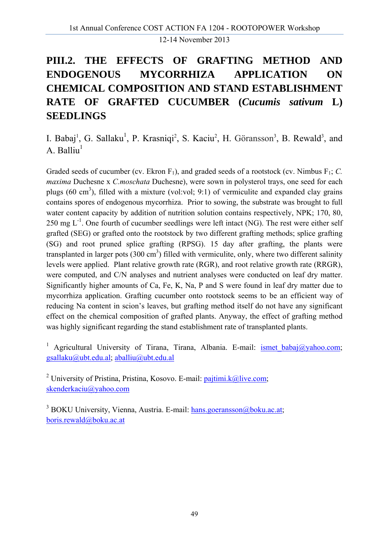# **PIII.2. THE EFFECTS OF GRAFTING METHOD AND ENDOGENOUS MYCORRHIZA APPLICATION ON CHEMICAL COMPOSITION AND STAND ESTABLISHMENT RATE OF GRAFTED CUCUMBER (***Cucumis sativum* **L) SEEDLINGS**

I. Babaj<sup>1</sup>, G. Sallaku<sup>1</sup>, P. Krasniqi<sup>2</sup>, S. Kaciu<sup>2</sup>, H. Göransson<sup>3</sup>, B. Rewald<sup>3</sup>, and A. Balliu $<sup>1</sup>$ </sup>

Graded seeds of cucumber (cv. Ekron  $F_1$ ), and graded seeds of a rootstock (cv. Nimbus  $F_1$ ; *C. maxima* Duchesne x *C.moschata* Duchesne), were sown in polysterol trays, one seed for each plugs  $(60 \text{ cm}^3)$ , filled with a mixture (vol:vol; 9:1) of vermiculite and expanded clay grains contains spores of endogenous mycorrhiza. Prior to sowing, the substrate was brought to full water content capacity by addition of nutrition solution contains respectively, NPK; 170, 80, 250 mg  $L^{-1}$ . One fourth of cucumber seedlings were left intact (NG). The rest were either self grafted (SEG) or grafted onto the rootstock by two different grafting methods; splice grafting (SG) and root pruned splice grafting (RPSG). 15 day after grafting, the plants were transplanted in larger pots  $(300 \text{ cm}^3)$  filled with vermiculite, only, where two different salinity levels were applied. Plant relative growth rate (RGR), and root relative growth rate (RRGR), were computed, and C/N analyses and nutrient analyses were conducted on leaf dry matter. Significantly higher amounts of Ca, Fe, K, Na, P and S were found in leaf dry matter due to mycorrhiza application. Grafting cucumber onto rootstock seems to be an efficient way of reducing Na content in scion's leaves, but grafting method itself do not have any significant effect on the chemical composition of grafted plants. Anyway, the effect of grafting method was highly significant regarding the stand establishment rate of transplanted plants.

<sup>1</sup> Agricultural University of Tirana, Tirana, Albania. E-mail: **ismet babaj**@yahoo.com; gsallaku@ubt.edu.al; aballiu@ubt.edu.al

<sup>2</sup> University of Pristina, Pristina, Kosovo. E-mail:  $\frac{\text{pairimi.k@live.com}}{\text{pairimi.k@live.com}}$ skenderkaciu@yahoo.com

<sup>3</sup> BOKU University, Vienna, Austria. E-mail: hans.goeransson@boku.ac.at; boris.rewald@boku.ac.at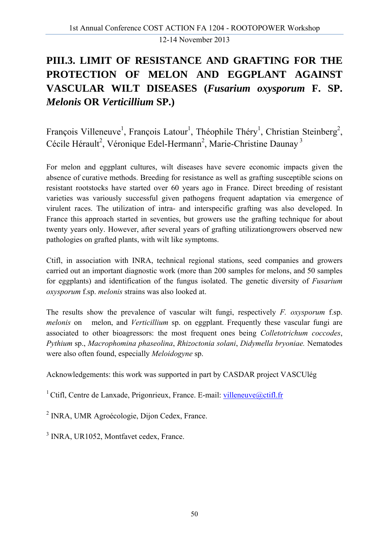# **PIII.3. LIMIT OF RESISTANCE AND GRAFTING FOR THE PROTECTION OF MELON AND EGGPLANT AGAINST VASCULAR WILT DISEASES (***Fusarium oxysporum* **F. SP.**  *Melonis* **OR** *Verticillium* **SP.)**

François Villeneuve<sup>1</sup>, François Latour<sup>1</sup>, Théophile Théry<sup>1</sup>, Christian Steinberg<sup>2</sup>, Cécile Hérault<sup>2</sup>, Véronique Edel-Hermann<sup>2</sup>, Marie-Christine Daunay<sup>3</sup>

For melon and eggplant cultures, wilt diseases have severe economic impacts given the absence of curative methods. Breeding for resistance as well as grafting susceptible scions on resistant rootstocks have started over 60 years ago in France. Direct breeding of resistant varieties was variously successful given pathogens frequent adaptation via emergence of virulent races. The utilization of intra- and interspecific grafting was also developed. In France this approach started in seventies, but growers use the grafting technique for about twenty years only. However, after several years of grafting utilizationgrowers observed new pathologies on grafted plants, with wilt like symptoms.

Ctifl, in association with INRA, technical regional stations, seed companies and growers carried out an important diagnostic work (more than 200 samples for melons, and 50 samples for eggplants) and identification of the fungus isolated. The genetic diversity of *Fusarium oxysporum* f.sp. *melonis* strains was also looked at.

The results show the prevalence of vascular wilt fungi, respectively *F. oxysporum* f.sp. *melonis* on melon, and *Verticillium* sp. on eggplant. Frequently these vascular fungi are associated to other bioagressors: the most frequent ones being *Colletotrichum coccodes*, *Pythium* sp., *Macrophomina phaseolina*, *Rhizoctonia solani*, *Didymella bryoniae.* Nematodes were also often found, especially *Meloidogyne* sp.

Acknowledgements: this work was supported in part by CASDAR project VASCUlég

<sup>1</sup> Ctifl, Centre de Lanxade, Prigonrieux, France. E-mail: villeneuve@ctifl.fr

<sup>2</sup> INRA, UMR Agroécologie, Dijon Cedex, France.

<sup>3</sup> INRA, UR1052, Montfavet cedex, France.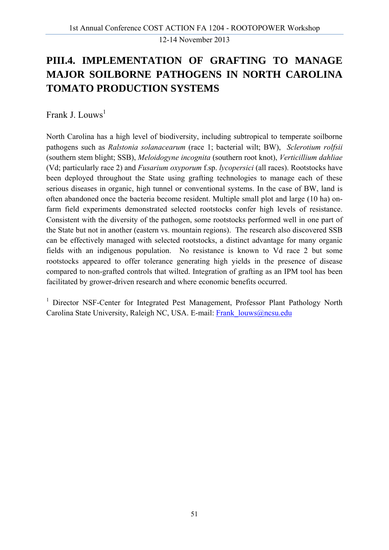## **PIII.4. IMPLEMENTATION OF GRAFTING TO MANAGE MAJOR SOILBORNE PATHOGENS IN NORTH CAROLINA TOMATO PRODUCTION SYSTEMS**

Frank J. Louws<sup>1</sup>

North Carolina has a high level of biodiversity, including subtropical to temperate soilborne pathogens such as *Ralstonia solanacearum* (race 1; bacterial wilt; BW), *Sclerotium rolfsii* (southern stem blight; SSB), *Meloidogyne incognita* (southern root knot), *Verticillium dahliae* (Vd; particularly race 2) and *Fusarium oxyporum* f.sp. *lycopersici* (all races). Rootstocks have been deployed throughout the State using grafting technologies to manage each of these serious diseases in organic, high tunnel or conventional systems. In the case of BW, land is often abandoned once the bacteria become resident. Multiple small plot and large (10 ha) onfarm field experiments demonstrated selected rootstocks confer high levels of resistance. Consistent with the diversity of the pathogen, some rootstocks performed well in one part of the State but not in another (eastern vs. mountain regions). The research also discovered SSB can be effectively managed with selected rootstocks, a distinct advantage for many organic fields with an indigenous population. No resistance is known to Vd race 2 but some rootstocks appeared to offer tolerance generating high yields in the presence of disease compared to non-grafted controls that wilted. Integration of grafting as an IPM tool has been facilitated by grower-driven research and where economic benefits occurred.

<sup>1</sup> Director NSF-Center for Integrated Pest Management, Professor Plant Pathology North Carolina State University, Raleigh NC, USA. E-mail: Frank\_louws@ncsu.edu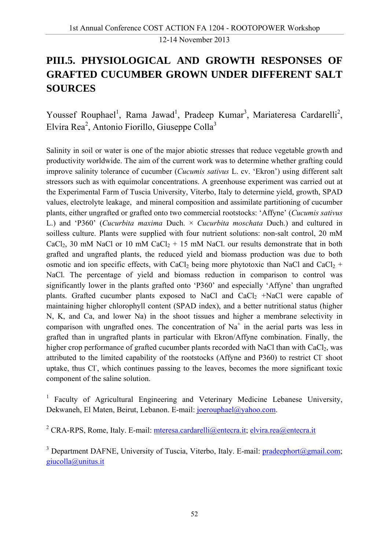### **PIII.5. PHYSIOLOGICAL AND GROWTH RESPONSES OF GRAFTED CUCUMBER GROWN UNDER DIFFERENT SALT SOURCES**

Youssef Rouphael<sup>1</sup>, Rama Jawad<sup>1</sup>, Pradeep Kumar<sup>3</sup>, Mariateresa Cardarelli<sup>2</sup>, Elvira Rea<sup>2</sup>, Antonio Fiorillo, Giuseppe Colla<sup>3</sup>

Salinity in soil or water is one of the major abiotic stresses that reduce vegetable growth and productivity worldwide. The aim of the current work was to determine whether grafting could improve salinity tolerance of cucumber (*Cucumis sativus* L. cv. 'Ekron') using different salt stressors such as with equimolar concentrations. A greenhouse experiment was carried out at the Experimental Farm of Tuscia University, Viterbo, Italy to determine yield, growth, SPAD values, electrolyte leakage, and mineral composition and assimilate partitioning of cucumber plants, either ungrafted or grafted onto two commercial rootstocks: 'Affyne' (*Cucumis sativus* L.) and 'P360' (*Cucurbita maxima* Duch. × *Cucurbita moschata* Duch.) and cultured in soilless culture. Plants were supplied with four nutrient solutions: non-salt control, 20 mM CaCl<sub>2</sub>, 30 mM NaCl or 10 mM CaCl<sub>2</sub> + 15 mM NaCl. our results demonstrate that in both grafted and ungrafted plants, the reduced yield and biomass production was due to both osmotic and ion specific effects, with CaCl<sub>2</sub> being more phytotoxic than NaCl and CaCl<sub>2</sub> + NaCl. The percentage of yield and biomass reduction in comparison to control was significantly lower in the plants grafted onto 'P360' and especially 'Affyne' than ungrafted plants. Grafted cucumber plants exposed to NaCl and CaCl<sub>2</sub> +NaCl were capable of maintaining higher chlorophyll content (SPAD index), and a better nutritional status (higher N, K, and Ca, and lower Na) in the shoot tissues and higher a membrane selectivity in comparison with ungrafted ones. The concentration of  $Na<sup>+</sup>$  in the aerial parts was less in grafted than in ungrafted plants in particular with Ekron/Affyne combination. Finally, the higher crop performance of grafted cucumber plants recorded with NaCl than with CaCl<sub>2</sub>, was attributed to the limited capability of the rootstocks (Affyne and P360) to restrict Cl shoot uptake, thus Cl<sup>-</sup>, which continues passing to the leaves, becomes the more significant toxic component of the saline solution.

<sup>1</sup> Faculty of Agricultural Engineering and Veterinary Medicine Lebanese University, Dekwaneh, El Maten, Beirut, Lebanon. E-mail: joerouphael@yahoo.com.

<sup>2</sup> CRA-RPS, Rome, Italy. E-mail: mteresa.cardarelli@entecra.it; elvira.rea@entecra.it

<sup>3</sup> Department DAFNE, University of Tuscia, Viterbo, Italy. E-mail: pradeephort@gmail.com; giucolla@unitus.it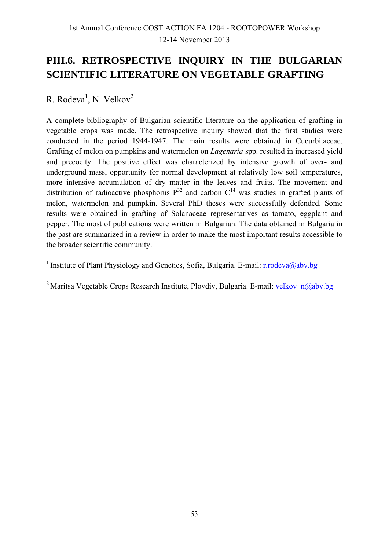#### **PIII.6. RETROSPECTIVE INQUIRY IN THE BULGARIAN SCIENTIFIC LITERATURE ON VEGETABLE GRAFTING**

R. Rodeva<sup>1</sup>, N. Velkov<sup>2</sup>

A complete bibliography of Bulgarian scientific literature on the application of grafting in vegetable crops was made. The retrospective inquiry showed that the first studies were conducted in the period 1944-1947. The main results were obtained in Cucurbitaceae. Grafting of melon on pumpkins and watermelon on *Lagenaria* spp. resulted in increased yield and precocity. The positive effect was characterized by intensive growth of over- and underground mass, opportunity for normal development at relatively low soil temperatures, more intensive accumulation of dry matter in the leaves and fruits. The movement and distribution of radioactive phosphorus  $P^{32}$  and carbon  $C^{14}$  was studies in grafted plants of melon, watermelon and pumpkin. Several PhD theses were successfully defended. Some results were obtained in grafting of Solanaceae representatives as tomato, eggplant and pepper. The most of publications were written in Bulgarian. The data obtained in Bulgaria in the past are summarized in a review in order to make the most important results accessible to the broader scientific community.

<sup>1</sup> Institute of Plant Physiology and Genetics, Sofia, Bulgaria. E-mail: r.rodeva@aby.bg

<sup>2</sup> Maritsa Vegetable Crops Research Institute, Plovdiv, Bulgaria. E-mail: velkov  $n@abv.bg$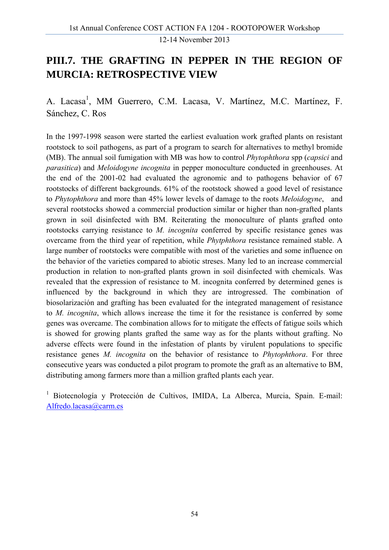#### **PIII.7. THE GRAFTING IN PEPPER IN THE REGION OF MURCIA: RETROSPECTIVE VIEW**

A. Lacasa<sup>1</sup>, MM Guerrero, C.M. Lacasa, V. Martínez, M.C. Martínez, F. Sánchez, C. Ros

In the 1997-1998 season were started the earliest evaluation work grafted plants on resistant rootstock to soil pathogens, as part of a program to search for alternatives to methyl bromide (MB). The annual soil fumigation with MB was how to control *Phytophthora* spp (*capsici* and *parasitica*) and *Meloidogyne incognita* in pepper monoculture conducted in greenhouses. At the end of the 2001-02 had evaluated the agronomic and to pathogens behavior of 67 rootstocks of different backgrounds. 61% of the rootstock showed a good level of resistance to *Phytophthora* and more than 45% lower levels of damage to the roots *Meloidogyne*, and several rootstocks showed a commercial production similar or higher than non-grafted plants grown in soil disinfected with BM. Reiterating the monoculture of plants grafted onto rootstocks carrying resistance to *M. incognita* conferred by specific resistance genes was overcame from the third year of repetition, while *Phytphthora* resistance remained stable. A large number of rootstocks were compatible with most of the varieties and some influence on the behavior of the varieties compared to abiotic streses. Many led to an increase commercial production in relation to non-grafted plants grown in soil disinfected with chemicals. Was revealed that the expression of resistance to M. incognita conferred by determined genes is influenced by the background in which they are introgressed. The combination of biosolarización and grafting has been evaluated for the integrated management of resistance to *M. incognita*, which allows increase the time it for the resistance is conferred by some genes was overcame. The combination allows for to mitigate the effects of fatigue soils which is showed for growing plants grafted the same way as for the plants without grafting. No adverse effects were found in the infestation of plants by virulent populations to specific resistance genes *M. incognita* on the behavior of resistance to *Phytophthora*. For three consecutive years was conducted a pilot program to promote the graft as an alternative to BM, distributing among farmers more than a million grafted plants each year.

<sup>1</sup> Biotecnología y Protección de Cultivos, IMIDA, La Alberca, Murcia, Spain. E-mail: Alfredo.lacasa@carm.es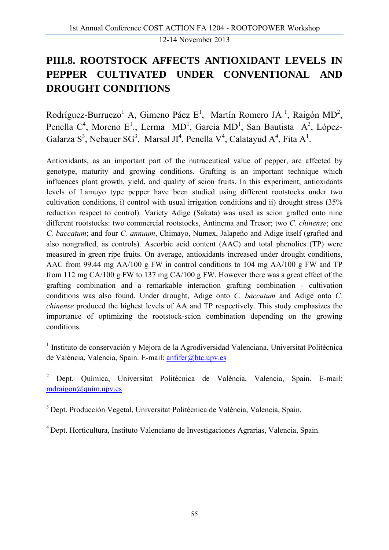### **PIII.8. ROOTSTOCK AFFECTS ANTIOXIDANT LEVELS IN PEPPER CULTIVATED UNDER CONVENTIONAL AND DROUGHT CONDITIONS**

Rodríguez-Burruezo<sup>1</sup> A, Gimeno Páez E<sup>1</sup>, Martín Romero JA<sup>1</sup>, Raigón MD<sup>2</sup>, Penella  $C^4$ , Moreno E<sup>1</sup>., Lerma MD<sup>1</sup>, García MD<sup>1</sup>, San Bautista A<sup>3</sup>, López-Galarza S<sup>3</sup>, Nebauer SG<sup>3</sup>, Marsal JI<sup>4</sup>, Penella V<sup>4</sup>, Calatayud A<sup>4</sup>, Fita A<sup>1</sup>.

Antioxidants, as an important part of the nutraceutical value of pepper, are affected by genotype, maturity and growing conditions. Grafting is an important technique which influences plant growth, yield, and quality of scion fruits. In this experiment, antioxidants levels of Lamuyo type pepper have been studied using different rootstocks under two cultivation conditions, i) control with usual irrigation conditions and ii) drought stress (35% reduction respect to control). Variety Adige (Sakata) was used as scion grafted onto nine different rootstocks: two commercial rootstocks, Antinema and Tresor; two *C. chinense*; one *C. baccatum*; and four *C. annuum*, Chimayo, Numex, Jalapeño and Adige itself (grafted and also nongrafted, as controls). Ascorbic acid content (AAC) and total phenolics (TP) were measured in green ripe fruits. On average, antioxidants increased under drought conditions, AAC from 99.44 mg AA/100 g FW in control conditions to 104 mg AA/100 g FW and TP from 112 mg CA/100 g FW to 137 mg CA/100 g FW. However there was a great effect of the grafting combination and a remarkable interaction grafting combination - cultivation conditions was also found. Under drought, Adige onto *C. baccatum* and Adige onto *C. chinense* produced the highest levels of AA and TP respectively. This study emphasizes the importance of optimizing the rootstock-scion combination depending on the growing conditions.

<sup>1</sup> Instituto de conservación y Mejora de la Agrodiversidad Valenciana, Universitat Politècnica de València, Valencia, Spain. E-mail: anfifer@btc.upv.es

2 Dept. Química, Universitat Politècnica de València, Valencia, Spain. E-mail: mdraigon@quim.upv.es

3 Dept. Producción Vegetal, Universitat Politècnica de València, Valencia, Spain.

4 Dept. Horticultura, Instituto Valenciano de Investigaciones Agrarias, Valencia, Spain.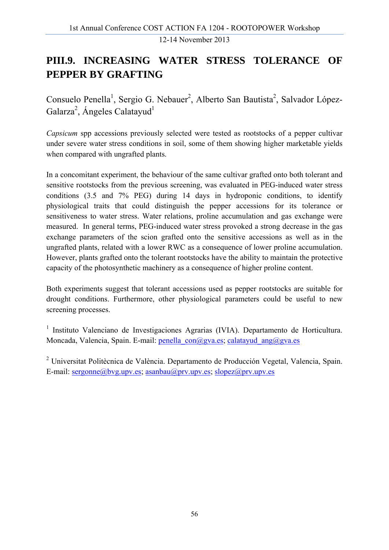# **PIII.9. INCREASING WATER STRESS TOLERANCE OF PEPPER BY GRAFTING**

Consuelo Penella<sup>1</sup>, Sergio G. Nebauer<sup>2</sup>, Alberto San Bautista<sup>2</sup>, Salvador López-Galarza<sup>2</sup>, Ángeles Calatayud<sup>1</sup>

*Capsicum* spp accessions previously selected were tested as rootstocks of a pepper cultivar under severe water stress conditions in soil, some of them showing higher marketable yields when compared with ungrafted plants.

In a concomitant experiment, the behaviour of the same cultivar grafted onto both tolerant and sensitive rootstocks from the previous screening, was evaluated in PEG-induced water stress conditions (3.5 and 7% PEG) during 14 days in hydroponic conditions, to identify physiological traits that could distinguish the pepper accessions for its tolerance or sensitiveness to water stress. Water relations, proline accumulation and gas exchange were measured. In general terms, PEG-induced water stress provoked a strong decrease in the gas exchange parameters of the scion grafted onto the sensitive accessions as well as in the ungrafted plants, related with a lower RWC as a consequence of lower proline accumulation. However, plants grafted onto the tolerant rootstocks have the ability to maintain the protective capacity of the photosynthetic machinery as a consequence of higher proline content.

Both experiments suggest that tolerant accessions used as pepper rootstocks are suitable for drought conditions. Furthermore, other physiological parameters could be useful to new screening processes.

<sup>1</sup> Instituto Valenciano de Investigaciones Agrarias (IVIA). Departamento de Horticultura. Moncada, Valencia, Spain. E-mail: penella\_con@gva.es; calatayud\_ang@gva.es

<sup>2</sup> Universitat Politècnica de València. Departamento de Producción Vegetal, Valencia, Spain. E-mail: sergonne@bvg.upv.es; asanbau@prv.upv.es; slopez@prv.upv.es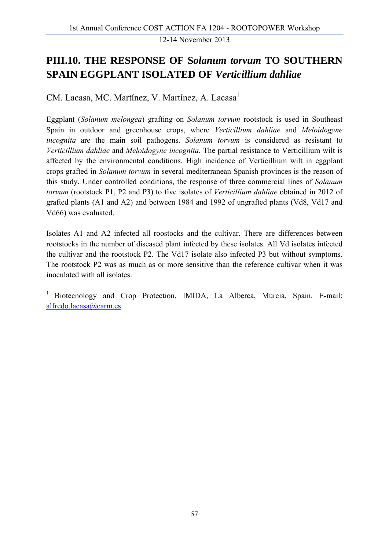#### **PIII.10. THE RESPONSE OF S***olanum torvum* **TO SOUTHERN SPAIN EGGPLANT ISOLATED OF** *Verticillium dahliae*

CM. Lacasa, MC. Martínez, V. Martínez, A. Lacasa<sup>1</sup>

Eggplant (*Solanum melongea*) grafting on *Solanum torvum* rootstock is used in Southeast Spain in outdoor and greenhouse crops, where *Verticillium dahliae* and *Meloidogyne incognita* are the main soil pathogens. *Solanum torvum* is considered as resistant to *Verticillium dahliae* and *Meloidogyne incognita*. The partial resistance to Verticillium wilt is affected by the environmental conditions. High incidence of Verticillium wilt in eggplant crops grafted in *Solanum torvum* in several mediterranean Spanish provinces is the reason of this study. Under controlled conditions, the response of three commercial lines of *Solanum torvum* (rootstock P1, P2 and P3) to five isolates of *Verticillium dahliae* obtained in 2012 of grafted plants (A1 and A2) and between 1984 and 1992 of ungrafted plants (Vd8, Vd17 and Vd66) was evaluated.

Isolates A1 and A2 infected all roostocks and the cultivar. There are differences between rootstocks in the number of diseased plant infected by these isolates. All Vd isolates infected the cultivar and the rootstock P2. The Vd17 isolate also infected P3 but without symptoms. The rootstock P2 was as much as or more sensitive than the reference cultivar when it was inoculated with all isolates.

<sup>1</sup> Biotecnology and Crop Protection, IMIDA, La Alberca, Murcia, Spain. E-mail: alfredo.lacasa@carm.es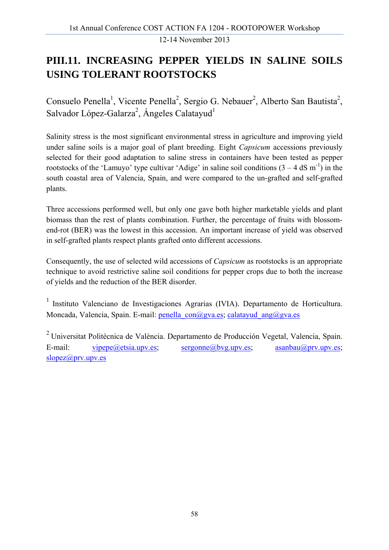#### **PIII.11. INCREASING PEPPER YIELDS IN SALINE SOILS USING TOLERANT ROOTSTOCKS**

Consuelo Penella<sup>1</sup>, Vicente Penella<sup>2</sup>, Sergio G. Nebauer<sup>2</sup>, Alberto San Bautista<sup>2</sup>, Salvador López-Galarza<sup>2</sup>, Ángeles Calatayud<sup>1</sup>

Salinity stress is the most significant environmental stress in agriculture and improving yield under saline soils is a major goal of plant breeding. Eight *Capsicum* accessions previously selected for their good adaptation to saline stress in containers have been tested as pepper rootstocks of the 'Lamuyo' type cultivar 'Adige' in saline soil conditions  $(3 - 4 \text{ dS m}^{-1})$  in the south coastal area of Valencia, Spain, and were compared to the un-grafted and self-grafted plants.

Three accessions performed well, but only one gave both higher marketable yields and plant biomass than the rest of plants combination. Further, the percentage of fruits with blossomend-rot (BER) was the lowest in this accession. An important increase of yield was observed in self-grafted plants respect plants grafted onto different accessions.

Consequently, the use of selected wild accessions of *Capsicum* as rootstocks is an appropriate technique to avoid restrictive saline soil conditions for pepper crops due to both the increase of yields and the reduction of the BER disorder.

1 Instituto Valenciano de Investigaciones Agrarias (IVIA). Departamento de Horticultura. Moncada, Valencia, Spain. E-mail: penella\_con@gva.es; calatayud\_ang@gva.es

2 Universitat Politècnica de València. Departamento de Producción Vegetal, Valencia, Spain. E-mail: vipepe@etsia.upv.es; sergonne@bvg.upv.es; asanbau@prv.upv.es; slopez@prv.upv.es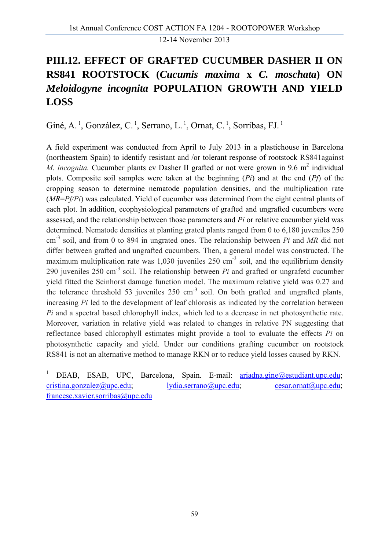# **PIII.12. EFFECT OF GRAFTED CUCUMBER DASHER II ON RS841 ROOTSTOCK (***Cucumis maxima* **x** *C. moschata***) ON**  *Meloidogyne incognita* **POPULATION GROWTH AND YIELD LOSS**

Giné, A.<sup>1</sup>, González, C.<sup>1</sup>, Serrano, L.<sup>1</sup>, Ornat, C.<sup>1</sup>, Sorribas, FJ.<sup>1</sup>

A field experiment was conducted from April to July 2013 in a plastichouse in Barcelona (northeastern Spain) to identify resistant and /or tolerant response of rootstock RS841against *M. incognita.* Cucumber plants cv Dasher II grafted or not were grown in 9.6  $m^2$  individual plots. Composite soil samples were taken at the beginning (*Pi*) and at the end (*Pf*) of the cropping season to determine nematode population densities, and the multiplication rate (*MR*=*Pf/Pi*) was calculated. Yield of cucumber was determined from the eight central plants of each plot. In addition, ecophysiological parameters of grafted and ungrafted cucumbers were assessed, and the relationship between those parameters and *Pi* or relative cucumber yield was determined. Nematode densities at planting grated plants ranged from 0 to 6,180 juveniles 250 cm-3 soil, and from 0 to 894 in ungrated ones. The relationship between *Pi* and *MR* did not differ between grafted and ungrafted cucumbers. Then, a general model was constructed. The maximum multiplication rate was 1,030 juveniles  $250 \text{ cm}^{-3}$  soil, and the equilibrium density 290 juveniles  $250 \text{ cm}^{-3}$  soil. The relationship between *Pi* and grafted or ungrafetd cucumber yield fitted the Seinhorst damage function model. The maximum relative yield was 0.27 and the tolerance threshold 53 juveniles  $250 \text{ cm}^{-3}$  soil. On both grafted and ungrafted plants, increasing *Pi* led to the development of leaf chlorosis as indicated by the correlation between *Pi* and a spectral based chlorophyll index, which led to a decrease in net photosynthetic rate. Moreover, variation in relative yield was related to changes in relative PN suggesting that reflectance based chlorophyll estimates might provide a tool to evaluate the effects *Pi* on photosynthetic capacity and yield. Under our conditions grafting cucumber on rootstock RS841 is not an alternative method to manage RKN or to reduce yield losses caused by RKN.

1 DEAB, ESAB, UPC, Barcelona, Spain. E-mail: ariadna.gine@estudiant.upc.edu; cristina.gonzalez@upc.edu; lydia.serrano@upc.edu; cesar.ornat@upc.edu; francesc.xavier.sorribas@upc.edu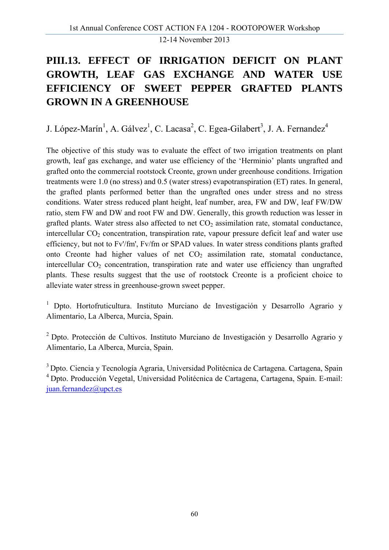# **PIII.13. EFFECT OF IRRIGATION DEFICIT ON PLANT GROWTH, LEAF GAS EXCHANGE AND WATER USE EFFICIENCY OF SWEET PEPPER GRAFTED PLANTS GROWN IN A GREENHOUSE**

J. López-Marín<sup>1</sup>, A. Gálvez<sup>1</sup>, C. Lacasa<sup>2</sup>, C. Egea-Gilabert<sup>3</sup>, J. A. Fernandez<sup>4</sup>

The objective of this study was to evaluate the effect of two irrigation treatments on plant growth, leaf gas exchange, and water use efficiency of the 'Herminio' plants ungrafted and grafted onto the commercial rootstock Creonte, grown under greenhouse conditions. Irrigation treatments were 1.0 (no stress) and 0.5 (water stress) evapotranspiration (ET) rates. In general, the grafted plants performed better than the ungrafted ones under stress and no stress conditions. Water stress reduced plant height, leaf number, area, FW and DW, leaf FW/DW ratio, stem FW and DW and root FW and DW. Generally, this growth reduction was lesser in grafted plants. Water stress also affected to net  $CO<sub>2</sub>$  assimilation rate, stomatal conductance, intercellular  $CO<sub>2</sub>$  concentration, transpiration rate, vapour pressure deficit leaf and water use efficiency, but not to Fv'/fm', Fv/fm or SPAD values. In water stress conditions plants grafted onto Creonte had higher values of net  $CO<sub>2</sub>$  assimilation rate, stomatal conductance, intercellular  $CO<sub>2</sub>$  concentration, transpiration rate and water use efficiency than ungrafted plants. These results suggest that the use of rootstock Creonte is a proficient choice to alleviate water stress in greenhouse-grown sweet pepper.

<sup>1</sup> Dpto. Hortofruticultura. Instituto Murciano de Investigación y Desarrollo Agrario y Alimentario, La Alberca, Murcia, Spain.

2 Dpto. Protección de Cultivos. Instituto Murciano de Investigación y Desarrollo Agrario y Alimentario, La Alberca, Murcia, Spain.

3 Dpto. Ciencia y Tecnología Agraria, Universidad Politécnica de Cartagena. Cartagena, Spain 4 Dpto. Producción Vegetal, Universidad Politécnica de Cartagena, Cartagena, Spain. E-mail: juan.fernandez@upct.es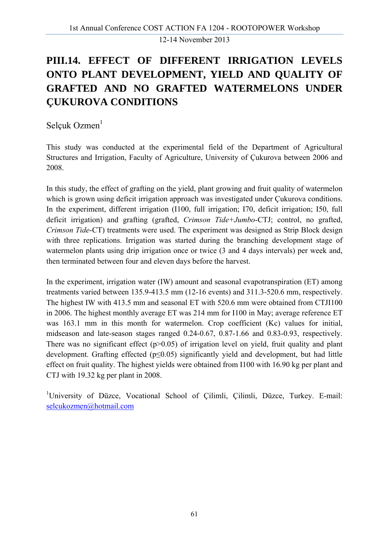# **PIII.14. EFFECT OF DIFFERENT IRRIGATION LEVELS ONTO PLANT DEVELOPMENT, YIELD AND QUALITY OF GRAFTED AND NO GRAFTED WATERMELONS UNDER ÇUKUROVA CONDITIONS**

Selçuk Ozmen $<sup>1</sup>$ </sup>

This study was conducted at the experimental field of the Department of Agricultural Structures and Irrigation, Faculty of Agriculture, University of Çukurova between 2006 and 2008.

In this study, the effect of grafting on the yield, plant growing and fruit quality of watermelon which is grown using deficit irrigation approach was investigated under Cukurova conditions. In the experiment, different irrigation (I100, full irrigation; I70, deficit irrigation; I50, full deficit irrigation) and grafting (grafted, *Crimson Tide+Jumbo*-CTJ; control, no grafted, *Crimson Tide*-CT) treatments were used. The experiment was designed as Strip Block design with three replications. Irrigation was started during the branching development stage of watermelon plants using drip irrigation once or twice (3 and 4 days intervals) per week and, then terminated between four and eleven days before the harvest.

In the experiment, irrigation water (IW) amount and seasonal evapotranspiration (ET) among treatments varied between 135.9-413.5 mm (12-16 events) and 311.3-520.6 mm, respectively. The highest IW with 413.5 mm and seasonal ET with 520.6 mm were obtained from CTJI100 in 2006. The highest monthly average ET was 214 mm for I100 in May; average reference ET was 163.1 mm in this month for watermelon. Crop coefficient (Kc) values for initial, midseason and late-season stages ranged 0.24-0.67, 0.87-1.66 and 0.83-0.93, respectively. There was no significant effect  $(p>0.05)$  of irrigation level on yield, fruit quality and plant development. Grafting effected ( $p \le 0.05$ ) significantly yield and development, but had little effect on fruit quality. The highest yields were obtained from I100 with 16.90 kg per plant and CTJ with 19.32 kg per plant in 2008.

<sup>1</sup>University of Düzce, Vocational School of Çilimli, Çilimli, Düzce, Turkey. E-mail: selcukozmen@hotmail.com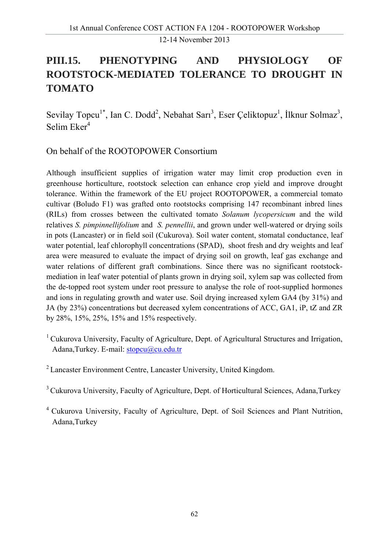# **PIII.15. PHENOTYPING AND PHYSIOLOGY OF ROOTSTOCK-MEDIATED TOLERANCE TO DROUGHT IN TOMATO**

Sevilay Topcu<sup>1\*</sup>, Ian C. Dodd<sup>2</sup>, Nebahat Sarı<sup>3</sup>, Eser Çeliktopuz<sup>1</sup>, İlknur Solmaz<sup>3</sup>, Selim  $Eker<sup>4</sup>$ 

On behalf of the ROOTOPOWER Consortium

Although insufficient supplies of irrigation water may limit crop production even in greenhouse horticulture, rootstock selection can enhance crop yield and improve drought tolerance. Within the framework of the EU project ROOTOPOWER, a commercial tomato cultivar (Boludo F1) was grafted onto rootstocks comprising 147 recombinant inbred lines (RILs) from crosses between the cultivated tomato *Solanum lycopersicum* and the wild relatives *S. pimpinnellifolium* and *S. pennellii*, and grown under well-watered or drying soils in pots (Lancaster) or in field soil (Cukurova). Soil water content, stomatal conductance, leaf water potential, leaf chlorophyll concentrations (SPAD), shoot fresh and dry weights and leaf area were measured to evaluate the impact of drying soil on growth, leaf gas exchange and water relations of different graft combinations. Since there was no significant rootstockmediation in leaf water potential of plants grown in drying soil, xylem sap was collected from the de-topped root system under root pressure to analyse the role of root-supplied hormones and ions in regulating growth and water use. Soil drying increased xylem GA4 (by 31%) and JA (by 23%) concentrations but decreased xylem concentrations of ACC, GA1, iP, tZ and ZR by 28%, 15%, 25%, 15% and 15% respectively.

<sup>1</sup> Cukurova University, Faculty of Agriculture, Dept. of Agricultural Structures and Irrigation, Adana, Turkey. E-mail: stopcu@cu.edu.tr

<sup>2</sup> Lancaster Environment Centre, Lancaster University, United Kingdom.

<sup>&</sup>lt;sup>3</sup> Cukurova University, Faculty of Agriculture, Dept. of Horticultural Sciences, Adana, Turkey

<sup>4</sup> Cukurova University, Faculty of Agriculture, Dept. of Soil Sciences and Plant Nutrition, Adana,Turkey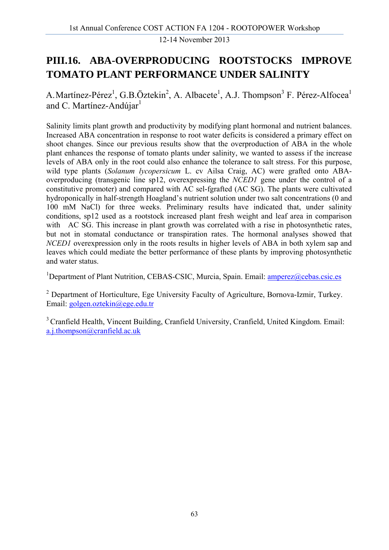#### **PIII.16. ABA-OVERPRODUCING ROOTSTOCKS IMPROVE TOMATO PLANT PERFORMANCE UNDER SALINITY**

A. Martínez-Pérez<sup>1</sup>, G.B.Öztekin<sup>2</sup>, A. Albacete<sup>1</sup>, A.J. Thompson<sup>3</sup> F. Pérez-Alfocea<sup>1</sup> and C. Martínez-Andúiar $<sup>1</sup>$ </sup>

Salinity limits plant growth and productivity by modifying plant hormonal and nutrient balances. Increased ABA concentration in response to root water deficits is considered a primary effect on shoot changes. Since our previous results show that the overproduction of ABA in the whole plant enhances the response of tomato plants under salinity, we wanted to assess if the increase levels of ABA only in the root could also enhance the tolerance to salt stress. For this purpose, wild type plants (*Solanum lycopersicum* L. cv Ailsa Craig, AC) were grafted onto ABAoverproducing (transgenic line sp12, overexpressing the *NCED1* gene under the control of a constitutive promoter) and compared with AC sel-fgrafted (AC SG). The plants were cultivated hydroponically in half-strength Hoagland's nutrient solution under two salt concentrations (0 and 100 mM NaCl) for three weeks. Preliminary results have indicated that, under salinity conditions, sp12 used as a rootstock increased plant fresh weight and leaf area in comparison with AC SG. This increase in plant growth was correlated with a rise in photosynthetic rates, but not in stomatal conductance or transpiration rates. The hormonal analyses showed that *NCED1* overexpression only in the roots results in higher levels of ABA in both xylem sap and leaves which could mediate the better performance of these plants by improving photosynthetic and water status.

<sup>1</sup>Department of Plant Nutrition, CEBAS-CSIC, Murcia, Spain. Email: **amperez@cebas.csic.es** 

<sup>2</sup> Department of Horticulture, Ege University Faculty of Agriculture, Bornova-Izmir, Turkey. Email: golgen.oztekin@ege.edu.tr

<sup>3</sup> Cranfield Health, Vincent Building, Cranfield University, Cranfield, United Kingdom. Email: a.j.thompson@cranfield.ac.uk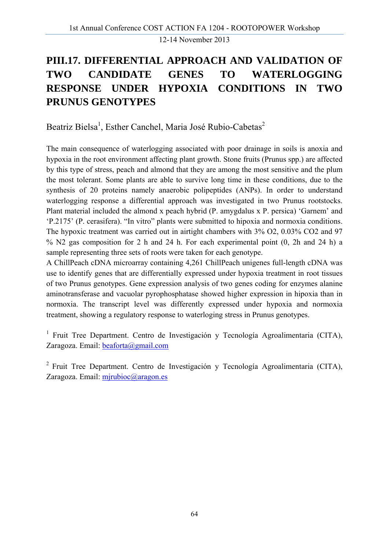# **PIII.17. DIFFERENTIAL APPROACH AND VALIDATION OF TWO CANDIDATE GENES TO WATERLOGGING RESPONSE UNDER HYPOXIA CONDITIONS IN TWO PRUNUS GENOTYPES**

Beatriz Bielsa<sup>1</sup>, Esther Canchel, Maria José Rubio-Cabetas<sup>2</sup>

The main consequence of waterlogging associated with poor drainage in soils is anoxia and hypoxia in the root environment affecting plant growth. Stone fruits (Prunus spp.) are affected by this type of stress, peach and almond that they are among the most sensitive and the plum the most tolerant. Some plants are able to survive long time in these conditions, due to the synthesis of 20 proteins namely anaerobic polipeptides (ANPs). In order to understand waterlogging response a differential approach was investigated in two Prunus rootstocks. Plant material included the almond x peach hybrid (P. amygdalus x P. persica) 'Garnem' and 'P.2175' (P. cerasifera). "In vitro" plants were submitted to hipoxia and normoxia conditions. The hypoxic treatment was carried out in airtight chambers with 3% O2, 0.03% CO2 and 97 % N2 gas composition for 2 h and 24 h. For each experimental point (0, 2h and 24 h) a sample representing three sets of roots were taken for each genotype.

A ChillPeach cDNA microarray containing 4,261 ChillPeach unigenes full-length cDNA was use to identify genes that are differentially expressed under hypoxia treatment in root tissues of two Prunus genotypes. Gene expression analysis of two genes coding for enzymes alanine aminotransferase and vacuolar pyrophosphatase showed higher expression in hipoxia than in normoxia. The transcript level was differently expressed under hypoxia and normoxia treatment, showing a regulatory response to waterloging stress in Prunus genotypes.

<sup>1</sup> Fruit Tree Department. Centro de Investigación y Tecnología Agroalimentaria (CITA), Zaragoza. Email: beaforta@gmail.com

2 Fruit Tree Department. Centro de Investigación y Tecnología Agroalimentaria (CITA), Zaragoza. Email: mirubioc@aragon.es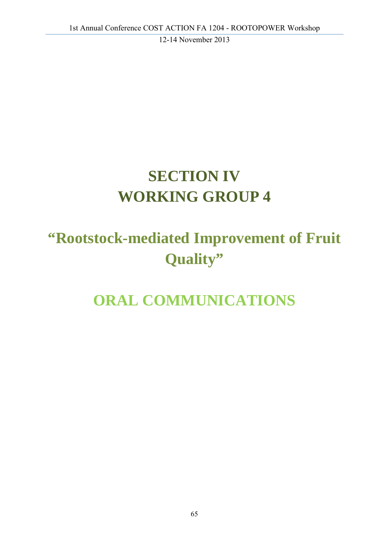# **SECTION IV WORKING GROUP 4**

# **"Rootstock-mediated Improvement of Fruit Quality"**

# **ORAL COMMUNICATIONS**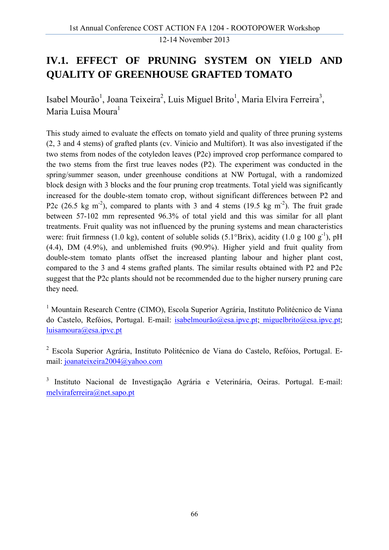#### **IV.1. EFFECT OF PRUNING SYSTEM ON YIELD AND QUALITY OF GREENHOUSE GRAFTED TOMATO**

Isabel Mourão<sup>1</sup>, Joana Teixeira<sup>2</sup>, Luis Miguel Brito<sup>1</sup>, Maria Elvira Ferreira<sup>3</sup>, Maria Luisa Moura<sup>1</sup>

This study aimed to evaluate the effects on tomato yield and quality of three pruning systems (2, 3 and 4 stems) of grafted plants (cv. Vinicio and Multifort). It was also investigated if the two stems from nodes of the cotyledon leaves (P2c) improved crop performance compared to the two stems from the first true leaves nodes (P2). The experiment was conducted in the spring/summer season, under greenhouse conditions at NW Portugal, with a randomized block design with 3 blocks and the four pruning crop treatments. Total yield was significantly increased for the double-stem tomato crop, without significant differences between P2 and P2c (26.5 kg m<sup>-2</sup>), compared to plants with 3 and 4 stems (19.5 kg m<sup>-2</sup>). The fruit grade between 57-102 mm represented 96.3% of total yield and this was similar for all plant treatments. Fruit quality was not influenced by the pruning systems and mean characteristics were: fruit firmness (1.0 kg), content of soluble solids (5.1°Brix), acidity (1.0 g 100 g<sup>-1</sup>), pH (4.4), DM (4.9%), and unblemished fruits (90.9%). Higher yield and fruit quality from double-stem tomato plants offset the increased planting labour and higher plant cost, compared to the 3 and 4 stems grafted plants. The similar results obtained with P2 and P2c suggest that the P2c plants should not be recommended due to the higher nursery pruning care they need.

<sup>1</sup> Mountain Research Centre (CIMO), Escola Superior Agrária, Instituto Politécnico de Viana do Castelo, Refóios, Portugal. E-mail: isabelmourão@esa.ipvc.pt; miguelbrito@esa.ipvc.pt; luisamoura@esa.ipvc.pt

2 Escola Superior Agrária, Instituto Politécnico de Viana do Castelo, Refóios, Portugal. Email: joanateixeira2004@yahoo.com

<sup>3</sup> Instituto Nacional de Investigação Agrária e Veterinária, Oeiras. Portugal. E-mail: melviraferreira@net.sapo.pt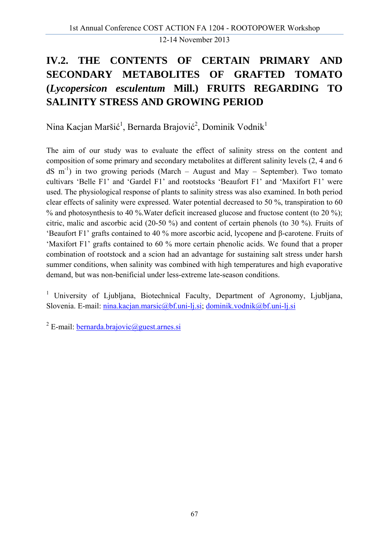# **IV.2. THE CONTENTS OF CERTAIN PRIMARY AND SECONDARY METABOLITES OF GRAFTED TOMATO (***Lycopersicon esculentum* **Mill.) FRUITS REGARDING TO SALINITY STRESS AND GROWING PERIOD**

Nina Kacjan Maršić<sup>1</sup>, Bernarda Brajović<sup>2</sup>, Dominik Vodnik<sup>1</sup>

The aim of our study was to evaluate the effect of salinity stress on the content and composition of some primary and secondary metabolites at different salinity levels (2, 4 and 6 dS  $m^{-1}$ ) in two growing periods (March – August and May – September). Two tomato cultivars 'Belle F1' and 'Gardel F1' and rootstocks 'Beaufort F1' and 'Maxifort F1' were used. The physiological response of plants to salinity stress was also examined. In both period clear effects of salinity were expressed. Water potential decreased to 50 %, transpiration to 60 % and photosynthesis to 40 %. Water deficit increased glucose and fructose content (to 20 %); citric, malic and ascorbic acid (20-50 %) and content of certain phenols (to 30 %). Fruits of 'Beaufort F1' grafts contained to 40 % more ascorbic acid, lycopene and β-carotene. Fruits of 'Maxifort F1' grafts contained to 60 % more certain phenolic acids. We found that a proper combination of rootstock and a scion had an advantage for sustaining salt stress under harsh summer conditions, when salinity was combined with high temperatures and high evaporative demand, but was non-benificial under less-extreme late-season conditions.

<sup>1</sup> University of Ljubljana, Biotechnical Faculty, Department of Agronomy, Ljubljana, Slovenia. E-mail: nina.kacjan.marsic@bf.uni-lj.si; dominik.vodnik@bf.uni-lj.si

<sup>2</sup> E-mail: **bernarda.brajovic@guest.arnes.si**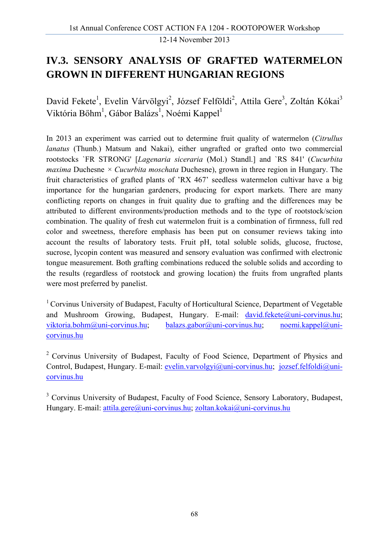#### **IV.3. SENSORY ANALYSIS OF GRAFTED WATERMELON GROWN IN DIFFERENT HUNGARIAN REGIONS**

David Fekete<sup>1</sup>, Evelin Várvölgyi<sup>2</sup>, József Felföldi<sup>2</sup>, Attila Gere<sup>3</sup>, Zoltán Kókai<sup>3</sup> Viktória Bőhm<sup>1</sup>, Gábor Balázs<sup>1</sup>, Noémi Kappel<sup>1</sup>

In 2013 an experiment was carried out to determine fruit quality of watermelon (*Citrullus lanatus* (Thunb.) Matsum and Nakai), either ungrafted or grafted onto two commercial rootstocks `FR STRONG' [*Lagenaria siceraria* (Mol.) Standl.] and `RS 841' (*Cucurbita maxima* Duchesne *× Cucurbita moschata* Duchesne), grown in three region in Hungary. The fruit characteristics of grafted plants of 'RX 467' seedless watermelon cultivar have a big importance for the hungarian gardeners, producing for export markets. There are many conflicting reports on changes in fruit quality due to grafting and the differences may be attributed to different environments/production methods and to the type of rootstock/scion combination. The quality of fresh cut watermelon fruit is a combination of firmness, full red color and sweetness, therefore emphasis has been put on consumer reviews taking into account the results of laboratory tests. Fruit pH, total soluble solids, glucose, fructose, sucrose, lycopin content was measured and sensory evaluation was confirmed with electronic tongue measurement. Both grafting combinations reduced the soluble solids and according to the results (regardless of rootstock and growing location) the fruits from ungrafted plants were most preferred by panelist.

<sup>1</sup> Corvinus University of Budapest, Faculty of Horticultural Science, Department of Vegetable and Mushroom Growing, Budapest, Hungary. E-mail: david.fekete@uni-corvinus.hu; viktoria.bohm@uni-corvinus.hu; balazs.gabor@uni-corvinus.hu; noemi.kappel@unicorvinus.hu

2 Corvinus University of Budapest, Faculty of Food Science, Department of Physics and Control, Budapest, Hungary. E-mail: evelin.varvolgyi@uni-corvinus.hu; jozsef.felfoldi@unicorvinus.hu

<sup>3</sup> Corvinus University of Budapest, Faculty of Food Science, Sensory Laboratory, Budapest, Hungary. E-mail: attila.gere@uni-corvinus.hu; zoltan.kokai@uni-corvinus.hu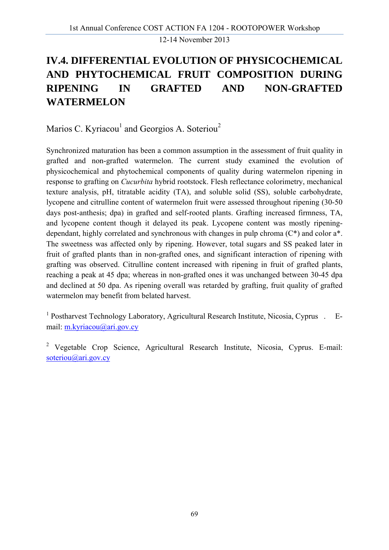# **IV.4. DIFFERENTIAL EVOLUTION OF PHYSICOCHEMICAL AND PHYTOCHEMICAL FRUIT COMPOSITION DURING RIPENING IN GRAFTED AND NON-GRAFTED WATERMELON**

Marios C. Kyriacou<sup>1</sup> and Georgios A. Soteriou<sup>2</sup>

Synchronized maturation has been a common assumption in the assessment of fruit quality in grafted and non-grafted watermelon. The current study examined the evolution of physicochemical and phytochemical components of quality during watermelon ripening in response to grafting on *Cucurbita* hybrid rootstock. Flesh reflectance colorimetry, mechanical texture analysis, pH, titratable acidity (TA), and soluble solid (SS), soluble carbohydrate, lycopene and citrulline content of watermelon fruit were assessed throughout ripening (30-50 days post-anthesis; dpa) in grafted and self-rooted plants. Grafting increased firmness, TA, and lycopene content though it delayed its peak. Lycopene content was mostly ripeningdependant, highly correlated and synchronous with changes in pulp chroma (C\*) and color a\*. The sweetness was affected only by ripening. However, total sugars and SS peaked later in fruit of grafted plants than in non-grafted ones, and significant interaction of ripening with grafting was observed. Citrulline content increased with ripening in fruit of grafted plants, reaching a peak at 45 dpa; whereas in non-grafted ones it was unchanged between 30-45 dpa and declined at 50 dpa. As ripening overall was retarded by grafting, fruit quality of grafted watermelon may benefit from belated harvest.

<sup>1</sup> Postharvest Technology Laboratory, Agricultural Research Institute, Nicosia, Cyprus . Email: m.kyriacou@ari.gov.cy

<sup>2</sup> Vegetable Crop Science, Agricultural Research Institute, Nicosia, Cyprus. E-mail: soteriou@ari.gov.cv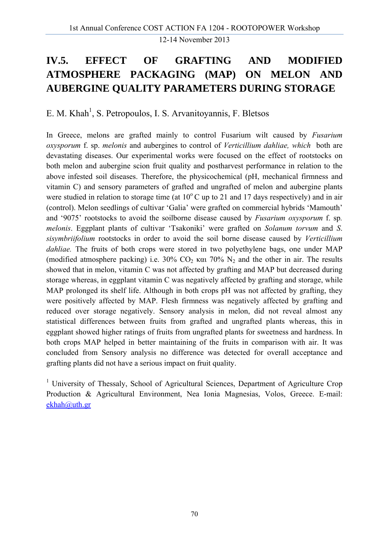## **IV.5. EFFECT OF GRAFTING AND MODIFIED ATMOSPHERE PACKAGING (MAP) ON MELON AND AUBERGINE QUALITY PARAMETERS DURING STORAGE**

E. M. Khah<sup>1</sup>, S. Petropoulos, I. S. Arvanitoyannis, F. Bletsos

In Greece, melons are grafted mainly to control Fusarium wilt caused by *Fusarium oxysporum* f. sp. *melonis* and aubergines to control of *Verticillium dahliae, which* both are devastating diseases. Our experimental works were focused on the effect of rootstocks on both melon and aubergine scion fruit quality and postharvest performance in relation to the above infested soil diseases. Therefore, the physicochemical (pH, mechanical firmness and vitamin C) and sensory parameters of grafted and ungrafted of melon and aubergine plants were studied in relation to storage time (at  $10^{\circ}$ C up to 21 and 17 days respectively) and in air (control). Melon seedlings of cultivar 'Galia' were grafted on commercial hybrids 'Mamouth' and '9075' rootstocks to avoid the soilborne disease caused by *Fusarium oxysporum* f. sp*. melonis*. Eggplant plants of cultivar 'Tsakoniki' were grafted on *Solanum torvum* and *S*. *sisymbriifolium* rootstocks in order to avoid the soil borne disease caused by *Verticillium dahliae.* The fruits of both crops were stored in two polyethylene bags, one under MAP (modified atmosphere packing) i.e.  $30\%$  CO<sub>2</sub> και 70% N<sub>2</sub> and the other in air. The results showed that in melon, vitamin C was not affected by grafting and MAP but decreased during storage whereas, in eggplant vitamin C was negatively affected by grafting and storage, while MAP prolonged its shelf life. Although in both crops pH was not affected by grafting, they were positively affected by MAP. Flesh firmness was negatively affected by grafting and reduced over storage negatively. Sensory analysis in melon, did not reveal almost any statistical differences between fruits from grafted and ungrafted plants whereas, this in eggplant showed higher ratings of fruits from ungrafted plants for sweetness and hardness. In both crops MAP helped in better maintaining of the fruits in comparison with air. It was concluded from Sensory analysis no difference was detected for overall acceptance and grafting plants did not have a serious impact on fruit quality.

<sup>1</sup> University of Thessaly, School of Agricultural Sciences, Department of Agriculture Crop Production & Agricultural Environment, Nea Ionia Magnesias, Volos, Greece. E-mail: ekhah@uth.gr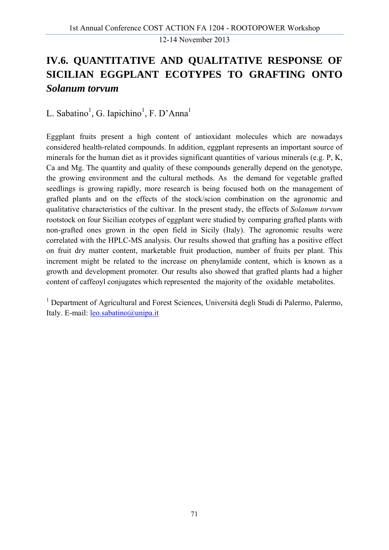# **IV.6. QUANTITATIVE AND QUALITATIVE RESPONSE OF SICILIAN EGGPLANT ECOTYPES TO GRAFTING ONTO**  *Solanum torvum*

L. Sabatino<sup>1</sup>, G. Iapichino<sup>1</sup>, F. D'Anna<sup>1</sup>

Eggplant fruits present a high content of antioxidant molecules which are nowadays considered health-related compounds. In addition, eggplant represents an important source of minerals for the human diet as it provides significant quantities of various minerals (e.g. P, K, Ca and Mg. The quantity and quality of these compounds generally depend on the genotype, the growing environment and the cultural methods. As the demand for vegetable grafted seedlings is growing rapidly, more research is being focused both on the management of grafted plants and on the effects of the stock/scion combination on the agronomic and qualitative characteristics of the cultivar. In the present study, the effects of *Solanum torvum* rootstock on four Sicilian ecotypes of eggplant were studied by comparing grafted plants with non-grafted ones grown in the open field in Sicily (Italy). The agronomic results were correlated with the HPLC-MS analysis. Our results showed that grafting has a positive effect on fruit dry matter content, marketable fruit production, number of fruits per plant. This increment might be related to the increase on phenylamide content, which is known as a growth and development promoter. Our results also showed that grafted plants had a higher content of caffeoyl conjugates which represented the majority of the oxidable metabolites.

<sup>1</sup> Department of Agricultural and Forest Sciences, Università degli Studi di Palermo, Palermo, Italy. E-mail: leo.sabatino@unipa.it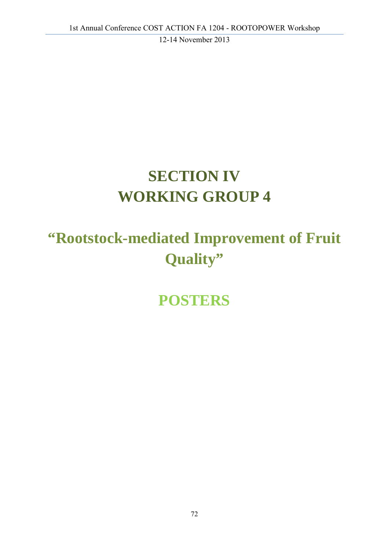# **SECTION IV WORKING GROUP 4**

# **"Rootstock-mediated Improvement of Fruit Quality"**

**POSTERS**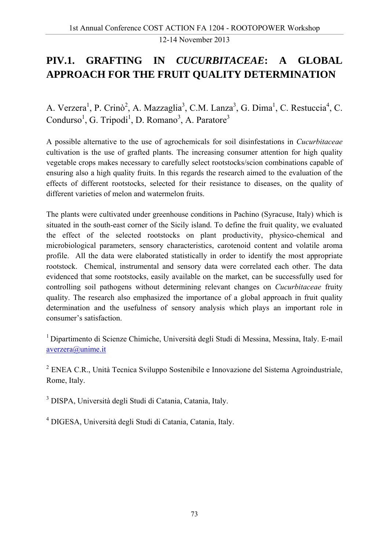### **PIV.1. GRAFTING IN** *CUCURBITACEAE***: A GLOBAL APPROACH FOR THE FRUIT QUALITY DETERMINATION**

A. Verzera<sup>1</sup>, P. Crinò<sup>2</sup>, A. Mazzaglia<sup>3</sup>, C.M. Lanza<sup>3</sup>, G. Dima<sup>1</sup>, C. Restuccia<sup>4</sup>, C. Condurso<sup>1</sup>, G. Tripodi<sup>1</sup>, D. Romano<sup>3</sup>, A. Paratore<sup>3</sup>

A possible alternative to the use of agrochemicals for soil disinfestations in *Cucurbitaceae*  cultivation is the use of grafted plants. The increasing consumer attention for high quality vegetable crops makes necessary to carefully select rootstocks/scion combinations capable of ensuring also a high quality fruits. In this regards the research aimed to the evaluation of the effects of different rootstocks, selected for their resistance to diseases, on the quality of different varieties of melon and watermelon fruits.

The plants were cultivated under greenhouse conditions in Pachino (Syracuse, Italy) which is situated in the south-east corner of the Sicily island. To define the fruit quality, we evaluated the effect of the selected rootstocks on plant productivity, physico-chemical and microbiological parameters, sensory characteristics, carotenoid content and volatile aroma profile. All the data were elaborated statistically in order to identify the most appropriate rootstock. Chemical, instrumental and sensory data were correlated each other. The data evidenced that some rootstocks, easily available on the market, can be successfully used for controlling soil pathogens without determining relevant changes on *Cucurbitaceae* fruity quality. The research also emphasized the importance of a global approach in fruit quality determination and the usefulness of sensory analysis which plays an important role in consumer's satisfaction.

1 Dipartimento di Scienze Chimiche, Università degli Studi di Messina, Messina, Italy. E-mail averzera@unime.it

<sup>2</sup> ENEA C.R., Unità Tecnica Sviluppo Sostenibile e Innovazione del Sistema Agroindustriale, Rome, Italy.

3 DISPA, Università degli Studi di Catania, Catania, Italy.

4 DIGESA, Università degli Studi di Catania, Catania, Italy.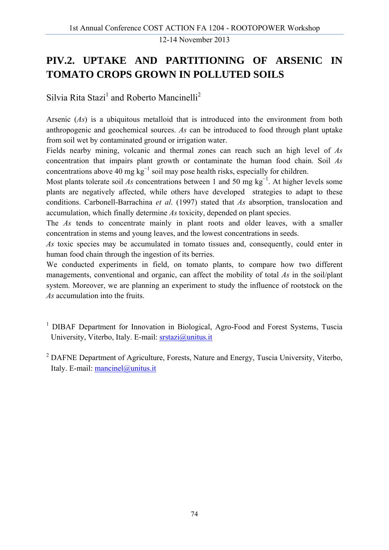### **PIV.2. UPTAKE AND PARTITIONING OF ARSENIC IN TOMATO CROPS GROWN IN POLLUTED SOILS**

Silvia Rita Stazi<sup>1</sup> and Roberto Mancinelli<sup>2</sup>

Arsenic (*As*) is a ubiquitous metalloid that is introduced into the environment from both anthropogenic and geochemical sources. *As* can be introduced to food through plant uptake from soil wet by contaminated ground or irrigation water.

Fields nearby mining, volcanic and thermal zones can reach such an high level of *As* concentration that impairs plant growth or contaminate the human food chain. Soil *As* concentrations above 40 mg  $kg^{-1}$  soil may pose health risks, especially for children.

Most plants tolerate soil As concentrations between 1 and 50 mg kg<sup>-1</sup>. At higher levels some plants are negatively affected, while others have developed strategies to adapt to these conditions. Carbonell-Barrachina *et al*. (1997) stated that *As* absorption, translocation and accumulation, which finally determine *As* toxicity, depended on plant species.

The *As* tends to concentrate mainly in plant roots and older leaves, with a smaller concentration in stems and young leaves, and the lowest concentrations in seeds.

*As* toxic species may be accumulated in tomato tissues and, consequently, could enter in human food chain through the ingestion of its berries.

We conducted experiments in field, on tomato plants, to compare how two different managements, conventional and organic, can affect the mobility of total *As* in the soil/plant system. Moreover, we are planning an experiment to study the influence of rootstock on the *As* accumulation into the fruits.

- <sup>1</sup> DIBAF Department for Innovation in Biological, Agro-Food and Forest Systems, Tuscia University, Viterbo, Italy. E-mail: srstazi@unitus.it
- <sup>2</sup> DAFNE Department of Agriculture, Forests, Nature and Energy, Tuscia University, Viterbo, Italy. E-mail: mancinel@unitus.it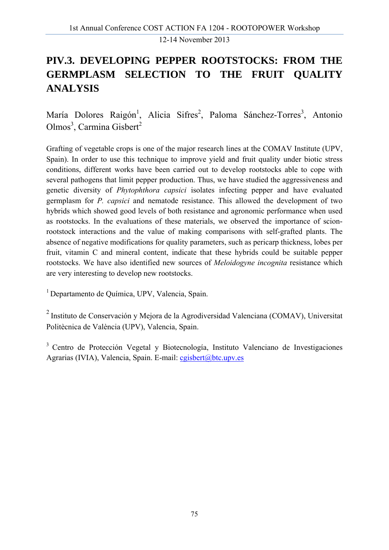### **PIV.3. DEVELOPING PEPPER ROOTSTOCKS: FROM THE GERMPLASM SELECTION TO THE FRUIT QUALITY ANALYSIS**

María Dolores Raigón<sup>1</sup>, Alicia Sifres<sup>2</sup>, Paloma Sánchez-Torres<sup>3</sup>, Antonio Olmos<sup>3</sup>, Carmina Gisbert<sup>2</sup>

Grafting of vegetable crops is one of the major research lines at the COMAV Institute (UPV, Spain). In order to use this technique to improve yield and fruit quality under biotic stress conditions, different works have been carried out to develop rootstocks able to cope with several pathogens that limit pepper production. Thus, we have studied the aggressiveness and genetic diversity of *Phytophthora capsici* isolates infecting pepper and have evaluated germplasm for *P. capsici* and nematode resistance. This allowed the development of two hybrids which showed good levels of both resistance and agronomic performance when used as rootstocks. In the evaluations of these materials, we observed the importance of scionrootstock interactions and the value of making comparisons with self-grafted plants. The absence of negative modifications for quality parameters, such as pericarp thickness, lobes per fruit, vitamin C and mineral content, indicate that these hybrids could be suitable pepper rootstocks. We have also identified new sources of *Meloidogyne incognita* resistance which are very interesting to develop new rootstocks.

<sup>1</sup> Departamento de Química, UPV, Valencia, Spain.

<sup>2</sup> Instituto de Conservación y Mejora de la Agrodiversidad Valenciana (COMAV), Universitat Politècnica de València (UPV), Valencia, Spain.

3 Centro de Protección Vegetal y Biotecnología, Instituto Valenciano de Investigaciones Agrarias (IVIA), Valencia, Spain. E-mail: cgisbert@btc.upv.es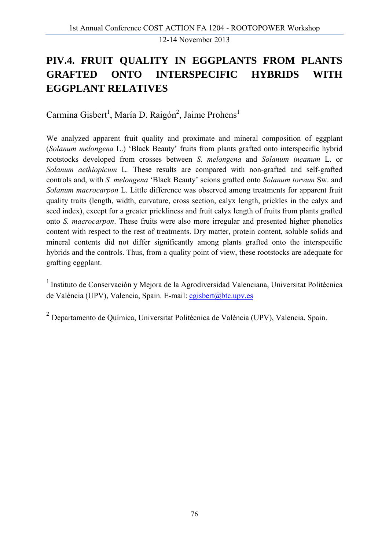### **PIV.4. FRUIT QUALITY IN EGGPLANTS FROM PLANTS GRAFTED ONTO INTERSPECIFIC HYBRIDS WITH EGGPLANT RELATIVES**

Carmina Gisbert<sup>1</sup>, María D. Raigón<sup>2</sup>, Jaime Prohens<sup>1</sup>

We analyzed apparent fruit quality and proximate and mineral composition of eggplant (*Solanum melongena* L.) 'Black Beauty' fruits from plants grafted onto interspecific hybrid rootstocks developed from crosses between *S. melongena* and *Solanum incanum* L. or *Solanum aethiopicum* L*.* These results are compared with non-grafted and self-grafted controls and, with *S. melongena* 'Black Beauty' scions grafted onto *Solanum torvum* Sw. and *Solanum macrocarpon* L. Little difference was observed among treatments for apparent fruit quality traits (length, width, curvature, cross section, calyx length, prickles in the calyx and seed index), except for a greater prickliness and fruit calyx length of fruits from plants grafted onto *S. macrocarpon*. These fruits were also more irregular and presented higher phenolics content with respect to the rest of treatments. Dry matter, protein content, soluble solids and mineral contents did not differ significantly among plants grafted onto the interspecific hybrids and the controls. Thus, from a quality point of view, these rootstocks are adequate for grafting eggplant.

1 Instituto de Conservación y Mejora de la Agrodiversidad Valenciana, Universitat Politècnica de València (UPV), Valencia, Spain. E-mail: cgisbert@btc.upv.es

<sup>2</sup> Departamento de Química, Universitat Politècnica de València (UPV), Valencia, Spain.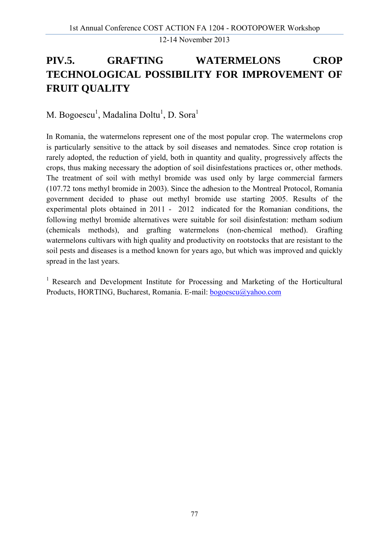### **PIV.5. GRAFTING WATERMELONS CROP TECHNOLOGICAL POSSIBILITY FOR IMPROVEMENT OF FRUIT QUALITY**

M. Bogoescu<sup>1</sup>, Madalina Doltu<sup>1</sup>, D. Sora<sup>1</sup>

In Romania, the watermelons represent one of the most popular crop. The watermelons crop is particularly sensitive to the attack by soil diseases and nematodes. Since crop rotation is rarely adopted, the reduction of yield, both in quantity and quality, progressively affects the crops, thus making necessary the adoption of soil disinfestations practices or, other methods. The treatment of soil with methyl bromide was used only by large commercial farmers (107.72 tons methyl bromide in 2003). Since the adhesion to the Montreal Protocol, Romania government decided to phase out methyl bromide use starting 2005. Results of the experimental plots obtained in 2011 - 2012 indicated for the Romanian conditions, the following methyl bromide alternatives were suitable for soil disinfestation: metham sodium (chemicals methods), and grafting watermelons (non-chemical method). Grafting watermelons cultivars with high quality and productivity on rootstocks that are resistant to the soil pests and diseases is a method known for years ago, but which was improved and quickly spread in the last years.

<sup>1</sup> Research and Development Institute for Processing and Marketing of the Horticultural Products, HORTING, Bucharest, Romania. E-mail: bogoescu@yahoo.com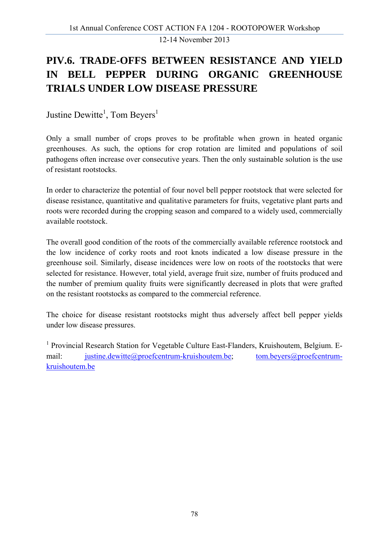### **PIV.6. TRADE-OFFS BETWEEN RESISTANCE AND YIELD IN BELL PEPPER DURING ORGANIC GREENHOUSE TRIALS UNDER LOW DISEASE PRESSURE**

Justine Dewitte<sup>1</sup>, Tom Beyers<sup>1</sup>

Only a small number of crops proves to be profitable when grown in heated organic greenhouses. As such, the options for crop rotation are limited and populations of soil pathogens often increase over consecutive years. Then the only sustainable solution is the use of resistant rootstocks.

In order to characterize the potential of four novel bell pepper rootstock that were selected for disease resistance, quantitative and qualitative parameters for fruits, vegetative plant parts and roots were recorded during the cropping season and compared to a widely used, commercially available rootstock.

The overall good condition of the roots of the commercially available reference rootstock and the low incidence of corky roots and root knots indicated a low disease pressure in the greenhouse soil. Similarly, disease incidences were low on roots of the rootstocks that were selected for resistance. However, total yield, average fruit size, number of fruits produced and the number of premium quality fruits were significantly decreased in plots that were grafted on the resistant rootstocks as compared to the commercial reference.

The choice for disease resistant rootstocks might thus adversely affect bell pepper yields under low disease pressures.

<sup>1</sup> Provincial Research Station for Vegetable Culture East-Flanders, Kruishoutem, Belgium. Email: justine.dewitte@proefcentrum-kruishoutem.be; tom.beyers@proefcentrumkruishoutem.be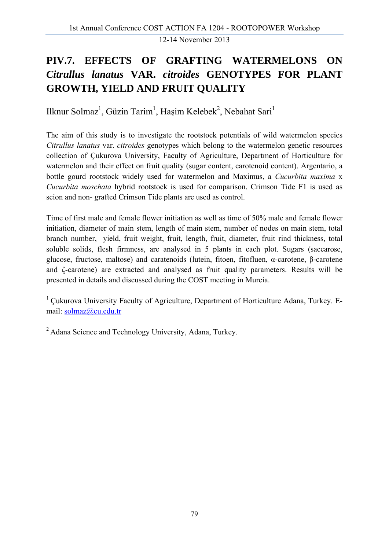### **PIV.7. EFFECTS OF GRAFTING WATERMELONS ON**  *Citrullus lanatus* **VAR.** *citroides* **GENOTYPES FOR PLANT GROWTH, YIELD AND FRUIT QUALITY**

Ilknur Solmaz<sup>1</sup>, Güzin Tarim<sup>1</sup>, Haşim Kelebek<sup>2</sup>, Nebahat Sari<sup>1</sup>

The aim of this study is to investigate the rootstock potentials of wild watermelon species *Citrullus lanatus* var. *citroides* genotypes which belong to the watermelon genetic resources collection of Çukurova University, Faculty of Agriculture, Department of Horticulture for watermelon and their effect on fruit quality (sugar content, carotenoid content). Argentario, a bottle gourd rootstock widely used for watermelon and Maximus, a *Cucurbita maxima* x *Cucurbita moschata* hybrid rootstock is used for comparison. Crimson Tide F1 is used as scion and non- grafted Crimson Tide plants are used as control.

Time of first male and female flower initiation as well as time of 50% male and female flower initiation, diameter of main stem, length of main stem, number of nodes on main stem, total branch number, yield, fruit weight, fruit, length, fruit, diameter, fruit rind thickness, total soluble solids, flesh firmness, are analysed in 5 plants in each plot. Sugars (saccarose, glucose, fructose, maltose) and caratenoids (lutein, fitoen, fitofluen, α-carotene, β-carotene and ζ-carotene) are extracted and analysed as fruit quality parameters. Results will be presented in details and discussed during the COST meeting in Murcia.

<sup>1</sup> Cukurova University Faculty of Agriculture, Department of Horticulture Adana, Turkey. Email: solmaz@cu.edu.tr

2 Adana Science and Technology University, Adana, Turkey.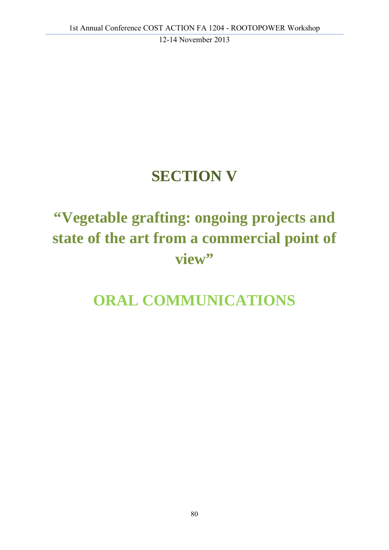# **SECTION V**

# **"Vegetable grafting: ongoing projects and state of the art from a commercial point of**  view"

## **ORAL COMMUNICATIONS**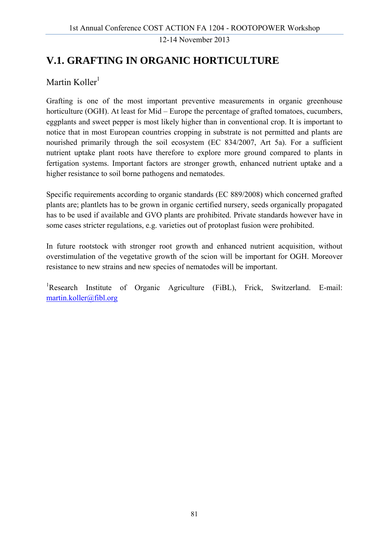### **V.1. GRAFTING IN ORGANIC HORTICULTURE**

#### Martin Koller $1$

Grafting is one of the most important preventive measurements in organic greenhouse horticulture (OGH). At least for Mid – Europe the percentage of grafted tomatoes, cucumbers, eggplants and sweet pepper is most likely higher than in conventional crop. It is important to notice that in most European countries cropping in substrate is not permitted and plants are nourished primarily through the soil ecosystem (EC 834/2007, Art 5a). For a sufficient nutrient uptake plant roots have therefore to explore more ground compared to plants in fertigation systems. Important factors are stronger growth, enhanced nutrient uptake and a higher resistance to soil borne pathogens and nematodes.

Specific requirements according to organic standards (EC 889/2008) which concerned grafted plants are; plantlets has to be grown in organic certified nursery, seeds organically propagated has to be used if available and GVO plants are prohibited. Private standards however have in some cases stricter regulations, e.g. varieties out of protoplast fusion were prohibited.

In future rootstock with stronger root growth and enhanced nutrient acquisition, without overstimulation of the vegetative growth of the scion will be important for OGH. Moreover resistance to new strains and new species of nematodes will be important.

<sup>1</sup>Research Institute of Organic Agriculture (FiBL), Frick, Switzerland. E-mail: martin.koller@fibl.org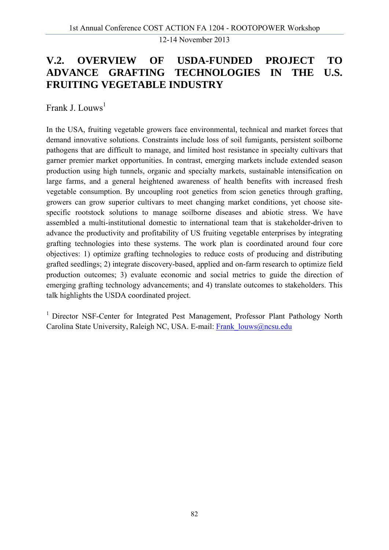### **V.2. OVERVIEW OF USDA-FUNDED PROJECT TO ADVANCE GRAFTING TECHNOLOGIES IN THE U.S. FRUITING VEGETABLE INDUSTRY**

Frank J. Louws<sup>1</sup>

In the USA, fruiting vegetable growers face environmental, technical and market forces that demand innovative solutions. Constraints include loss of soil fumigants, persistent soilborne pathogens that are difficult to manage, and limited host resistance in specialty cultivars that garner premier market opportunities. In contrast, emerging markets include extended season production using high tunnels, organic and specialty markets, sustainable intensification on large farms, and a general heightened awareness of health benefits with increased fresh vegetable consumption. By uncoupling root genetics from scion genetics through grafting, growers can grow superior cultivars to meet changing market conditions, yet choose sitespecific rootstock solutions to manage soilborne diseases and abiotic stress. We have assembled a multi-institutional domestic to international team that is stakeholder-driven to advance the productivity and profitability of US fruiting vegetable enterprises by integrating grafting technologies into these systems. The work plan is coordinated around four core objectives: 1) optimize grafting technologies to reduce costs of producing and distributing grafted seedlings; 2) integrate discovery-based, applied and on-farm research to optimize field production outcomes; 3) evaluate economic and social metrics to guide the direction of emerging grafting technology advancements; and 4) translate outcomes to stakeholders. This talk highlights the USDA coordinated project.

<sup>1</sup> Director NSF-Center for Integrated Pest Management, Professor Plant Pathology North Carolina State University, Raleigh NC, USA. E-mail: Frank\_louws@ncsu.edu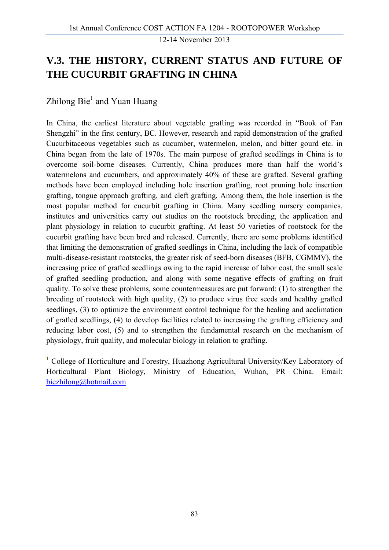### **V.3. THE HISTORY, CURRENT STATUS AND FUTURE OF THE CUCURBIT GRAFTING IN CHINA**

#### Zhilong Bie<sup>1</sup> and Yuan Huang

In China, the earliest literature about vegetable grafting was recorded in "Book of Fan Shengzhi" in the first century, BC. However, research and rapid demonstration of the grafted Cucurbitaceous vegetables such as cucumber, watermelon, melon, and bitter gourd etc. in China began from the late of 1970s. The main purpose of grafted seedlings in China is to overcome soil-borne diseases. Currently, China produces more than half the world's watermelons and cucumbers, and approximately 40% of these are grafted. Several grafting methods have been employed including hole insertion grafting, root pruning hole insertion grafting, tongue approach grafting, and cleft grafting. Among them, the hole insertion is the most popular method for cucurbit grafting in China. Many seedling nursery companies, institutes and universities carry out studies on the rootstock breeding, the application and plant physiology in relation to cucurbit grafting. At least 50 varieties of rootstock for the cucurbit grafting have been bred and released. Currently, there are some problems identified that limiting the demonstration of grafted seedlings in China, including the lack of compatible multi-disease-resistant rootstocks, the greater risk of seed-born diseases (BFB, CGMMV), the increasing price of grafted seedlings owing to the rapid increase of labor cost, the small scale of grafted seedling production, and along with some negative effects of grafting on fruit quality. To solve these problems, some countermeasures are put forward: (1) to strengthen the breeding of rootstock with high quality, (2) to produce virus free seeds and healthy grafted seedlings, (3) to optimize the environment control technique for the healing and acclimation of grafted seedlings, (4) to develop facilities related to increasing the grafting efficiency and reducing labor cost, (5) and to strengthen the fundamental research on the mechanism of physiology, fruit quality, and molecular biology in relation to grafting.

**<sup>1</sup>** College of Horticulture and Forestry, Huazhong Agricultural University/Key Laboratory of Horticultural Plant Biology, Ministry of Education, Wuhan, PR China. Email: biezhilong@hotmail.com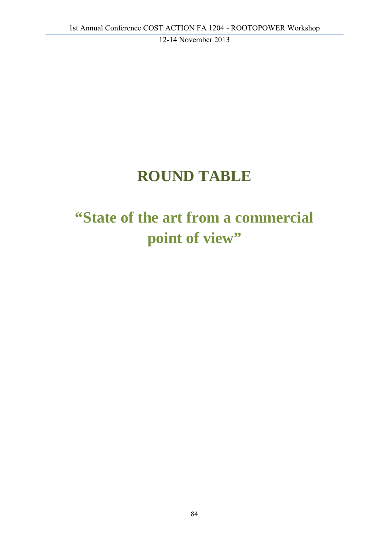## **ROUND TABLE**

# **"State of the art from a commercial**  point of view"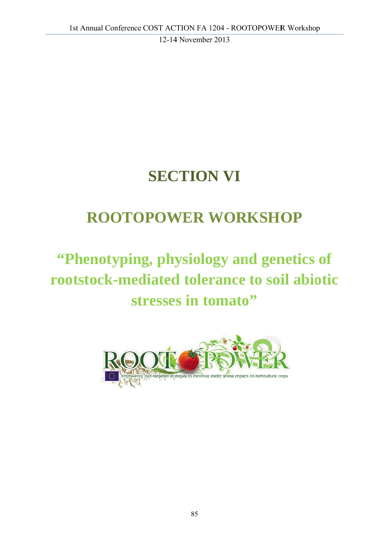# **SECTION VI**

## **ROOTOPOWER WORKSHOP**

# "Phenotyping, physiology and genetics of **rootstock-mediated tolerance to soil abiotic** stresses in tomato"

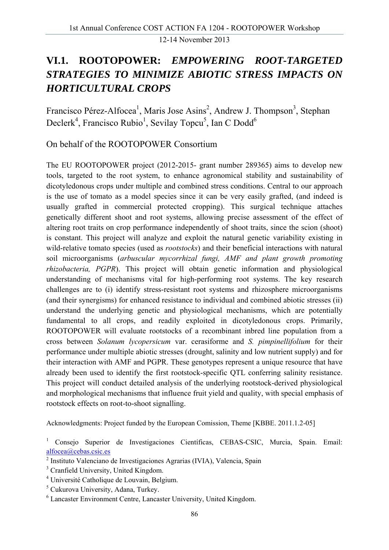### **VI.1. ROOTOPOWER:** *EMPOWERING ROOT-TARGETED STRATEGIES TO MINIMIZE ABIOTIC STRESS IMPACTS ON HORTICULTURAL CROPS*

Francisco Pérez-Alfocea<sup>1</sup>, Maris Jose Asins<sup>2</sup>, Andrew J. Thompson<sup>3</sup>, Stephan Declerk<sup>4</sup>, Francisco Rubio<sup>1</sup>, Sevilay Topcu<sup>5</sup>, Ian C Dodd<sup>6</sup>

On behalf of the ROOTOPOWER Consortium

The EU ROOTOPOWER project (2012-2015- grant number 289365) aims to develop new tools, targeted to the root system, to enhance agronomical stability and sustainability of dicotyledonous crops under multiple and combined stress conditions. Central to our approach is the use of tomato as a model species since it can be very easily grafted, (and indeed is usually grafted in commercial protected cropping). This surgical technique attaches genetically different shoot and root systems, allowing precise assessment of the effect of altering root traits on crop performance independently of shoot traits, since the scion (shoot) is constant. This project will analyze and exploit the natural genetic variability existing in wild-relative tomato species (used as *rootstocks*) and their beneficial interactions with natural soil microorganisms (*arbuscular mycorrhizal fungi, AMF and plant growth promoting rhizobacteria, PGPR*). This project will obtain genetic information and physiological understanding of mechanisms vital for high-performing root systems. The key research challenges are to (i) identify stress-resistant root systems and rhizosphere microorganisms (and their synergisms) for enhanced resistance to individual and combined abiotic stresses (ii) understand the underlying genetic and physiological mechanisms, which are potentially fundamental to all crops, and readily exploited in dicotyledonous crops. Primarily, ROOTOPOWER will evaluate rootstocks of a recombinant inbred line population from a cross between *Solanum lycopersicum* var. cerasiforme and *S. pimpinellifolium* for their performance under multiple abiotic stresses (drought, salinity and low nutrient supply) and for their interaction with AMF and PGPR. These genotypes represent a unique resource that have already been used to identify the first rootstock-specific QTL conferring salinity resistance. This project will conduct detailed analysis of the underlying rootstock-derived physiological and morphological mechanisms that influence fruit yield and quality, with special emphasis of rootstock effects on root-to-shoot signalling.

Acknowledgments: Project funded by the European Comission, Theme [KBBE. 2011.1.2-05]

<sup>1</sup> Consejo Superior de Investigaciones Científicas, CEBAS-CSIC, Murcia, Spain. Email: alfocea@cebas.csic.es 2

- 4 Université Catholique de Louvain, Belgium.
- 5 Cukurova University, Adana, Turkey.
- 6 Lancaster Environment Centre, Lancaster University, United Kingdom.

Instituto Valenciano de Investigaciones Agrarias (IVIA), Valencia, Spain

<sup>&</sup>lt;sup>3</sup> Cranfield University, United Kingdom.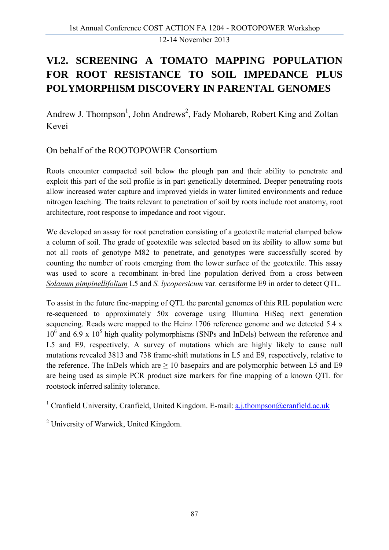### **VI.2. SCREENING A TOMATO MAPPING POPULATION FOR ROOT RESISTANCE TO SOIL IMPEDANCE PLUS POLYMORPHISM DISCOVERY IN PARENTAL GENOMES**

Andrew J. Thompson<sup>1</sup>, John Andrews<sup>2</sup>, Fady Mohareb, Robert King and Zoltan Kevei

On behalf of the ROOTOPOWER Consortium

Roots encounter compacted soil below the plough pan and their ability to penetrate and exploit this part of the soil profile is in part genetically determined. Deeper penetrating roots allow increased water capture and improved yields in water limited environments and reduce nitrogen leaching. The traits relevant to penetration of soil by roots include root anatomy, root architecture, root response to impedance and root vigour.

We developed an assay for root penetration consisting of a geotextile material clamped below a column of soil. The grade of geotextile was selected based on its ability to allow some but not all roots of genotype M82 to penetrate, and genotypes were successfully scored by counting the number of roots emerging from the lower surface of the geotextile. This assay was used to score a recombinant in-bred line population derived from a cross between *Solanum pimpinellifolium* L5 and *S. lycopersicum* var. cerasiforme E9 in order to detect QTL.

To assist in the future fine-mapping of QTL the parental genomes of this RIL population were re-sequenced to approximately 50x coverage using Illumina HiSeq next generation sequencing. Reads were mapped to the Heinz 1706 reference genome and we detected 5.4 x  $10<sup>6</sup>$  and 6.9 x  $10<sup>5</sup>$  high quality polymorphisms (SNPs and InDels) between the reference and L5 and E9, respectively. A survey of mutations which are highly likely to cause null mutations revealed 3813 and 738 frame-shift mutations in L5 and E9, respectively, relative to the reference. The InDels which are  $\geq 10$  basepairs and are polymorphic between L5 and E9 are being used as simple PCR product size markers for fine mapping of a known QTL for rootstock inferred salinity tolerance.

<sup>1</sup> Cranfield University, Cranfield, United Kingdom. E-mail: a.j.thompson@cranfield.ac.uk

<sup>2</sup> University of Warwick, United Kingdom.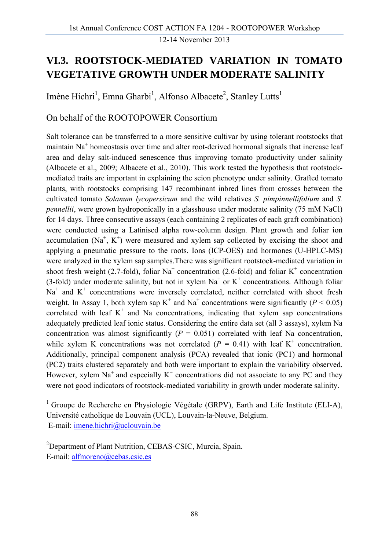### **VI.3. ROOTSTOCK-MEDIATED VARIATION IN TOMATO VEGETATIVE GROWTH UNDER MODERATE SALINITY**

Imène Hichri<sup>1</sup>, Emna Gharbi<sup>1</sup>, Alfonso Albacete<sup>2</sup>, Stanley Lutts<sup>1</sup>

On behalf of the ROOTOPOWER Consortium

Salt tolerance can be transferred to a more sensitive cultivar by using tolerant rootstocks that maintain  $Na<sup>+</sup>$  homeostasis over time and alter root-derived hormonal signals that increase leaf area and delay salt-induced senescence thus improving tomato productivity under salinity (Albacete et al., 2009; Albacete et al., 2010). This work tested the hypothesis that rootstockmediated traits are important in explaining the scion phenotype under salinity. Grafted tomato plants, with rootstocks comprising 147 recombinant inbred lines from crosses between the cultivated tomato *Solanum lycopersicum* and the wild relatives *S. pimpinnellifolium* and *S. pennellii*, were grown hydroponically in a glasshouse under moderate salinity (75 mM NaCl) for 14 days. Three consecutive assays (each containing 2 replicates of each graft combination) were conducted using a Latinised alpha row-column design. Plant growth and foliar ion accumulation  $(Na^+, K^+)$  were measured and xylem sap collected by excising the shoot and applying a pneumatic pressure to the roots. Ions (ICP-OES) and hormones (U-HPLC-MS) were analyzed in the xylem sap samples.There was significant rootstock-mediated variation in shoot fresh weight (2.7-fold), foliar  $Na<sup>+</sup>$  concentration (2.6-fold) and foliar  $K<sup>+</sup>$  concentration (3-fold) under moderate salinity, but not in xylem  $Na<sup>+</sup>$  or  $K<sup>+</sup>$  concentrations. Although foliar  $Na<sup>+</sup>$  and  $K<sup>+</sup>$  concentrations were inversely correlated, neither correlated with shoot fresh weight. In Assay 1, both xylem sap  $K^+$  and Na<sup>+</sup> concentrations were significantly ( $P < 0.05$ ) correlated with leaf  $K^+$  and Na concentrations, indicating that xylem sap concentrations adequately predicted leaf ionic status. Considering the entire data set (all 3 assays), xylem Na concentration was almost significantly  $(P = 0.051)$  correlated with leaf Na concentration, while xylem K concentrations was not correlated ( $P = 0.41$ ) with leaf K<sup>+</sup> concentration. Additionally, principal component analysis (PCA) revealed that ionic (PC1) and hormonal (PC2) traits clustered separately and both were important to explain the variability observed. However, xylem  $Na<sup>+</sup>$  and especially  $K<sup>+</sup>$  concentrations did not associate to any PC and they were not good indicators of rootstock-mediated variability in growth under moderate salinity.

<sup>1</sup> Groupe de Recherche en Physiologie Végétale (GRPV), Earth and Life Institute (ELI-A), Université catholique de Louvain (UCL), Louvain-la-Neuve, Belgium. E-mail: imene.hichri@uclouvain.be

<sup>2</sup>Department of Plant Nutrition, CEBAS-CSIC, Murcia, Spain. E-mail: alfmoreno@cebas.csic.es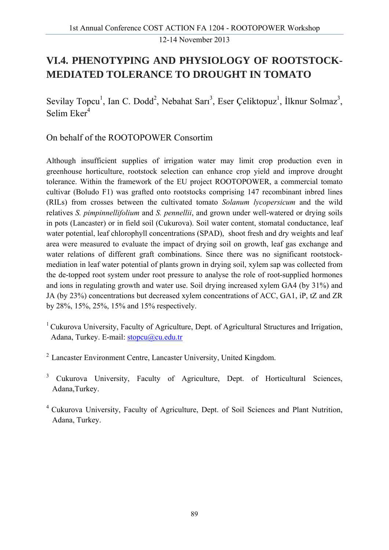### **VI.4. PHENOTYPING AND PHYSIOLOGY OF ROOTSTOCK-MEDIATED TOLERANCE TO DROUGHT IN TOMATO**

Sevilay Topcu<sup>1</sup>, Ian C. Dodd<sup>2</sup>, Nebahat Sari<sup>3</sup>, Eser Çeliktopuz<sup>1</sup>, İlknur Solmaz<sup>3</sup>, Selim  $Eker<sup>4</sup>$ 

On behalf of the ROOTOPOWER Consortim

Although insufficient supplies of irrigation water may limit crop production even in greenhouse horticulture, rootstock selection can enhance crop yield and improve drought tolerance. Within the framework of the EU project ROOTOPOWER, a commercial tomato cultivar (Boludo F1) was grafted onto rootstocks comprising 147 recombinant inbred lines (RILs) from crosses between the cultivated tomato *Solanum lycopersicum* and the wild relatives *S. pimpinnellifolium* and *S. pennellii*, and grown under well-watered or drying soils in pots (Lancaster) or in field soil (Cukurova). Soil water content, stomatal conductance, leaf water potential, leaf chlorophyll concentrations (SPAD), shoot fresh and dry weights and leaf area were measured to evaluate the impact of drying soil on growth, leaf gas exchange and water relations of different graft combinations. Since there was no significant rootstockmediation in leaf water potential of plants grown in drying soil, xylem sap was collected from the de-topped root system under root pressure to analyse the role of root-supplied hormones and ions in regulating growth and water use. Soil drying increased xylem GA4 (by 31%) and JA (by 23%) concentrations but decreased xylem concentrations of ACC, GA1, iP, tZ and ZR by 28%, 15%, 25%, 15% and 15% respectively.

- <sup>1</sup> Cukurova University, Faculty of Agriculture, Dept. of Agricultural Structures and Irrigation, Adana, Turkey. E-mail: stopcu@cu.edu.tr
- 2 Lancaster Environment Centre, Lancaster University, United Kingdom.
- <sup>3</sup> Cukurova University, Faculty of Agriculture, Dept. of Horticultural Sciences, Adana,Turkey.

4 Cukurova University, Faculty of Agriculture, Dept. of Soil Sciences and Plant Nutrition, Adana, Turkey.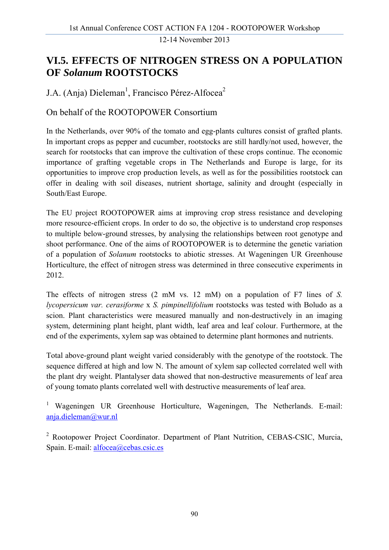### **VI.5. EFFECTS OF NITROGEN STRESS ON A POPULATION OF** *Solanum* **ROOTSTOCKS**

J.A. (Anja) Dieleman<sup>1</sup>, Francisco Pérez-Alfocea<sup>2</sup>

On behalf of the ROOTOPOWER Consortium

In the Netherlands, over 90% of the tomato and egg-plants cultures consist of grafted plants. In important crops as pepper and cucumber, rootstocks are still hardly/not used, however, the search for rootstocks that can improve the cultivation of these crops continue. The economic importance of grafting vegetable crops in The Netherlands and Europe is large, for its opportunities to improve crop production levels, as well as for the possibilities rootstock can offer in dealing with soil diseases, nutrient shortage, salinity and drought (especially in South/East Europe.

The EU project ROOTOPOWER aims at improving crop stress resistance and developing more resource-efficient crops. In order to do so, the objective is to understand crop responses to multiple below-ground stresses, by analysing the relationships between root genotype and shoot performance. One of the aims of ROOTOPOWER is to determine the genetic variation of a population of *Solanum* rootstocks to abiotic stresses. At Wageningen UR Greenhouse Horticulture, the effect of nitrogen stress was determined in three consecutive experiments in 2012.

The effects of nitrogen stress (2 mM vs. 12 mM) on a population of F7 lines of *S. lycopersicum var. cerasiforme* x *S. pimpinellifolium* rootstocks was tested with Boludo as a scion. Plant characteristics were measured manually and non-destructively in an imaging system, determining plant height, plant width, leaf area and leaf colour. Furthermore, at the end of the experiments, xylem sap was obtained to determine plant hormones and nutrients.

Total above-ground plant weight varied considerably with the genotype of the rootstock. The sequence differed at high and low N. The amount of xylem sap collected correlated well with the plant dry weight. Plantalyser data showed that non-destructive measurements of leaf area of young tomato plants correlated well with destructive measurements of leaf area.

<sup>1</sup> Wageningen UR Greenhouse Horticulture, Wageningen, The Netherlands. E-mail: anja.dieleman@wur.nl

<sup>2</sup> Rootopower Project Coordinator. Department of Plant Nutrition, CEBAS-CSIC, Murcia, Spain. E-mail: alfocea@cebas.csic.es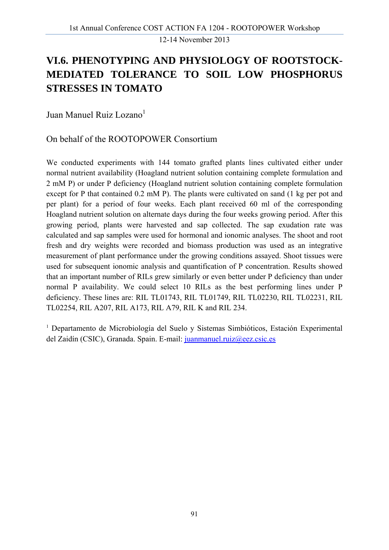### **VI.6. PHENOTYPING AND PHYSIOLOGY OF ROOTSTOCK-MEDIATED TOLERANCE TO SOIL LOW PHOSPHORUS STRESSES IN TOMATO**

Juan Manuel Ruiz Lozano<sup>1</sup>

#### On behalf of the ROOTOPOWER Consortium

We conducted experiments with 144 tomato grafted plants lines cultivated either under normal nutrient availability (Hoagland nutrient solution containing complete formulation and 2 mM P) or under P deficiency (Hoagland nutrient solution containing complete formulation except for P that contained 0.2 mM P). The plants were cultivated on sand (1 kg per pot and per plant) for a period of four weeks. Each plant received 60 ml of the corresponding Hoagland nutrient solution on alternate days during the four weeks growing period. After this growing period, plants were harvested and sap collected. The sap exudation rate was calculated and sap samples were used for hormonal and ionomic analyses. The shoot and root fresh and dry weights were recorded and biomass production was used as an integrative measurement of plant performance under the growing conditions assayed. Shoot tissues were used for subsequent ionomic analysis and quantification of P concentration. Results showed that an important number of RILs grew similarly or even better under P deficiency than under normal P availability. We could select 10 RILs as the best performing lines under P deficiency. These lines are: RIL TL01743, RIL TL01749, RIL TL02230, RIL TL02231, RIL TL02254, RIL A207, RIL A173, RIL A79, RIL K and RIL 234.

1 Departamento de Microbiología del Suelo y Sistemas Simbióticos, Estación Experimental del Zaidín (CSIC), Granada. Spain. E-mail: juanmanuel.ruiz@eez.csic.es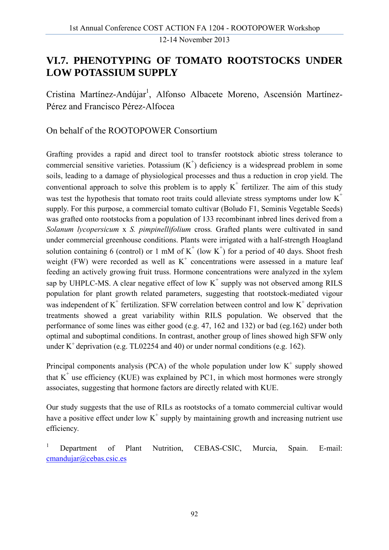### **VI.7. PHENOTYPING OF TOMATO ROOTSTOCKS UNDER LOW POTASSIUM SUPPLY**

Cristina Martínez-Andújar<sup>1</sup>, Alfonso Albacete Moreno, Ascensión Martínez-Pérez and Francisco Pérez-Alfocea

On behalf of the ROOTOPOWER Consortium

Grafting provides a rapid and direct tool to transfer rootstock abiotic stress tolerance to commercial sensitive varieties. Potassium  $(K<sup>+</sup>)$  deficiency is a widespread problem in some soils, leading to a damage of physiological processes and thus a reduction in crop yield. The conventional approach to solve this problem is to apply  $K^+$  fertilizer. The aim of this study was test the hypothesis that tomato root traits could alleviate stress symptoms under low  $K^+$ supply. For this purpose, a commercial tomato cultivar (Boludo F1, Seminis Vegetable Seeds) was grafted onto rootstocks from a population of 133 recombinant inbred lines derived from a *Solanum lycopersicum* x *S. pimpinellifolium* cross*.* Grafted plants were cultivated in sand under commercial greenhouse conditions. Plants were irrigated with a half-strength Hoagland solution containing 6 (control) or 1 mM of  $K^+$  (low  $K^+$ ) for a period of 40 days. Shoot fresh weight (FW) were recorded as well as  $K^+$  concentrations were assessed in a mature leaf feeding an actively growing fruit truss. Hormone concentrations were analyzed in the xylem sap by UHPLC-MS. A clear negative effect of low  $K^+$  supply was not observed among RILS population for plant growth related parameters, suggesting that rootstock-mediated vigour was independent of  $K^+$  fertilization. SFW correlation between control and low  $K^+$  deprivation treatments showed a great variability within RILS population. We observed that the performance of some lines was either good (e.g. 47, 162 and 132) or bad (eg.162) under both optimal and suboptimal conditions. In contrast, another group of lines showed high SFW only under  $K^+$  deprivation (e.g. TL02254 and 40) or under normal conditions (e.g. 162).

Principal components analysis (PCA) of the whole population under low  $K^+$  supply showed that  $K^+$  use efficiency (KUE) was explained by PC1, in which most hormones were strongly associates, suggesting that hormone factors are directly related with KUE.

Our study suggests that the use of RILs as rootstocks of a tomato commercial cultivar would have a positive effect under low  $K^+$  supply by maintaining growth and increasing nutrient use efficiency.

1 Department of Plant Nutrition, CEBAS-CSIC, Murcia, Spain. E-mail: cmandujar@cebas.csic.es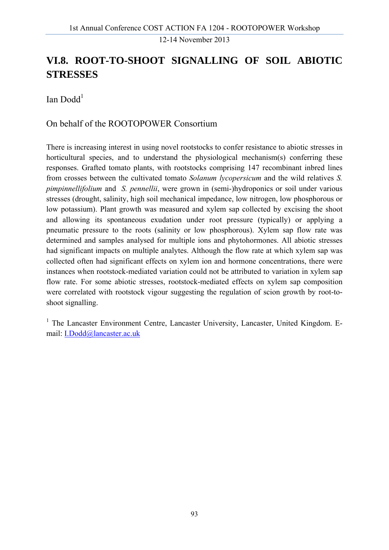### **VI.8. ROOT-TO-SHOOT SIGNALLING OF SOIL ABIOTIC STRESSES**

Ian Dodd $<sup>1</sup>$ </sup>

#### On behalf of the ROOTOPOWER Consortium

There is increasing interest in using novel rootstocks to confer resistance to abiotic stresses in horticultural species, and to understand the physiological mechanism(s) conferring these responses. Grafted tomato plants, with rootstocks comprising 147 recombinant inbred lines from crosses between the cultivated tomato *Solanum lycopersicum* and the wild relatives *S. pimpinnellifolium* and *S. pennellii*, were grown in (semi-)hydroponics or soil under various stresses (drought, salinity, high soil mechanical impedance, low nitrogen, low phosphorous or low potassium). Plant growth was measured and xylem sap collected by excising the shoot and allowing its spontaneous exudation under root pressure (typically) or applying a pneumatic pressure to the roots (salinity or low phosphorous). Xylem sap flow rate was determined and samples analysed for multiple ions and phytohormones. All abiotic stresses had significant impacts on multiple analytes. Although the flow rate at which xylem sap was collected often had significant effects on xylem ion and hormone concentrations, there were instances when rootstock-mediated variation could not be attributed to variation in xylem sap flow rate. For some abiotic stresses, rootstock-mediated effects on xylem sap composition were correlated with rootstock vigour suggesting the regulation of scion growth by root-toshoot signalling.

<sup>1</sup> The Lancaster Environment Centre, Lancaster University, Lancaster, United Kingdom. Email: I.Dodd@lancaster.ac.uk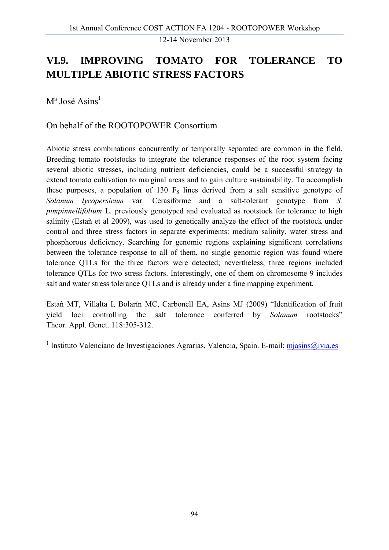### **VI.9. IMPROVING TOMATO FOR TOLERANCE TO MULTIPLE ABIOTIC STRESS FACTORS**

 $M^a$  José Asins<sup>1</sup>

#### On behalf of the ROOTOPOWER Consortium

Abiotic stress combinations concurrently or temporally separated are common in the field. Breeding tomato rootstocks to integrate the tolerance responses of the root system facing several abiotic stresses, including nutrient deficiencies, could be a successful strategy to extend tomato cultivation to marginal areas and to gain culture sustainability. To accomplish these purposes, a population of 130  $F_8$  lines derived from a salt sensitive genotype of *Solanum lycopersicum* var. Cerasiforme and a salt-tolerant genotype from *S. pimpinnellifolium* L. previously genotyped and evaluated as rootstock for tolerance to high salinity (Estañ et al 2009), was used to genetically analyze the effect of the rootstock under control and three stress factors in separate experiments: medium salinity, water stress and phosphorous deficiency. Searching for genomic regions explaining significant correlations between the tolerance response to all of them, no single genomic region was found where tolerance QTLs for the three factors were detected; nevertheless, three regions included tolerance QTLs for two stress factors. Interestingly, one of them on chromosome 9 includes salt and water stress tolerance QTLs and is already under a fine mapping experiment.

Estañ MT, Villalta I, Bolarín MC, Carbonell EA, Asins MJ (2009) "Identification of fruit yield loci controlling the salt tolerance conferred by *Solanum* rootstocks" Theor. Appl. Genet. 118:305-312.

<sup>1</sup> Instituto Valenciano de Investigaciones Agrarias, Valencia, Spain. E-mail: mjasins@ivia.es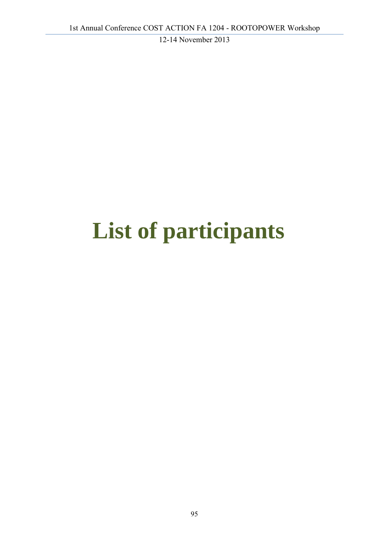# **List of participants**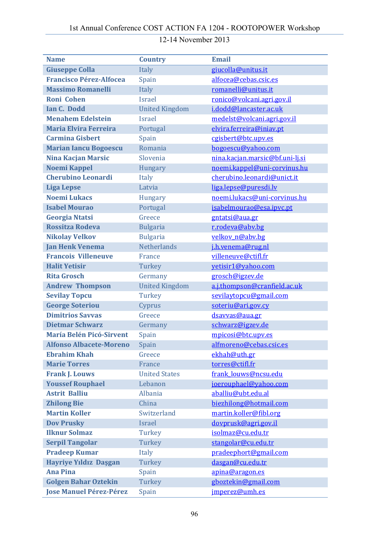#### **Name Country Email Giuseppe Colla** Italy **Giuseppe Colla** Italy **giucolla@unitus.it Francisco Pérez‐Alfocea** Spain alfocea@cebas.csic.es **Massimo Romanelli** Italy **romanelli@unitus.it Roni** Cohen **Israel** Israel **ronico@volcani.agri.gov.il Ian C. Dodd** United Kingdom **i.dodd@lancaster.ac.uk Menahem Edelstein** Israel **medelst@volcani.agri.gov.il Maria Elvira Ferreira** Portugal elvira.ferreira@iniav.pt **Carmina Gisbert** Spain Carmina Construction Spain **Marian Iancu Bogoescu** Romania bogoescu@yahoo.com **Nina Kacjan Marsic** Slovenia nina.kacjan.marsic@bf.uni-li.si **Noemi Kappel** Hungary noemi.kappel@uni-corvinus.hu **Cherubino Leonardi** Italy **Cherubino.leonardi@unict.it Liga** Lepse Latvia Latvia Latvia Liga.lepse@puresdi.lv **Noemi Lukacs** Hungary noemi.lukacs@uni-corvinus.hu **Isabel Mourao** Portugal isabelmourao@esa.ipvc.pt **Georgia Ntatsi** Greece **gntatsi@aua.gr Rossitza Rodeva** Bulgaria r.rodeva@abv.bg **Nikolay Velkov** Bulgaria velkov n@abv.bg **Jan Henk Venema** Netherlands j.h.venema@rug.nl **Francois Villeneuve** France villeneuve@ctifl.fr **Halit Yetisir** Turkey **Turkey** yetisir1@yahoo.com **Rita Grosch Germany** Germany **grosch@igzev.de Andrew Thompson** United Kingdom a.j.thompson@cranfield.ac.uk **Sevilay Topcu** Turkey sevilaytopcu@gmail.com **George Soteriou** Cyprus conteriu@ari.gov.cy **Dimitrios Savvas** Greece dsavvas@aua.gr **Dietmar Schwarz** Germany Schwarz@igzev.de **María Belén Picó‐Sirvent** Spain mpicosi@btc.upv.es **Alfonso Albacete‐Moreno** Spain alfmoreno@cebas.csic.es **Ebrahim Khah** Greece ekhah@uth.gr **Marie Torres** France **France Example 10 Torres** *Example 10* **torres** *example 10* **torres** *example 10* **torres** *example 10* **example 10 example 10 example 10 example 10 example 10 example 10 example 10 Frank J. Louws** United States Frank Louws@ncsu.edu **Youssef Rouphael** Lebanon joerouphael@yahoo.com **Astrit Balliu Albania** aballiu@ubt.edu.al **Zhilong Bie** China **biezhilong@hotmail.com Martin Koller** Switzerland martin.koller@fibl.org **Dov** Prusky **Israel** Israel **dovprusk@agri.gov.il Ilknur Solmaz** Turkey isolmaz@cu.edu.tr **Serpil Tangolar** Turkey stangolar@cu.edu.tr **Pradeep Kumar** Italy **pradeephort@gmail.com Hayriye Yıldız Daşgan** Turkey dasgan@cu.edu.tr **Ana Pina** Spain Spain apina@aragon.es **Golgen Bahar Oztekin** Turkey gboztekin@gmail.com **Jose Manuel Pérez‐Pérez** Spain jmperez@umh.es

#### 12-14 November 2013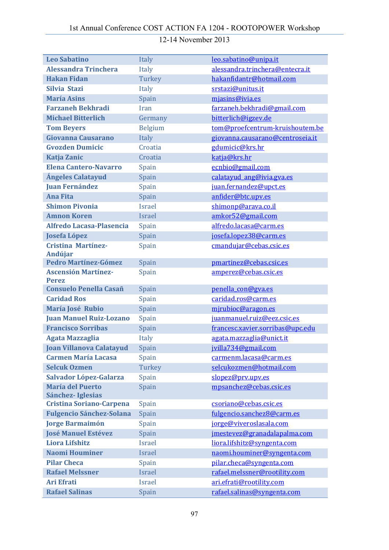| <b>Leo Sabatino</b>                           | Italy          | leo.sabatino@unipa.it            |
|-----------------------------------------------|----------------|----------------------------------|
| <b>Alessandra Trinchera</b>                   | Italy          | alessandra.trinchera@entecra.it  |
| <b>Hakan Fidan</b>                            | Turkey         | hakanfidantr@hotmail.com         |
| Silvia Stazi                                  | Italy          | srstazi@unitus.it                |
| <b>María Asins</b>                            | Spain          | mjasins@ivia.es                  |
| <b>Farzaneh Bekhradi</b>                      | Iran           | farzaneh.bekhradi@gmail.com      |
| <b>Michael Bitterlich</b>                     | Germany        | bitterlich@igzev.de              |
| <b>Tom Beyers</b>                             | <b>Belgium</b> | tom@proefcentrum-kruishoutem.be  |
| Giovanna Causarano                            | Italy          | giovanna.causarano@centroseia.it |
| <b>Gvozden Dumicic</b>                        | Croatia        | gdumicic@krs.hr                  |
| <b>Katja Zanic</b>                            | Croatia        | katja@krs.hr                     |
| <b>Elena Cantero-Navarro</b>                  | Spain          | ecnbio@gmail.com                 |
| <b>Ángeles Calatayud</b>                      | Spain          | calatayud ang@ivia.gva.es        |
| <b>Juan Fernández</b>                         | Spain          | juan.fernandez@upct.es           |
| <b>Ana Fita</b>                               | Spain          | anfider@btc.upv.es               |
| <b>Shimon Pivonia</b>                         | <b>Israel</b>  | shimonp@arava.co.il              |
| <b>Amnon Koren</b>                            | <b>Israel</b>  | amkor52@gmail.com                |
| <b>Alfredo Lacasa-Plasencia</b>               | Spain          | alfredo.lacasa@carm.es           |
| <b>Josefa López</b>                           | Spain          | josefa.lopez38@carm.es           |
| <b>Cristina Martínez-</b>                     | Spain          | cmandujar@cebas.csic.es          |
| <b>Andújar</b>                                |                |                                  |
| <b>Pedro Martínez-Gómez</b>                   | Spain          | pmartinez@cebas.csic.es          |
| <b>Ascensión Martínez-</b>                    | Spain          | amperez@cebas.csic.es            |
| <b>Perez</b><br><b>Consuelo Penella Casañ</b> | Spain          | penella con@gva.es               |
| <b>Caridad Ros</b>                            | Spain          | caridad.ros@carm.es              |
| María José Rubio                              | Spain          | mirubioc@aragon.es               |
| <b>Juan Manuel Ruiz-Lozano</b>                | Spain          | juanmanuel.ruiz@eez.csic.es      |
| <b>Francisco Sorribas</b>                     | Spain          | francesc.xavier.sorribas@upc.edu |
| <b>Agata Mazzaglia</b>                        | Italy          | agata.mazzaglia@unict.it         |
| Joan Villanova Calatayud Spain                |                | jvilla734@gmail.com              |
| <b>Carmen María Lacasa</b>                    | Spain          | carmenm.lacasa@carm.es           |
| <b>Selcuk Ozmen</b>                           | Turkey         | selcukozmen@hotmail.com          |
| Salvador López-Galarza                        | Spain          | slopez@prv.upv.es                |
| <b>María del Puerto</b>                       | Spain          | mpsanchez@cebas.csic.es          |
| Sánchez-Iglesias                              |                |                                  |
| <b>Cristina Soriano-Carpena</b>               | Spain          | csoriano@cebas.csic.es           |
| <b>Fulgencio Sánchez-Solana</b>               | Spain          | fulgencio.sanchez8@carm.es       |
| <b>Jorge Barmaimón</b>                        | Spain          | jorge@viveroslasala.com          |
| <b>José Manuel Estévez</b>                    | Spain          | jmestevez@granadalapalma.com     |
| <b>Liora Lifshitz</b>                         | <b>Israel</b>  | liora.lifshitz@syngenta.com      |
| <b>Naomi Houminer</b>                         | <b>Israel</b>  | naomi.houminer@syngenta.com      |
| <b>Pilar Checa</b>                            | Spain          | pilar.checa@syngenta.com         |
| <b>Rafael Melssner</b>                        | <b>Israel</b>  | rafael.melssner@rootility.com    |
| <b>Ari Efrati</b>                             | <b>Israel</b>  | ari.efrati@rootility.com         |
| <b>Rafael Salinas</b>                         | Spain          | rafael.salinas@syngenta.com      |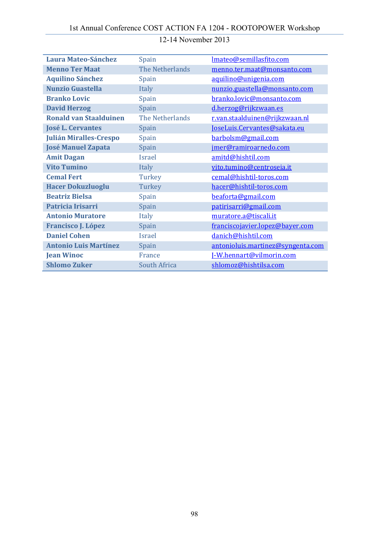| <b>Laura Mateo-Sánchez</b>    | Spain               | Imateo@semillasfito.com           |
|-------------------------------|---------------------|-----------------------------------|
| <b>Menno Ter Maat</b>         | The Netherlands     | menno.ter.maat@monsanto.com       |
| <b>Aquilino Sánchez</b>       | Spain               | aquilino@unigenia.com             |
| <b>Nunzio Guastella</b>       | Italy               | nunzio.guastella@monsanto.com     |
| <b>Branko Lovic</b>           | Spain               | branko.lovic@monsanto.com         |
| <b>David Herzog</b>           | Spain               | d.herzog@rijkzwaan.es             |
| <b>Ronald van Staalduinen</b> | The Netherlands     | r.van.staalduinen@rijkzwaan.nl    |
| <b>José L. Cervantes</b>      | Spain               | JoseLuis.Cervantes@sakata.eu      |
| <b>Julián Miralles-Crespo</b> | Spain               | barbolsm@gmail.com                |
| <b>José Manuel Zapata</b>     | Spain               | jmer@ramiroarnedo.com             |
| <b>Amit Dagan</b>             | <b>Israel</b>       | amitd@hishtil.com                 |
| <b>Vito Tumino</b>            | Italy               | vito.tumino@centroseia.it         |
| <b>Cemal Fert</b>             | Turkey              | cemal@hishtil-toros.com           |
| <b>Hacer Dokuzluoglu</b>      | Turkey              | hacer@hishtil-toros.com           |
| <b>Beatriz Bielsa</b>         | Spain               | beaforta@gmail.com                |
| Patricia Irisarri             | Spain               | patirisarri@gmail.com             |
| <b>Antonio Muratore</b>       | Italy               | muratore.a@tiscali.it             |
| <b>Francisco J. López</b>     | Spain               | franciscojavier.lopez@bayer.com   |
| <b>Daniel Cohen</b>           | Israel              | danich@hishtil.com                |
| <b>Antonio Luis Martínez</b>  | Spain               | antonioluis.martinez@syngenta.com |
| <b>Jean Winoc</b>             | France              | I-W.hennart@vilmorin.com          |
| <b>Shlomo Zuker</b>           | <b>South Africa</b> | shlomoz@hishtilsa.com             |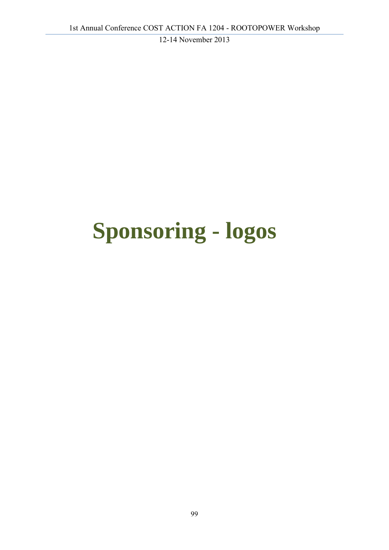# **Sponsoring - logos**